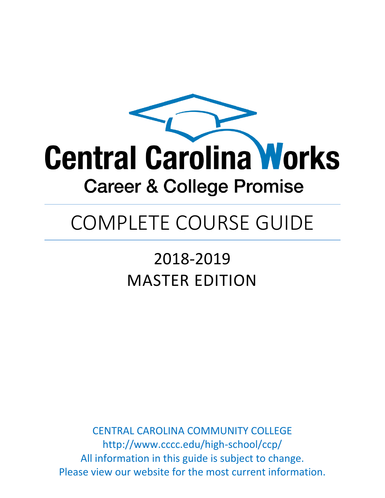

# COMPLETE COURSE GUIDE

# 2018-2019 MASTER EDITION

CENTRAL CAROLINA COMMUNITY COLLEGE http://www.cccc.edu/high-school/ccp/ All information in this guide is subject to change. Please view our website for the most current information.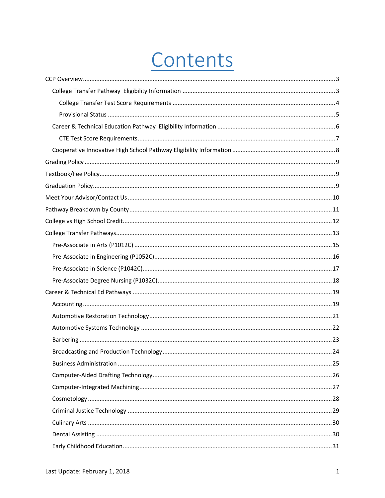# Contents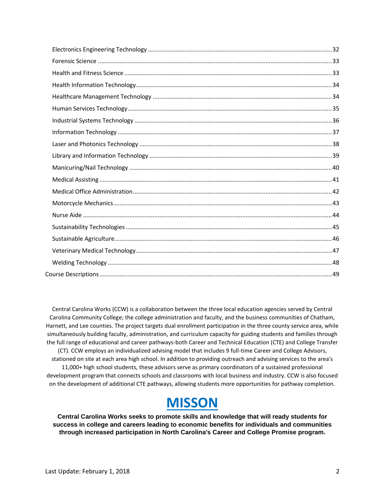Central Carolina Works (CCW) is a collaboration between the three local education agencies served by Central Carolina Community College; the college administration and faculty, and the business communities of Chatham, Harnett, and Lee counties. The project targets dual enrollment participation in the three county service area, while simultaneously building faculty, administration, and curriculum capacity for guiding students and families through the full range of educational and career pathways-both Career and Technical Education (CTE) and College Transfer (CT). CCW employs an individualized advising model that includes 9 full-time Career and College Advisors, stationed on site at each area high school. In addition to providing outreach and advising services to the area's 11,000+ high school students, these advisors serve as primary coordinators of a sustained professional development program that connects schools and classrooms with local business and industry. CCW is also focused on the development of additional CTE pathways, allowing students more opportunities for pathway completion.

## **MISSON**

**Central Carolina Works seeks to promote skills and knowledge that will ready students for success in college and careers leading to economic benefits for individuals and communities through increased participation in North Carolina's Career and College Promise program.**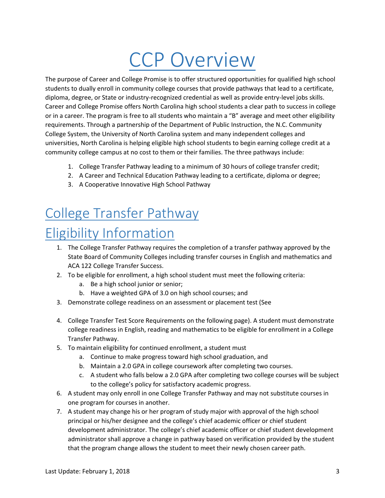# CCP Overview

<span id="page-3-0"></span>The purpose of Career and College Promise is to offer structured opportunities for qualified high school students to dually enroll in community college courses that provide pathways that lead to a certificate, diploma, degree, or State or industry-recognized credential as well as provide entry-level jobs skills. Career and College Promise offers North Carolina high school students a clear path to success in college or in a career. The program is free to all students who maintain a "B" average and meet other eligibility requirements. Through a partnership of the Department of Public Instruction, the N.C. Community College System, the University of North Carolina system and many independent colleges and universities, North Carolina is helping eligible high school students to begin earning college credit at a community college campus at no cost to them or their families. The three pathways include:

- 1. College Transfer Pathway leading to a minimum of 30 hours of college transfer credit;
- 2. A Career and Technical Education Pathway leading to a certificate, diploma or degree;
- 3. A Cooperative Innovative High School Pathway

# <span id="page-3-1"></span>College Transfer Pathway

## Eligibility Information

- 1. The College Transfer Pathway requires the completion of a transfer pathway approved by the State Board of Community Colleges including transfer courses in English and mathematics and ACA 122 College Transfer Success.
- 2. To be eligible for enrollment, a high school student must meet the following criteria:
	- a. Be a high school junior or senior;
	- b. Have a weighted GPA of 3.0 on high school courses; and
- 3. Demonstrate college readiness on an assessment or placement test (See
- 4. [College Transfer Test Score Requirements](#page-4-1) on the following page). A student must demonstrate college readiness in English, reading and mathematics to be eligible for enrollment in a College Transfer Pathway.
- 5. To maintain eligibility for continued enrollment, a student must
	- a. Continue to make progress toward high school graduation, and
	- b. Maintain a 2.0 GPA in college coursework after completing two courses.
	- c. A student who falls below a 2.0 GPA after completing two college courses will be subject to the college's policy for satisfactory academic progress.
- 6. A student may only enroll in one College Transfer Pathway and may not substitute courses in one program for courses in another.
- 7. A student may change his or her program of study major with approval of the high school principal or his/her designee and the college's chief academic officer or chief student development administrator. The college's chief academic officer or chief student development administrator shall approve a change in pathway based on verification provided by the student that the program change allows the student to meet their newly chosen career path.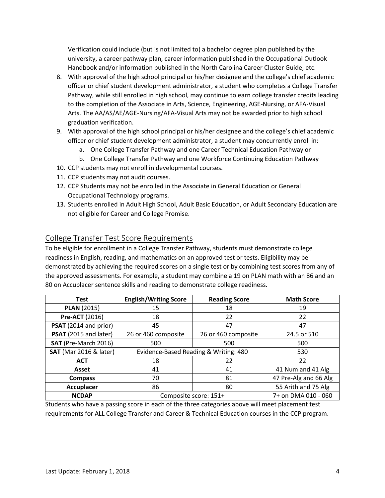Verification could include (but is not limited to) a bachelor degree plan published by the university, a career pathway plan, career information published in the Occupational Outlook Handbook and/or information published in the North Carolina Career Cluster Guide, etc.

- 8. With approval of the high school principal or his/her designee and the college's chief academic officer or chief student development administrator, a student who completes a College Transfer Pathway, while still enrolled in high school, may continue to earn college transfer credits leading to the completion of the Associate in Arts, Science, Engineering, AGE-Nursing, or AFA-Visual Arts. The AA/AS/AE/AGE-Nursing/AFA-Visual Arts may not be awarded prior to high school graduation verification.
- 9. With approval of the high school principal or his/her designee and the college's chief academic officer or chief student development administrator, a student may concurrently enroll in:
	- a. One College Transfer Pathway and one Career Technical Education Pathway or
	- b. One College Transfer Pathway and one Workforce Continuing Education Pathway
- 10. CCP students may not enroll in developmental courses.
- 11. CCP students may not audit courses.
- 12. CCP Students may not be enrolled in the Associate in General Education or General Occupational Technology programs.
- <span id="page-4-1"></span>13. Students enrolled in Adult High School, Adult Basic Education, or Adult Secondary Education are not eligible for Career and College Promise.

#### <span id="page-4-0"></span>College Transfer Test Score Requirements

To be eligible for enrollment in a College Transfer Pathway, students must demonstrate college readiness in English, reading, and mathematics on an approved test or tests. Eligibility may be demonstrated by achieving the required scores on a single test or by combining test scores from any of the approved assessments. For example, a student may combine a 19 on PLAN math with an 86 and an 80 on Accuplacer sentence skills and reading to demonstrate college readiness.

| <b>Test</b>                   | <b>English/Writing Score</b>          | <b>Reading Score</b> | <b>Math Score</b>     |
|-------------------------------|---------------------------------------|----------------------|-----------------------|
| <b>PLAN (2015)</b>            | 15                                    | 18                   | 19                    |
| <b>Pre-ACT (2016)</b>         | 18                                    | 22                   | 22                    |
| PSAT (2014 and prior)         | 45                                    | 47                   | 47                    |
| PSAT (2015 and later)         | 26 or 460 composite                   | 26 or 460 composite  | 24.5 or 510           |
| SAT (Pre-March 2016)          | 500                                   | 500                  | 500                   |
| <b>SAT</b> (Mar 2016 & later) | Evidence-Based Reading & Writing: 480 |                      | 530                   |
| <b>ACT</b>                    | 22<br>18                              |                      | 22                    |
| Asset                         | 41<br>41                              |                      | 41 Num and 41 Alg     |
| <b>Compass</b>                | 81<br>70                              |                      | 47 Pre-Alg and 66 Alg |
| <b>Accuplacer</b>             | 86                                    | 80                   | 55 Arith and 75 Alg   |
| <b>NCDAP</b>                  | Composite score: 151+                 |                      | 7+ on DMA 010 - 060   |

Students who have a passing score in each of the three categories above will meet placement test requirements for ALL College Transfer and Career & Technical Education courses in the CCP program.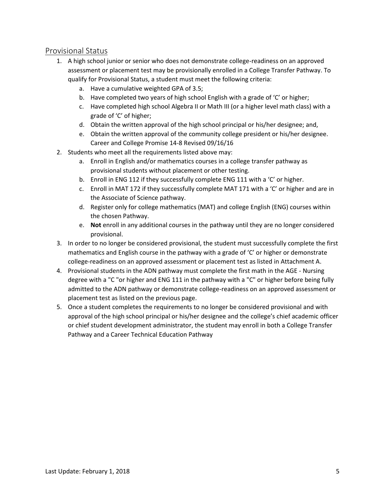#### <span id="page-5-0"></span>Provisional Status

- 1. A high school junior or senior who does not demonstrate college-readiness on an approved assessment or placement test may be provisionally enrolled in a College Transfer Pathway. To qualify for Provisional Status, a student must meet the following criteria:
	- a. Have a cumulative weighted GPA of 3.5;
	- b. Have completed two years of high school English with a grade of 'C' or higher;
	- c. Have completed high school Algebra II or Math III (or a higher level math class) with a grade of 'C' of higher;
	- d. Obtain the written approval of the high school principal or his/her designee; and,
	- e. Obtain the written approval of the community college president or his/her designee. Career and College Promise 14-8 Revised 09/16/16
- 2. Students who meet all the requirements listed above may:
	- a. Enroll in English and/or mathematics courses in a college transfer pathway as provisional students without placement or other testing.
	- b. Enroll in ENG 112 if they successfully complete ENG 111 with a 'C' or higher.
	- c. Enroll in MAT 172 if they successfully complete MAT 171 with a 'C' or higher and are in the Associate of Science pathway.
	- d. Register only for college mathematics (MAT) and college English (ENG) courses within the chosen Pathway.
	- e. **Not** enroll in any additional courses in the pathway until they are no longer considered provisional.
- 3. In order to no longer be considered provisional, the student must successfully complete the first mathematics and English course in the pathway with a grade of 'C' or higher or demonstrate college-readiness on an approved assessment or placement test as listed in Attachment A.
- 4. Provisional students in the ADN pathway must complete the first math in the AGE Nursing degree with a "C "or higher and ENG 111 in the pathway with a "C" or higher before being fully admitted to the ADN pathway or demonstrate college-readiness on an approved assessment or placement test as listed on the previous page.
- 5. Once a student completes the requirements to no longer be considered provisional and with approval of the high school principal or his/her designee and the college's chief academic officer or chief student development administrator, the student may enroll in both a College Transfer Pathway and a Career Technical Education Pathway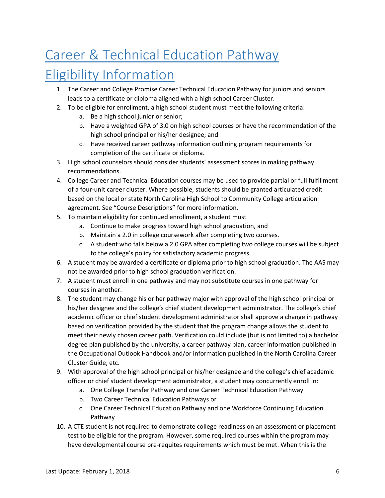# <span id="page-6-0"></span>Career & Technical Education Pathway

## Eligibility Information

- 1. The Career and College Promise Career Technical Education Pathway for juniors and seniors leads to a certificate or diploma aligned with a high school Career Cluster.
- 2. To be eligible for enrollment, a high school student must meet the following criteria:
	- a. Be a high school junior or senior;
	- b. Have a weighted GPA of 3.0 on high school courses or have the recommendation of the high school principal or his/her designee; and
	- c. Have received career pathway information outlining program requirements for completion of the certificate or diploma.
- 3. High school counselors should consider students' assessment scores in making pathway recommendations.
- 4. College Career and Technical Education courses may be used to provide partial or full fulfillment of a four-unit career cluster. Where possible, students should be granted articulated credit based on the local or state North Carolina High School to Community College articulation agreement. See "Course Descriptions" for more information.
- 5. To maintain eligibility for continued enrollment, a student must
	- a. Continue to make progress toward high school graduation, and
	- b. Maintain a 2.0 in college coursework after completing two courses.
	- c. A student who falls below a 2.0 GPA after completing two college courses will be subject to the college's policy for satisfactory academic progress.
- 6. A student may be awarded a certificate or diploma prior to high school graduation. The AAS may not be awarded prior to high school graduation verification.
- 7. A student must enroll in one pathway and may not substitute courses in one pathway for courses in another.
- 8. The student may change his or her pathway major with approval of the high school principal or his/her designee and the college's chief student development administrator. The college's chief academic officer or chief student development administrator shall approve a change in pathway based on verification provided by the student that the program change allows the student to meet their newly chosen career path. Verification could include (but is not limited to) a bachelor degree plan published by the university, a career pathway plan, career information published in the Occupational Outlook Handbook and/or information published in the North Carolina Career Cluster Guide, etc.
- 9. With approval of the high school principal or his/her designee and the college's chief academic officer or chief student development administrator, a student may concurrently enroll in:
	- a. One College Transfer Pathway and one Career Technical Education Pathway
	- b. Two Career Technical Education Pathways or
	- c. One Career Technical Education Pathway and one Workforce Continuing Education Pathway
- 10. A CTE student is not required to demonstrate college readiness on an assessment or placement test to be eligible for the program. However, some required courses within the program may have developmental course pre-requites requirements which must be met. When this is the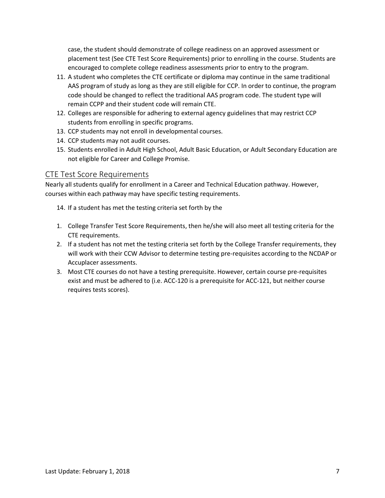case, the student should demonstrate of college readiness on an approved assessment or placement test (Se[e CTE Test Score Requirements\)](#page-7-0) prior to enrolling in the course. Students are encouraged to complete college readiness assessments prior to entry to the program.

- 11. A student who completes the CTE certificate or diploma may continue in the same traditional AAS program of study as long as they are still eligible for CCP. In order to continue, the program code should be changed to reflect the traditional AAS program code. The student type will remain CCPP and their student code will remain CTE.
- 12. Colleges are responsible for adhering to external agency guidelines that may restrict CCP students from enrolling in specific programs.
- 13. CCP students may not enroll in developmental courses.
- 14. CCP students may not audit courses.
- 15. Students enrolled in Adult High School, Adult Basic Education, or Adult Secondary Education are not eligible for Career and College Promise.

#### <span id="page-7-0"></span>CTE Test Score Requirements

Nearly all students qualify for enrollment in a Career and Technical Education pathway. However, courses within each pathway may have specific testing requirements.

- 14. If a student has met the testing criteria set forth by the
- 1. [College Transfer Test Score Requirements,](#page-4-1) then he/she will also meet all testing criteria for the CTE requirements.
- 2. If a student has not met the testing criteria set forth by the College Transfer requirements, they will work with their CCW Advisor to determine testing pre-requisites according to the NCDAP or Accuplacer assessments.
- 3. Most CTE courses do not have a testing prerequisite. However, certain course pre-requisites exist and must be adhered to (i.e. ACC-120 is a prerequisite for ACC-121, but neither course requires tests scores).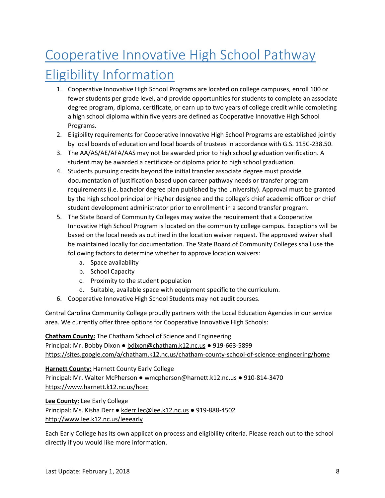# <span id="page-8-0"></span>Cooperative Innovative High School Pathway Eligibility Information

- 1. Cooperative Innovative High School Programs are located on college campuses, enroll 100 or fewer students per grade level, and provide opportunities for students to complete an associate degree program, diploma, certificate, or earn up to two years of college credit while completing a high school diploma within five years are defined as Cooperative Innovative High School Programs.
- 2. Eligibility requirements for Cooperative Innovative High School Programs are established jointly by local boards of education and local boards of trustees in accordance with G.S. 115C-238.50.
- 3. The AA/AS/AE/AFA/AAS may not be awarded prior to high school graduation verification. A student may be awarded a certificate or diploma prior to high school graduation.
- 4. Students pursuing credits beyond the initial transfer associate degree must provide documentation of justification based upon career pathway needs or transfer program requirements (i.e. bachelor degree plan published by the university). Approval must be granted by the high school principal or his/her designee and the college's chief academic officer or chief student development administrator prior to enrollment in a second transfer program.
- 5. The State Board of Community Colleges may waive the requirement that a Cooperative Innovative High School Program is located on the community college campus. Exceptions will be based on the local needs as outlined in the location waiver request. The approved waiver shall be maintained locally for documentation. The State Board of Community Colleges shall use the following factors to determine whether to approve location waivers:
	- a. Space availability
	- b. School Capacity
	- c. Proximity to the student population
	- d. Suitable, available space with equipment specific to the curriculum.
- 6. Cooperative Innovative High School Students may not audit courses.

Central Carolina Community College proudly partners with the Local Education Agencies in our service area. We currently offer three options for Cooperative Innovative High Schools:

**Chatham County:** The Chatham School of Science and Engineering Principal: Mr. Bobby Dixon ● [bdixon@chatham.k12.nc.us](mailto:bdixon@chatham.k12.nc.us) ● 919-663-5899 <https://sites.google.com/a/chatham.k12.nc.us/chatham-county-school-of-science-engineering/home>

**Harnett County:** Harnett County Early College Principal: Mr. Walter McPherson ● [wmcpherson@harnett.k12.nc.us](mailto:wmcpherson@harnett.k12.nc.us) ● 910-814-3470 <https://www.harnett.k12.nc.us/hcec>

**Lee County:** Lee Early College

Principal: Ms. Kisha Derr · [kderr.lec@lee.k12.nc.us](mailto:kderr.lec@lee.k12.nc.us) · 919-888-4502 <http://www.lee.k12.nc.us/leeearly>

Each Early College has its own application process and eligibility criteria. Please reach out to the school directly if you would like more information.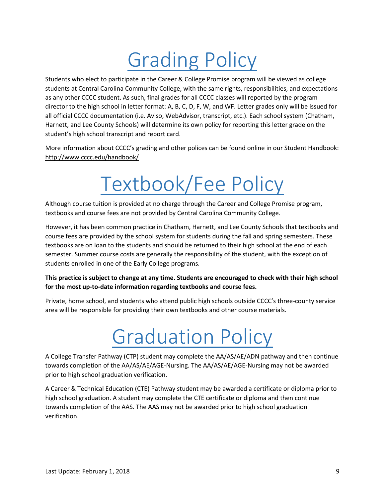# Grading Policy

<span id="page-9-0"></span>Students who elect to participate in the Career & College Promise program will be viewed as college students at Central Carolina Community College, with the same rights, responsibilities, and expectations as any other CCCC student. As such, final grades for all CCCC classes will reported by the program director to the high school in letter format: A, B, C, D, F, W, and WF. Letter grades only will be issued for all official CCCC documentation (i.e. Aviso, WebAdvisor, transcript, etc.). Each school system (Chatham, Harnett, and Lee County Schools) will determine its own policy for reporting this letter grade on the student's high school transcript and report card.

<span id="page-9-1"></span>More information about CCCC's grading and other polices can be found online in our Student Handbook: <http://www.cccc.edu/handbook/>

# Textbook/Fee Policy

Although course tuition is provided at no charge through the Career and College Promise program, textbooks and course fees are not provided by Central Carolina Community College.

However, it has been common practice in Chatham, Harnett, and Lee County Schools that textbooks and course fees are provided by the school system for students during the fall and spring semesters. These textbooks are on loan to the students and should be returned to their high school at the end of each semester. Summer course costs are generally the responsibility of the student, with the exception of students enrolled in one of the Early College programs.

#### **This practice is subject to change at any time. Students are encouraged to check with their high school for the most up-to-date information regarding textbooks and course fees.**

<span id="page-9-2"></span>Private, home school, and students who attend public high schools outside CCCC's three-county service area will be responsible for providing their own textbooks and other course materials.

# Graduation Policy

A College Transfer Pathway (CTP) student may complete the AA/AS/AE/ADN pathway and then continue towards completion of the AA/AS/AE/AGE-Nursing. The AA/AS/AE/AGE-Nursing may not be awarded prior to high school graduation verification.

A Career & Technical Education (CTE) Pathway student may be awarded a certificate or diploma prior to high school graduation. A student may complete the CTE certificate or diploma and then continue towards completion of the AAS. The AAS may not be awarded prior to high school graduation verification.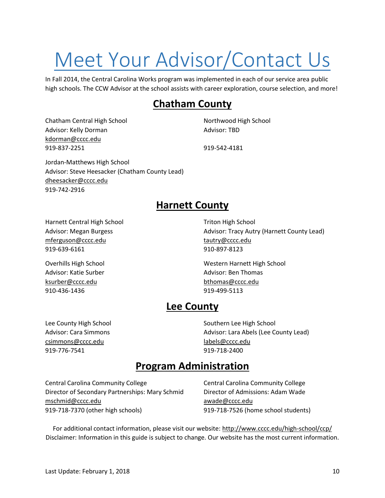# <span id="page-10-0"></span>Meet Your Advisor/Contact Us

In Fall 2014, the Central Carolina Works program was implemented in each of our service area public high schools. The CCW Advisor at the school assists with career exploration, course selection, and more!

### **Chatham County**

Chatham Central High School Northwood High School Advisor: Kelly Dorman Advisor: TBD [kdorman@cccc.edu](mailto:kdorman@cccc.edu) 919-837-2251 919-542-4181

Jordan-Matthews High School Advisor: Steve Heesacker (Chatham County Lead) [dheesacker@cccc.edu](mailto:dheesacker@cccc.edu) 919-742-2916

### **Harnett County**

Harnett Central High School Triton High School Triton High School [mferguson@cccc.edu](mailto:mferguson@cccc.edu) [tautry@cccc.edu](mailto:tautry@cccc.edu) 919-639-6161 910-897-8123

Advisor: Katie Surber Advisor: Ben Thomas [ksurber@cccc.edu](mailto:ksurber@cccc.edu) [bthomas@cccc.edu](mailto:bthomas@cccc.edu) 910-436-1436 919-499-5113

Advisor: Megan Burgess **Advisor: Tracy Autry (Harnett County Lead)** Advisor: Tracy Autry (Harnett County Lead)

Overhills High School Western Harnett High School

### **Lee County**

[csimmons@cccc.edu](mailto:csimmons@cccc.edu) [labels@cccc.edu](mailto:labels@cccc.edu) 919-776-7541 919-718-2400

Lee County High School Southern Lee High School Southern Lee High School Advisor: Cara Simmons **Advisor: Lara Abels (Lee County Lead)** Advisor: Lara Abels (Lee County Lead)

### **Program Administration**

Central Carolina Community College Central Carolina Community College Director of Secondary Partnerships: Mary Schmid Director of Admissions: Adam Wade [mschmid@cccc.edu](mailto:mschmid@cccc.edu) [awade@cccc.edu](mailto:awade@cccc.edu) 919-718-7370 (other high schools) 919-718-7526 (home school students)

For additional contact information, please visit our website:<http://www.cccc.edu/high-school/ccp/> Disclaimer: Information in this guide is subject to change. Our website has the most current information.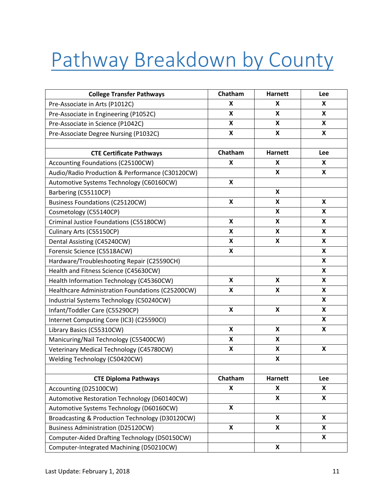# <span id="page-11-0"></span>Pathway Breakdown by County

| <b>College Transfer Pathways</b>                 | Chatham | <b>Harnett</b>            | Lee |
|--------------------------------------------------|---------|---------------------------|-----|
| Pre-Associate in Arts (P1012C)                   | X       | X                         | X.  |
| Pre-Associate in Engineering (P1052C)            | X       | X                         | X   |
| Pre-Associate in Science (P1042C)                | X       | X                         | X   |
| Pre-Associate Degree Nursing (P1032C)            | X       | X                         | X   |
|                                                  |         |                           |     |
| <b>CTE Certificate Pathways</b>                  | Chatham | <b>Harnett</b>            | Lee |
| Accounting Foundations (C25100CW)                | X       | X                         | X   |
| Audio/Radio Production & Performance (C30120CW)  |         | X                         | X   |
| Automotive Systems Technology (C60160CW)         | X       |                           |     |
| Barbering (C55110CP)                             |         | X                         |     |
| <b>Business Foundations (C25120CW)</b>           | X       | X                         | X   |
| Cosmetology (C55140CP)                           |         | X                         | X   |
| Criminal Justice Foundations (C55180CW)          | X       | X                         | X   |
| Culinary Arts (C55150CP)                         | X       | X                         | X   |
| Dental Assisting (C45240CW)                      | X       | X                         | X   |
| Forensic Science (C5518ACW)                      | X       |                           | X   |
| Hardware/Troubleshooting Repair (C25590CH)       |         |                           | X   |
| Health and Fitness Science (C45630CW)            |         |                           | X   |
| Health Information Technology (C45360CW)         | X       | X                         | X   |
| Healthcare Administration Foundations (C25200CW) | X       | X                         | X   |
| Industrial Systems Technology (C50240CW)         |         |                           | X   |
| Infant/Toddler Care (C55290CP)                   | X       | $\boldsymbol{\mathsf{x}}$ | X   |
| Internet Computing Core (IC3) (C25590CI)         |         |                           | X   |
| Library Basics (C55310CW)                        | X       | X                         | X   |
| Manicuring/Nail Technology (C55400CW)            | X       | X                         |     |
| Veterinary Medical Technology (C45780CW)         | X       | X                         | X   |
| Welding Technology (C50420CW)                    |         | $\boldsymbol{\mathsf{x}}$ |     |
|                                                  |         |                           |     |
| <b>CTE Diploma Pathways</b>                      | Chatham | <b>Harnett</b>            | Lee |
| Accounting (D25100CW)                            | X       | X                         | X   |
| Automotive Restoration Technology (D60140CW)     |         | X                         | X   |
| Automotive Systems Technology (D60160CW)         | X       |                           |     |
| Broadcasting & Production Technology (D30120CW)  |         | X                         | X   |
| <b>Business Administration (D25120CW)</b>        | X       | X                         | X   |
| Computer-Aided Drafting Technology (D50150CW)    |         |                           | X   |
| Computer-Integrated Machining (D50210CW)         |         | X                         |     |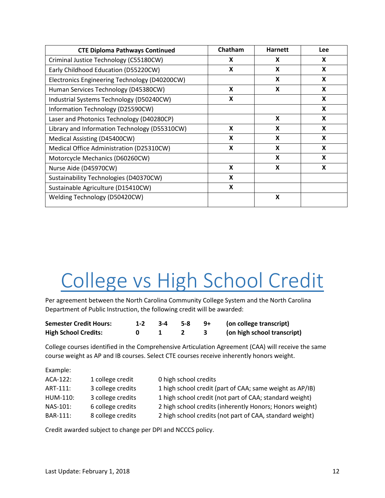| <b>CTE Diploma Pathways Continued</b>         | Chatham | <b>Harnett</b> | Lee |
|-----------------------------------------------|---------|----------------|-----|
| Criminal Justice Technology (C55180CW)        | X       | X              | X   |
| Early Childhood Education (D55220CW)          | X       | X              | X   |
| Electronics Engineering Technology (D40200CW) |         | X              | X   |
| Human Services Technology (D45380CW)          | X       | X              | X   |
| Industrial Systems Technology (D50240CW)      | X       |                | X   |
| Information Technology (D25590CW)             |         |                | X   |
| Laser and Photonics Technology (D40280CP)     |         | X              | X   |
| Library and Information Technology (D55310CW) | X       | X              | X   |
| Medical Assisting (D45400CW)                  | X       | X              | X   |
| Medical Office Administration (D25310CW)      | X       | X              | X   |
| Motorcycle Mechanics (D60260CW)               |         | X              | X   |
| Nurse Aide (D45970CW)                         | X       | X              | X   |
| Sustainability Technologies (D40370CW)        | X       |                |     |
| Sustainable Agriculture (D15410CW)            | X       |                |     |
| Welding Technology (D50420CW)                 |         | X              |     |

# <span id="page-12-0"></span>College vs High School Credit

Per agreement between the North Carolina Community College System and the North Carolina Department of Public Instruction, the following credit will be awarded:

| <b>Semester Credit Hours:</b> | 3-4 5-8 |  | 9+ (on college transcript)  |
|-------------------------------|---------|--|-----------------------------|
| <b>High School Credits:</b>   |         |  | (on high school transcript) |

College courses identified in the Comprehensive Articulation Agreement (CAA) will receive the same course weight as AP and IB courses. Select CTE courses receive inherently honors weight.

| Example: |  |
|----------|--|
|----------|--|

| ACA-122: | 1 college credit  | 0 high school credits                                    |
|----------|-------------------|----------------------------------------------------------|
| ART-111: | 3 college credits | 1 high school credit (part of CAA; same weight as AP/IB) |
| HUM-110: | 3 college credits | 1 high school credit (not part of CAA; standard weight)  |
| NAS-101: | 6 college credits | 2 high school credits (inherently Honors; Honors weight) |
| BAR-111: | 8 college credits | 2 high school credits (not part of CAA, standard weight) |

Credit awarded subject to change per DPI and NCCCS policy.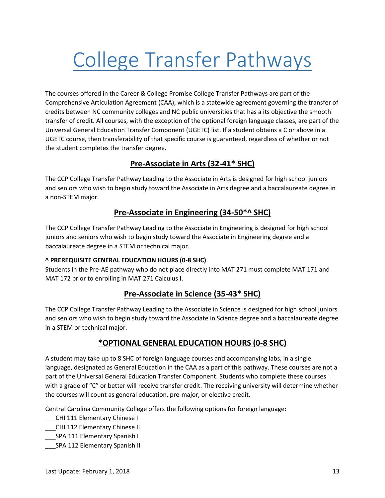# <span id="page-13-0"></span>College Transfer Pathways

The courses offered in the Career & College Promise College Transfer Pathways are part of the Comprehensive Articulation Agreement (CAA), which is a statewide agreement governing the transfer of credits between NC community colleges and NC public universities that has a its objective the smooth transfer of credit. All courses, with the exception of the optional foreign language classes, are part of the Universal General Education Transfer Component (UGETC) list. If a student obtains a C or above in a UGETC course, then transferability of that specific course is guaranteed, regardless of whether or not the student completes the transfer degree.

#### **Pre-Associate in Arts (32-41\* SHC)**

The CCP College Transfer Pathway Leading to the Associate in Arts is designed for high school juniors and seniors who wish to begin study toward the Associate in Arts degree and a baccalaureate degree in a non-STEM major.

#### **Pre-Associate in Engineering (34-50\*^ SHC)**

The CCP College Transfer Pathway Leading to the Associate in Engineering is designed for high school juniors and seniors who wish to begin study toward the Associate in Engineering degree and a baccalaureate degree in a STEM or technical major.

#### **^ PREREQUISITE GENERAL EDUCATION HOURS (0-8 SHC)**

Students in the Pre-AE pathway who do not place directly into MAT 271 must complete MAT 171 and MAT 172 prior to enrolling in MAT 271 Calculus I.

#### **Pre-Associate in Science (35-43\* SHC)**

The CCP College Transfer Pathway Leading to the Associate in Science is designed for high school juniors and seniors who wish to begin study toward the Associate in Science degree and a baccalaureate degree in a STEM or technical major.

#### **\*OPTIONAL GENERAL EDUCATION HOURS (0-8 SHC)**

A student may take up to 8 SHC of foreign language courses and accompanying labs, in a single language, designated as General Education in the CAA as a part of this pathway. These courses are not a part of the Universal General Education Transfer Component. Students who complete these courses with a grade of "C" or better will receive transfer credit. The receiving university will determine whether the courses will count as general education, pre-major, or elective credit.

Central Carolina Community College offers the following options for foreign language:

- \_\_\_CHI 111 Elementary Chinese I
- \_\_\_CHI 112 Elementary Chinese II
- \_\_\_SPA 111 Elementary Spanish I
- \_\_\_SPA 112 Elementary Spanish II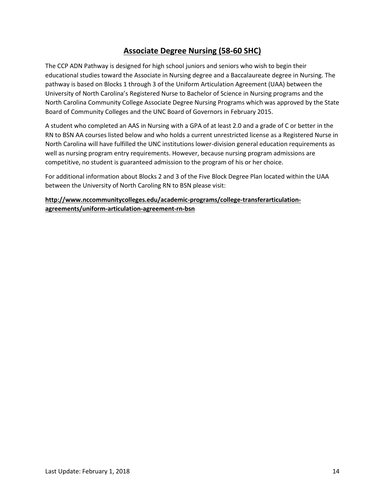#### **Associate Degree Nursing (58-60 SHC)**

The CCP ADN Pathway is designed for high school juniors and seniors who wish to begin their educational studies toward the Associate in Nursing degree and a Baccalaureate degree in Nursing. The pathway is based on Blocks 1 through 3 of the Uniform Articulation Agreement (UAA) between the University of North Carolina's Registered Nurse to Bachelor of Science in Nursing programs and the North Carolina Community College Associate Degree Nursing Programs which was approved by the State Board of Community Colleges and the UNC Board of Governors in February 2015.

A student who completed an AAS in Nursing with a GPA of at least 2.0 and a grade of C or better in the RN to BSN AA courses listed below and who holds a current unrestricted license as a Registered Nurse in North Carolina will have fulfilled the UNC institutions lower-division general education requirements as well as nursing program entry requirements. However, because nursing program admissions are competitive, no student is guaranteed admission to the program of his or her choice.

For additional information about Blocks 2 and 3 of the Five Block Degree Plan located within the UAA between the University of North Caroling RN to BSN please visit:

**http://www.nccommunitycolleges.edu/academic-programs/college-transferarticulationagreements/uniform-articulation-agreement-rn-bsn**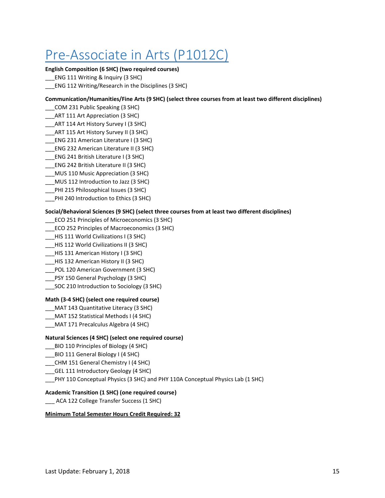## <span id="page-15-0"></span>Pre-Associate in Arts (P1012C)

#### **English Composition (6 SHC) (two required courses)**

- \_\_\_ENG 111 Writing & Inquiry (3 SHC)
- \_\_\_ENG 112 Writing/Research in the Disciplines (3 SHC)

#### **Communication/Humanities/Fine Arts (9 SHC) (select three courses from at least two different disciplines)**

- \_\_\_COM 231 Public Speaking (3 SHC)
- \_\_\_ART 111 Art Appreciation (3 SHC)
- \_\_\_ART 114 Art History Survey I (3 SHC)
- ART 115 Art History Survey II (3 SHC)
- \_\_\_ENG 231 American Literature I (3 SHC)
- \_\_\_ENG 232 American Literature II (3 SHC)
- \_\_\_ENG 241 British Literature I (3 SHC)
- \_\_\_ENG 242 British Literature II (3 SHC)
- \_\_\_MUS 110 Music Appreciation (3 SHC)
- \_\_\_MUS 112 Introduction to Jazz (3 SHC)
- PHI 215 Philosophical Issues (3 SHC)
- \_\_\_PHI 240 Introduction to Ethics (3 SHC)

#### **Social/Behavioral Sciences (9 SHC) (select three courses from at least two different disciplines)**

- \_\_\_ECO 251 Principles of Microeconomics (3 SHC)
- \_\_\_ECO 252 Principles of Macroeconomics (3 SHC)
- \_\_\_HIS 111 World Civilizations I (3 SHC)
- \_\_\_HIS 112 World Civilizations II (3 SHC)
- \_\_\_HIS 131 American History I (3 SHC)
- \_\_\_HIS 132 American History II (3 SHC)
- \_\_\_POL 120 American Government (3 SHC)
- PSY 150 General Psychology (3 SHC)
- SOC 210 Introduction to Sociology (3 SHC)

#### **Math (3-4 SHC) (select one required course)**

- \_\_\_MAT 143 Quantitative Literacy (3 SHC)
- \_\_\_MAT 152 Statistical Methods I (4 SHC)
- \_\_\_MAT 171 Precalculus Algebra (4 SHC)

#### **Natural Sciences (4 SHC) (select one required course)**

- \_\_\_BIO 110 Principles of Biology (4 SHC)
- \_\_\_BIO 111 General Biology I (4 SHC)
- \_\_\_CHM 151 General Chemistry I (4 SHC)
- GEL 111 Introductory Geology (4 SHC)
- PHY 110 Conceptual Physics (3 SHC) and PHY 110A Conceptual Physics Lab (1 SHC)

#### **Academic Transition (1 SHC) (one required course)**

\_\_\_ ACA 122 College Transfer Success (1 SHC)

#### **Minimum Total Semester Hours Credit Required: 32**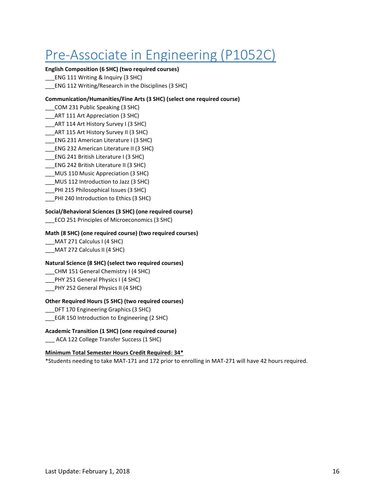## <span id="page-16-0"></span>Pre-Associate in Engineering (P1052C)

#### **English Composition (6 SHC) (two required courses)**

- \_\_\_ENG 111 Writing & Inquiry (3 SHC)
- \_\_\_ENG 112 Writing/Research in the Disciplines (3 SHC)

#### **Communication/Humanities/Fine Arts (3 SHC) (select one required course)**

- \_\_\_COM 231 Public Speaking (3 SHC)
- \_\_\_ART 111 Art Appreciation (3 SHC)
- \_\_\_ART 114 Art History Survey I (3 SHC)
- ART 115 Art History Survey II (3 SHC)
- \_\_\_ENG 231 American Literature I (3 SHC)
- \_\_\_ENG 232 American Literature II (3 SHC)
- \_\_\_ENG 241 British Literature I (3 SHC)
- \_\_\_ENG 242 British Literature II (3 SHC)
- \_\_\_MUS 110 Music Appreciation (3 SHC)
- \_\_\_MUS 112 Introduction to Jazz (3 SHC)
- \_\_\_PHI 215 Philosophical Issues (3 SHC)
- \_\_\_PHI 240 Introduction to Ethics (3 SHC)

#### **Social/Behavioral Sciences (3 SHC) (one required course)**

\_\_\_ECO 251 Principles of Microeconomics (3 SHC)

#### **Math (8 SHC) (one required course) (two required courses)**

- \_\_\_MAT 271 Calculus I (4 SHC)
- \_\_\_MAT 272 Calculus II (4 SHC)

#### **Natural Science (8 SHC) (select two required courses)**

- \_\_\_CHM 151 General Chemistry I (4 SHC)
- \_\_\_PHY 251 General Physics I (4 SHC)
- \_\_\_PHY 252 General Physics II (4 SHC)

#### **Other Required Hours (5 SHC) (two required courses)**

\_\_\_DFT 170 Engineering Graphics (3 SHC)

EGR 150 Introduction to Engineering (2 SHC)

#### **Academic Transition (1 SHC) (one required course)**

ACA 122 College Transfer Success (1 SHC)

#### **Minimum Total Semester Hours Credit Required: 34\***

\*Students needing to take MAT-171 and 172 prior to enrolling in MAT-271 will have 42 hours required.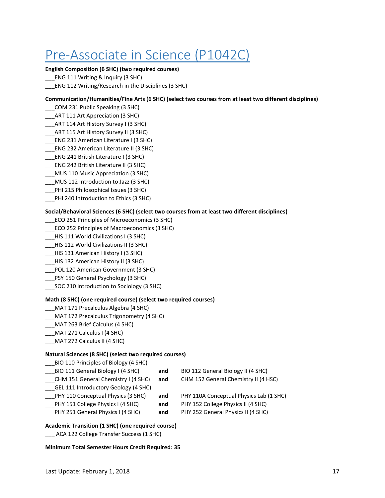## <span id="page-17-0"></span>Pre-Associate in Science (P1042C)

#### **English Composition (6 SHC) (two required courses)**

- \_\_\_ENG 111 Writing & Inquiry (3 SHC)
- \_\_\_ENG 112 Writing/Research in the Disciplines (3 SHC)

#### **Communication/Humanities/Fine Arts (6 SHC) (select two courses from at least two different disciplines)**

- \_\_\_COM 231 Public Speaking (3 SHC)
- \_\_\_ART 111 Art Appreciation (3 SHC)
- \_\_\_ART 114 Art History Survey I (3 SHC)
- \_\_\_ART 115 Art History Survey II (3 SHC)
- \_\_\_ENG 231 American Literature I (3 SHC)
- \_\_\_ENG 232 American Literature II (3 SHC)
- \_\_\_ENG 241 British Literature I (3 SHC)
- \_\_\_ENG 242 British Literature II (3 SHC)
- \_\_\_MUS 110 Music Appreciation (3 SHC)
- \_\_\_MUS 112 Introduction to Jazz (3 SHC)
- PHI 215 Philosophical Issues (3 SHC)
- \_\_\_PHI 240 Introduction to Ethics (3 SHC)

#### **Social/Behavioral Sciences (6 SHC) (select two courses from at least two different disciplines)**

- \_\_\_ECO 251 Principles of Microeconomics (3 SHC)
- \_\_\_ECO 252 Principles of Macroeconomics (3 SHC)
- \_\_\_HIS 111 World Civilizations I (3 SHC)
- \_\_\_HIS 112 World Civilizations II (3 SHC)
- \_\_\_HIS 131 American History I (3 SHC)
- \_\_\_HIS 132 American History II (3 SHC)
- \_\_\_POL 120 American Government (3 SHC)
- \_\_\_PSY 150 General Psychology (3 SHC)
- SOC 210 Introduction to Sociology (3 SHC)

#### **Math (8 SHC) (one required course) (select two required courses)**

- \_\_\_MAT 171 Precalculus Algebra (4 SHC)
- MAT 172 Precalculus Trigonometry (4 SHC)
- \_\_\_MAT 263 Brief Calculus (4 SHC)
- \_\_\_MAT 271 Calculus I (4 SHC)
- \_\_\_MAT 272 Calculus II (4 SHC)

#### **Natural Sciences (8 SHC) (select two required courses)**

| BIO 110 Principles of Biology (4 SHC) |     |                                         |
|---------------------------------------|-----|-----------------------------------------|
| BIO 111 General Biology I (4 SHC)     | and | BIO 112 General Biology II (4 SHC)      |
| CHM 151 General Chemistry I (4 SHC)   | and | CHM 152 General Chemistry II (4 HSC)    |
| GEL 111 Introductory Geology (4 SHC)  |     |                                         |
| PHY 110 Conceptual Physics (3 SHC)    | and | PHY 110A Conceptual Physics Lab (1 SHC) |
| PHY 151 College Physics I (4 SHC)     | and | PHY 152 College Physics II (4 SHC)      |
| PHY 251 General Physics I (4 SHC)     | and | PHY 252 General Physics II (4 SHC)      |
|                                       |     |                                         |

#### **Academic Transition (1 SHC) (one required course)**

ACA 122 College Transfer Success (1 SHC)

**Minimum Total Semester Hours Credit Required: 35**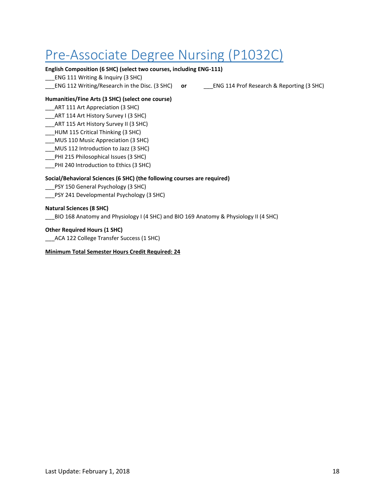## <span id="page-18-0"></span>Pre-Associate Degree Nursing (P1032C)

#### **English Composition (6 SHC) (select two courses, including ENG-111)**

\_\_\_ENG 111 Writing & Inquiry (3 SHC)

\_\_\_ENG 112 Writing/Research in the Disc. (3 SHC) **or** \_\_\_ENG 114 Prof Research & Reporting (3 SHC)

#### **Humanities/Fine Arts (3 SHC) (select one course)**

\_\_\_ART 111 Art Appreciation (3 SHC)

\_\_\_ART 114 Art History Survey I (3 SHC)

- ART 115 Art History Survey II (3 SHC)
- \_\_\_HUM 115 Critical Thinking (3 SHC)
- \_\_\_MUS 110 Music Appreciation (3 SHC)
- \_\_\_MUS 112 Introduction to Jazz (3 SHC)
- \_\_\_PHI 215 Philosophical Issues (3 SHC)
- \_\_\_PHI 240 Introduction to Ethics (3 SHC)

#### **Social/Behavioral Sciences (6 SHC) (the following courses are required)**

- \_\_\_PSY 150 General Psychology (3 SHC)
- \_\_\_PSY 241 Developmental Psychology (3 SHC)

#### **Natural Sciences (8 SHC)**

\_\_\_BIO 168 Anatomy and Physiology I (4 SHC) and BIO 169 Anatomy & Physiology II (4 SHC)

#### **Other Required Hours (1 SHC)**

\_\_\_ACA 122 College Transfer Success (1 SHC)

#### **Minimum Total Semester Hours Credit Required: 24**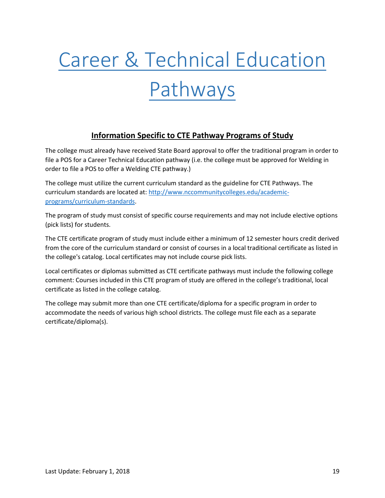# <span id="page-19-0"></span>Career & Technical Education Pathways

#### <span id="page-19-1"></span>**Information Specific to CTE Pathway Programs of Study**

The college must already have received State Board approval to offer the traditional program in order to file a POS for a Career Technical Education pathway (i.e. the college must be approved for Welding in order to file a POS to offer a Welding CTE pathway.)

The college must utilize the current curriculum standard as the guideline for CTE Pathways. The curriculum standards are located at: [http://www.nccommunitycolleges.edu/academic](http://www.nccommunitycolleges.edu/academic-programs/curriculum-standards)[programs/curriculum-standards.](http://www.nccommunitycolleges.edu/academic-programs/curriculum-standards)

The program of study must consist of specific course requirements and may not include elective options (pick lists) for students.

The CTE certificate program of study must include either a minimum of 12 semester hours credit derived from the core of the curriculum standard or consist of courses in a local traditional certificate as listed in the college's catalog. Local certificates may not include course pick lists.

Local certificates or diplomas submitted as CTE certificate pathways must include the following college comment: Courses included in this CTE program of study are offered in the college's traditional, local certificate as listed in the college catalog.

The college may submit more than one CTE certificate/diploma for a specific program in order to accommodate the needs of various high school districts. The college must file each as a separate certificate/diploma(s).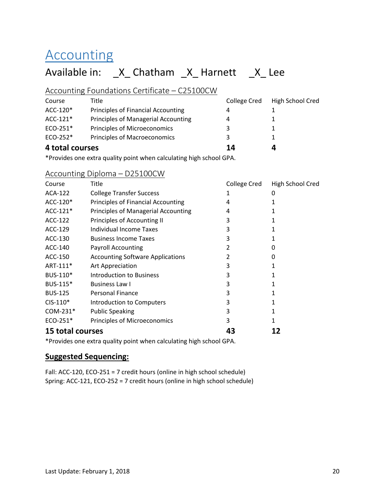## Accounting

## Available in: \_X\_ Chatham \_X\_ Harnett \_X\_ Lee

#### Accounting Foundations Certificate – C25100CW

| 4 total courses |                                           | 14           | Д                |
|-----------------|-------------------------------------------|--------------|------------------|
| ECO-252*        | <b>Principles of Macroeconomics</b>       | 3            |                  |
| ECO-251*        | Principles of Microeconomics              | 3            |                  |
| $ACC-121*$      | Principles of Managerial Accounting       | 4            |                  |
| ACC-120*        | <b>Principles of Financial Accounting</b> | 4            |                  |
| Course          | Title                                     | College Cred | High School Cred |

\*Provides one extra quality point when calculating high school GPA.

#### Accounting Diploma – D25100CW

| Course                  | Title                                     | College Cred | High School Cred |
|-------------------------|-------------------------------------------|--------------|------------------|
| ACA-122                 | <b>College Transfer Success</b>           | 1            | 0                |
| ACC-120*                | <b>Principles of Financial Accounting</b> | 4            |                  |
| ACC-121*                | Principles of Managerial Accounting       | 4            |                  |
| ACC-122                 | Principles of Accounting II               | 3            |                  |
| ACC-129                 | Individual Income Taxes                   | 3            |                  |
| ACC-130                 | <b>Business Income Taxes</b>              | 3            |                  |
| ACC-140                 | <b>Payroll Accounting</b>                 |              | 0                |
| ACC-150                 | <b>Accounting Software Applications</b>   | 2            | 0                |
| ART-111*                | Art Appreciation                          | 3            |                  |
| BUS-110 <sup>*</sup>    | Introduction to Business                  | 3            |                  |
| BUS-115*                | Business Law I                            | 3            |                  |
| <b>BUS-125</b>          | <b>Personal Finance</b>                   | 3            |                  |
| $CIS-110*$              | Introduction to Computers                 | 3            |                  |
| $COM-231*$              | <b>Public Speaking</b>                    | 3            |                  |
| $ECO-251*$              | Principles of Microeconomics              | 3            |                  |
| <b>15 total courses</b> |                                           | 43           |                  |

\*Provides one extra quality point when calculating high school GPA.

#### **Suggested Sequencing:**

Fall: ACC-120, ECO-251 = 7 credit hours (online in high school schedule) Spring: ACC-121, ECO-252 = 7 credit hours (online in high school schedule)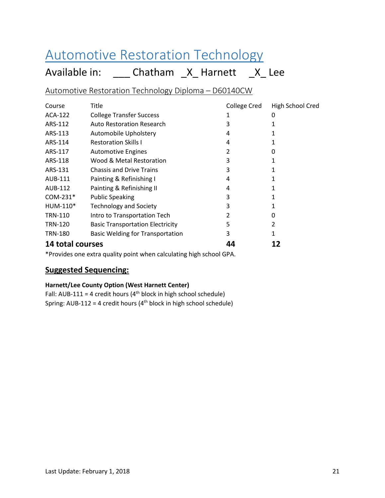## <span id="page-21-0"></span>Automotive Restoration Technology

Available in: \_\_\_\_ Chatham \_X\_ Harnett \_X\_ Lee

Automotive Restoration Technology Diploma – D60140CW

| Course           | Title                                   | <b>College Cred</b> | High School Cred |
|------------------|-----------------------------------------|---------------------|------------------|
| ACA-122          | <b>College Transfer Success</b>         |                     | 0                |
| ARS-112          | <b>Auto Restoration Research</b>        | 3                   |                  |
| ARS-113          | Automobile Upholstery                   | 4                   |                  |
| ARS-114          | <b>Restoration Skills I</b>             | 4                   |                  |
| ARS-117          | <b>Automotive Engines</b>               | 2                   | O                |
| ARS-118          | Wood & Metal Restoration                | 3                   |                  |
| ARS-131          | <b>Chassis and Drive Trains</b>         | 3                   |                  |
| AUB-111          | Painting & Refinishing I                | 4                   |                  |
| AUB-112          | Painting & Refinishing II               | 4                   |                  |
| $COM-231*$       | <b>Public Speaking</b>                  | 3                   |                  |
| $HUM-110*$       | <b>Technology and Society</b>           | 3                   |                  |
| <b>TRN-110</b>   | Intro to Transportation Tech            | 2                   | 0                |
| <b>TRN-120</b>   | <b>Basic Transportation Electricity</b> | 5                   | 2                |
| <b>TRN-180</b>   | <b>Basic Welding for Transportation</b> | 3                   |                  |
| 14 total courses |                                         | 44                  |                  |

\*Provides one extra quality point when calculating high school GPA.

#### **Suggested Sequencing:**

#### **Harnett/Lee County Option (West Harnett Center)**

Fall: AUB-111 = 4 credit hours ( $4<sup>th</sup>$  block in high school schedule) Spring: AUB-112 = 4 credit hours ( $4<sup>th</sup>$  block in high school schedule)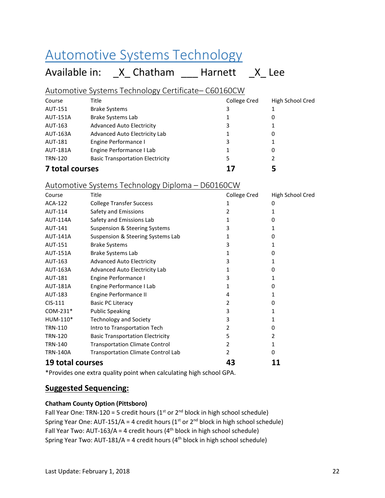## <span id="page-22-0"></span>Automotive Systems Technology

## Available in: \_X\_ Chatham \_\_\_ Harnett \_X\_ Lee

#### Automotive Systems Technology Certificate– C60160CW

| Course          | Title                                   | College Cred | High School Cred |
|-----------------|-----------------------------------------|--------------|------------------|
| AUT-151         | <b>Brake Systems</b>                    | 3            |                  |
| <b>AUT-151A</b> | <b>Brake Systems Lab</b>                |              |                  |
| AUT-163         | <b>Advanced Auto Electricity</b>        | 3            |                  |
| <b>AUT-163A</b> | Advanced Auto Electricity Lab           |              | 0                |
| AUT-181         | Engine Performance I                    | 3            |                  |
| <b>AUT-181A</b> | Engine Performance I Lab                |              | 0                |
| <b>TRN-120</b>  | <b>Basic Transportation Electricity</b> | 5            |                  |
| 7 total courses |                                         | 17           |                  |

#### Automotive Systems Technology Diploma – D60160CW

| Course           | Title                                     | College Cred   | High School Cred |
|------------------|-------------------------------------------|----------------|------------------|
| ACA-122          | <b>College Transfer Success</b>           | 1              | 0                |
| AUT-114          | Safety and Emissions                      | 2              | 1                |
| <b>AUT-114A</b>  | Safety and Emissions Lab                  | 1              | 0                |
| <b>AUT-141</b>   | Suspension & Steering Systems             | 3              | 1                |
| <b>AUT-141A</b>  | Suspension & Steering Systems Lab         | 1              | 0                |
| AUT-151          | <b>Brake Systems</b>                      | 3              | 1                |
| <b>AUT-151A</b>  | <b>Brake Systems Lab</b>                  | 1              | 0                |
| AUT-163          | <b>Advanced Auto Electricity</b>          | 3              | 1                |
| AUT-163A         | Advanced Auto Electricity Lab             | 1              | 0                |
| AUT-181          | Engine Performance I                      | 3              | 1                |
| <b>AUT-181A</b>  | Engine Performance I Lab                  | 1              | 0                |
| AUT-183          | Engine Performance II                     | 4              |                  |
| $CIS-111$        | <b>Basic PC Literacy</b>                  | 2              | 0                |
| $COM-231*$       | <b>Public Speaking</b>                    | 3              |                  |
| HUM-110*         | <b>Technology and Society</b>             | 3              | 1                |
| <b>TRN-110</b>   | Intro to Transportation Tech              | 2              | 0                |
| <b>TRN-120</b>   | <b>Basic Transportation Electricity</b>   | 5              | 2                |
| <b>TRN-140</b>   | <b>Transportation Climate Control</b>     | $\overline{2}$ | 1                |
| <b>TRN-140A</b>  | <b>Transportation Climate Control Lab</b> | 2              | 0                |
| 19 total courses |                                           | 43             |                  |

\*Provides one extra quality point when calculating high school GPA.

#### **Suggested Sequencing:**

#### **Chatham County Option (Pittsboro)**

Fall Year One: TRN-120 = 5 credit hours ( $1<sup>st</sup>$  or  $2<sup>nd</sup>$  block in high school schedule) Spring Year One: AUT-151/A = 4 credit hours ( $1<sup>st</sup>$  or  $2<sup>nd</sup>$  block in high school schedule) Fall Year Two: AUT-163/A = 4 credit hours ( $4<sup>th</sup>$  block in high school schedule) Spring Year Two: AUT-181/A = 4 credit hours ( $4<sup>th</sup>$  block in high school schedule)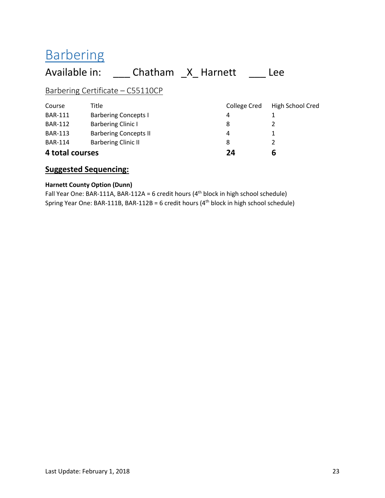## <span id="page-23-0"></span>**Barbering**

### Available in: \_\_\_\_ Chatham \_X\_ Harnett \_\_\_\_ Lee Barbering Certificate – C55110CP Course Title College Cred High School Cred BAR-111 Barbering Concepts I 4 1 BAR-112 Barbering Clinic I 8 2 BAR-113 Barbering Concepts II 1 1 BAR-114 Barbering Clinic II 8 2 **4 total courses 24 6**

#### **Suggested Sequencing:**

#### **Harnett County Option (Dunn)**

Fall Year One: BAR-111A, BAR-112A = 6 credit hours  $(4<sup>th</sup>$  block in high school schedule) Spring Year One: BAR-111B, BAR-112B = 6 credit hours  $(4<sup>th</sup>$  block in high school schedule)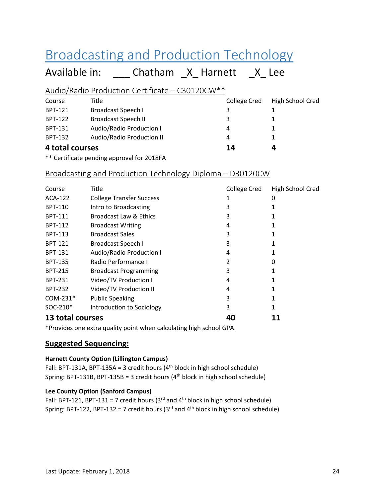## <span id="page-24-0"></span>Broadcasting and Production Technology

Available in: \_\_\_\_ Chatham \_X\_ Harnett \_X\_ Lee

#### Audio/Radio Production Certificate – C30120CW\*\*

| Course          | Title                      | College Cred | High School Cred |
|-----------------|----------------------------|--------------|------------------|
| BPT-121         | Broadcast Speech I         | 3            |                  |
| BPT-122         | <b>Broadcast Speech II</b> | 3            |                  |
| BPT-131         | Audio/Radio Production I   | 4            |                  |
| BPT-132         | Audio/Radio Production II  | 4            |                  |
| 4 total courses |                            | 14           | 4                |

\*\* Certificate pending approval for 2018FA

#### Broadcasting and Production Technology Diploma – D30120CW

| Course               | Title                           | <b>College Cred</b> | High School Cred |
|----------------------|---------------------------------|---------------------|------------------|
| ACA-122              | <b>College Transfer Success</b> |                     | O                |
| <b>BPT-110</b>       | Intro to Broadcasting           |                     |                  |
| <b>BPT-111</b>       | Broadcast Law & Ethics          | 3                   |                  |
| <b>BPT-112</b>       | <b>Broadcast Writing</b>        | 4                   |                  |
| <b>BPT-113</b>       | <b>Broadcast Sales</b>          | 3                   |                  |
| <b>BPT-121</b>       | <b>Broadcast Speech I</b>       | ੨                   |                  |
| <b>BPT-131</b>       | Audio/Radio Production I        | 4                   |                  |
| <b>BPT-135</b>       | Radio Performance I             |                     | 0                |
| <b>BPT-215</b>       | <b>Broadcast Programming</b>    | 3                   |                  |
| <b>BPT-231</b>       | Video/TV Production I           | 4                   |                  |
| <b>BPT-232</b>       | Video/TV Production II          | 4                   |                  |
| COM-231*             | <b>Public Speaking</b>          | 3                   |                  |
| SOC-210 <sup>*</sup> | Introduction to Sociology       |                     |                  |
| 13 total courses     |                                 |                     |                  |

\*Provides one extra quality point when calculating high school GPA.

#### **Suggested Sequencing:**

#### **Harnett County Option (Lillington Campus)**

Fall: BPT-131A, BPT-135A = 3 credit hours  $(4<sup>th</sup>$  block in high school schedule) Spring: BPT-131B, BPT-135B = 3 credit hours  $(4<sup>th</sup>$  block in high school schedule)

#### **Lee County Option (Sanford Campus)**

Fall: BPT-121, BPT-131 = 7 credit hours ( $3<sup>rd</sup>$  and  $4<sup>th</sup>$  block in high school schedule) Spring: BPT-122, BPT-132 = 7 credit hours ( $3<sup>rd</sup>$  and  $4<sup>th</sup>$  block in high school schedule)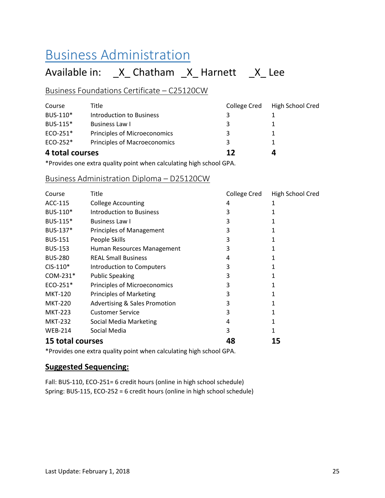## <span id="page-25-0"></span>Business Administration

## Available in: \_X\_ Chatham \_X\_ Harnett \_X\_ Lee

#### Business Foundations Certificate – C25120CW

| 4 total courses |                              |              |                  |
|-----------------|------------------------------|--------------|------------------|
| ECO-252*        | Principles of Macroeconomics | 3            |                  |
| $ECO-251*$      | Principles of Microeconomics | 3            |                  |
| BUS-115*        | Business Law I               | 3            |                  |
| BUS-110*        | Introduction to Business     | 3            |                  |
| Course          | Title                        | College Cred | High School Cred |

\*Provides one extra quality point when calculating high school GPA.

#### Business Administration Diploma – D25120CW

| Course                  | <b>Title</b>                             | College Cred | High School Cred |
|-------------------------|------------------------------------------|--------------|------------------|
| ACC-115                 | <b>College Accounting</b>                | 4            | 1                |
| BUS-110 <sup>*</sup>    | Introduction to Business                 | 3            |                  |
| BUS-115 <sup>*</sup>    | Business Law I                           | 3            |                  |
| BUS-137*                | <b>Principles of Management</b>          | 3            |                  |
| <b>BUS-151</b>          | People Skills                            | 3            |                  |
| <b>BUS-153</b>          | Human Resources Management               | 3            |                  |
| <b>BUS-280</b>          | <b>REAL Small Business</b>               | 4            |                  |
| $CIS-110*$              | Introduction to Computers                | 3            |                  |
| COM-231*                | <b>Public Speaking</b>                   | 3            |                  |
| $ECO-251*$              | Principles of Microeconomics             | 3            |                  |
| <b>MKT-120</b>          | <b>Principles of Marketing</b>           | 3            |                  |
| <b>MKT-220</b>          | <b>Advertising &amp; Sales Promotion</b> | 3            |                  |
| <b>MKT-223</b>          | <b>Customer Service</b>                  | 3            |                  |
| <b>MKT-232</b>          | Social Media Marketing                   | 4            |                  |
| <b>WEB-214</b>          | Social Media                             | 3            |                  |
| <b>15 total courses</b> |                                          | 48           | 15               |

\*Provides one extra quality point when calculating high school GPA.

#### **Suggested Sequencing:**

Fall: BUS-110, ECO-251= 6 credit hours (online in high school schedule) Spring: BUS-115, ECO-252 = 6 credit hours (online in high school schedule)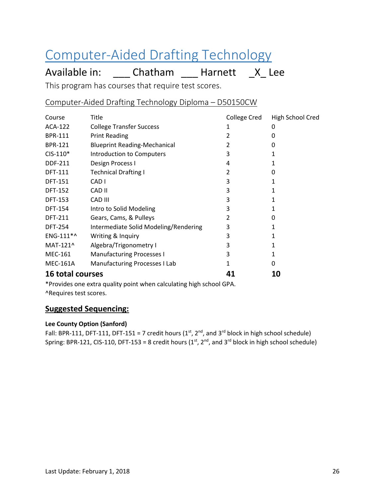## <span id="page-26-0"></span>Computer-Aided Drafting Technology

Available in: \_\_\_\_ Chatham \_\_\_ Harnett \_\_ X\_ Lee

This program has courses that require test scores.

Computer-Aided Drafting Technology Diploma – D50150CW

| Course                  | Title                                 | College Cred | High School Cred |
|-------------------------|---------------------------------------|--------------|------------------|
| ACA-122                 | <b>College Transfer Success</b>       |              | 0                |
| <b>BPR-111</b>          | <b>Print Reading</b>                  |              | 0                |
| <b>BPR-121</b>          | <b>Blueprint Reading-Mechanical</b>   |              | O                |
| $CIS-110*$              | Introduction to Computers             | 3            |                  |
| <b>DDF-211</b>          | Design Process I                      | 4            |                  |
| <b>DFT-111</b>          | <b>Technical Drafting I</b>           | 2            | 0                |
| <b>DFT-151</b>          | CAD <sub>1</sub>                      | 3            |                  |
| <b>DFT-152</b>          | CAD II                                | 3            |                  |
| <b>DFT-153</b>          | CAD III                               | 3            | 1                |
| <b>DFT-154</b>          | Intro to Solid Modeling               | 3            | 1                |
| <b>DFT-211</b>          | Gears, Cams, & Pulleys                | 2            | O                |
| <b>DFT-254</b>          | Intermediate Solid Modeling/Rendering | 3            |                  |
| ENG-111*^               | Writing & Inquiry                     |              |                  |
| MAT-121^                | Algebra/Trigonometry I                |              |                  |
| <b>MEC-161</b>          | <b>Manufacturing Processes I</b>      |              |                  |
| <b>MEC-161A</b>         | <b>Manufacturing Processes I Lab</b>  |              | 0                |
| <b>16 total courses</b> |                                       | 41           | 10               |

\*Provides one extra quality point when calculating high school GPA. ^Requires test scores.

#### **Suggested Sequencing:**

#### **Lee County Option (Sanford)**

Fall: BPR-111, DFT-111, DFT-151 = 7 credit hours ( $1<sup>st</sup>$ ,  $2<sup>nd</sup>$ , and  $3<sup>rd</sup>$  block in high school schedule) Spring: BPR-121, CIS-110, DFT-153 = 8 credit hours  $(1<sup>st</sup>, 2<sup>nd</sup>)$  and 3<sup>rd</sup> block in high school schedule)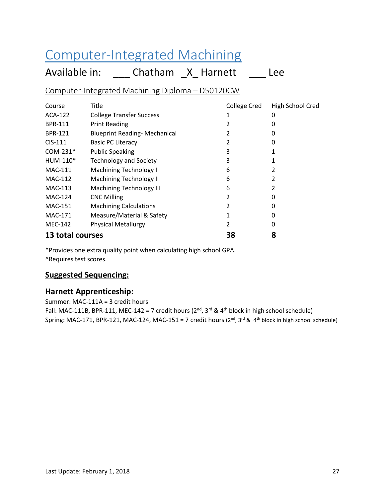## <span id="page-27-0"></span>Computer-Integrated Machining

Available in: \_\_\_\_ Chatham \_X\_ Harnett \_\_\_\_ Lee

Computer-Integrated Machining Diploma – D50120CW

| Course           | Title                                | <b>College Cred</b> | High School Cred |
|------------------|--------------------------------------|---------------------|------------------|
| ACA-122          | <b>College Transfer Success</b>      |                     | 0                |
| <b>BPR-111</b>   | <b>Print Reading</b>                 |                     |                  |
| <b>BPR-121</b>   | <b>Blueprint Reading- Mechanical</b> | 2                   | 0                |
| $CIS-111$        | <b>Basic PC Literacy</b>             | 2                   | 0                |
| COM-231*         | <b>Public Speaking</b>               | 3                   |                  |
| HUM-110*         | <b>Technology and Society</b>        | 3                   |                  |
| <b>MAC-111</b>   | <b>Machining Technology I</b>        | 6                   |                  |
| <b>MAC-112</b>   | Machining Technology II              | 6                   | 2                |
| MAC-113          | <b>Machining Technology III</b>      | 6                   |                  |
| <b>MAC-124</b>   | <b>CNC Milling</b>                   | 2                   | 0                |
| <b>MAC-151</b>   | <b>Machining Calculations</b>        |                     | O                |
| <b>MAC-171</b>   | Measure/Material & Safety            |                     | 0                |
| <b>MEC-142</b>   | <b>Physical Metallurgy</b>           | 2                   | O                |
| 13 total courses |                                      | 38                  | 8                |

\*Provides one extra quality point when calculating high school GPA.

^Requires test scores.

#### **Suggested Sequencing:**

#### **Harnett Apprenticeship:**

Summer: MAC-111A = 3 credit hours Fall: MAC-111B, BPR-111, MEC-142 = 7 credit hours ( $2^{nd}$ ,  $3^{rd}$  &  $4^{th}$  block in high school schedule) Spring: MAC-171, BPR-121, MAC-124, MAC-151 = 7 credit hours (2<sup>nd</sup>, 3<sup>rd</sup> & 4<sup>th</sup> block in high school schedule)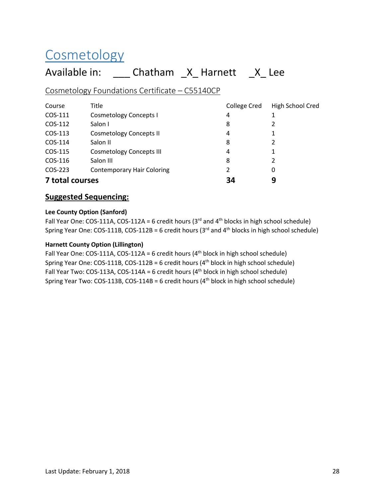# <span id="page-28-0"></span>**Cosmetology**

## Available in: \_\_\_\_ Chatham \_X\_ Harnett \_X\_ Lee

#### Cosmetology Foundations Certificate – C55140CP

| Course          | Title                             | College Cred | High School Cred |
|-----------------|-----------------------------------|--------------|------------------|
| COS-111         | <b>Cosmetology Concepts I</b>     | 4            |                  |
| COS-112         | Salon I                           | 8            | 2                |
| COS-113         | <b>Cosmetology Concepts II</b>    | 4            | 1                |
| COS-114         | Salon II                          | 8            | 2                |
| COS-115         | <b>Cosmetology Concepts III</b>   | 4            | 1                |
| COS-116         | Salon III                         | 8            | 2                |
| COS-223         | <b>Contemporary Hair Coloring</b> | 2            | 0                |
| 7 total courses |                                   | 34           | 9                |

#### **Suggested Sequencing:**

#### **Lee County Option (Sanford)**

Fall Year One: COS-111A, COS-112A = 6 credit hours (3<sup>rd</sup> and 4<sup>th</sup> blocks in high school schedule) Spring Year One: COS-111B, COS-112B = 6 credit hours ( $3<sup>rd</sup>$  and  $4<sup>th</sup>$  blocks in high school schedule)

#### **Harnett County Option (Lillington)**

Fall Year One: COS-111A, COS-112A = 6 credit hours  $(4<sup>th</sup>$  block in high school schedule) Spring Year One: COS-111B, COS-112B = 6 credit hours (4th block in high school schedule) Fall Year Two: COS-113A, COS-114A = 6 credit hours ( $4<sup>th</sup>$  block in high school schedule) Spring Year Two:  $COS-113B$ ,  $COS-114B = 6$  credit hours ( $4<sup>th</sup>$  block in high school schedule)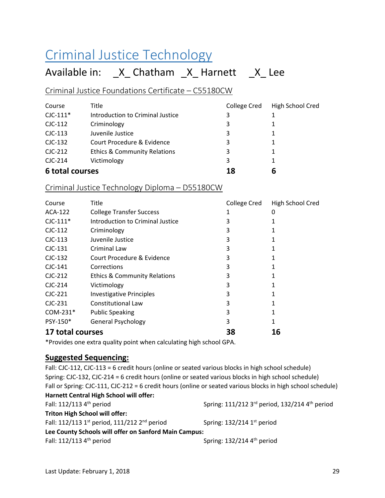## <span id="page-29-0"></span>Criminal Justice Technology

### Available in: \_X\_ Chatham \_X\_ Harnett \_X\_ Lee

#### Criminal Justice Foundations Certificate – C55180CW

| Course          | Title                                   | <b>College Cred</b> | High School Cred |
|-----------------|-----------------------------------------|---------------------|------------------|
| $C$ JC-111 $*$  | Introduction to Criminal Justice        | 3                   |                  |
| $CIC-112$       | Criminology                             | 3                   |                  |
| $CIC-113$       | Juvenile Justice                        | 3                   | 1                |
| $CIC-132$       | Court Procedure & Evidence              | 3                   |                  |
| $CIC-212$       | <b>Ethics &amp; Community Relations</b> | 3                   | 1                |
| $C$ JC-214      | Victimology                             | 3                   | 1                |
| 6 total courses |                                         | 18                  | 6                |

#### Criminal Justice Technology Diploma – D55180CW

| Course           | Title                                   | College Cred | High School Cred |
|------------------|-----------------------------------------|--------------|------------------|
| ACA-122          | <b>College Transfer Success</b>         |              | O                |
| $CIC-111*$       | Introduction to Criminal Justice        |              |                  |
| $CIC-112$        | Criminology                             | 3            |                  |
| $CIC-113$        | Juvenile Justice                        | 3            |                  |
| $CIC-131$        | Criminal Law                            | 3            |                  |
| $CIC-132$        | Court Procedure & Evidence              | 3            |                  |
| $C$ JC-141       | Corrections                             |              |                  |
| $CIC-212$        | <b>Ethics &amp; Community Relations</b> | 3            |                  |
| $C$ JC-214       | Victimology                             |              |                  |
| $CIC-221$        | <b>Investigative Principles</b>         | 3            |                  |
| $CIC-231$        | <b>Constitutional Law</b>               |              |                  |
| $COM-231*$       | <b>Public Speaking</b>                  | 3            |                  |
| PSY-150*         | <b>General Psychology</b>               | 3            |                  |
| 17 total courses |                                         | 38           | 16               |

\*Provides one extra quality point when calculating high school GPA.

#### **Suggested Sequencing:**

Fall: CJC-112, CJC-113 = 6 credit hours (online or seated various blocks in high school schedule) Spring: CJC-132, CJC-214 = 6 credit hours (online or seated various blocks in high school schedule) Fall or Spring: CJC-111, CJC-212 = 6 credit hours (online or seated various blocks in high school schedule) **Harnett Central High School will offer:** Fall: 112/113 4 th period Spring: 111/212 3rd period, 132/214 4 th period **Triton High School will offer:** Fall: 112/113 1<sup>st</sup> period, 111/212 2<sup>nd</sup> period Spring: 132/214 1 Spring:  $132/214$  1st period **Lee County Schools will offer on Sanford Main Campus:** Fall: 112/113 4<sup>th</sup> period Spring: 132/214 4<sup>th</sup> period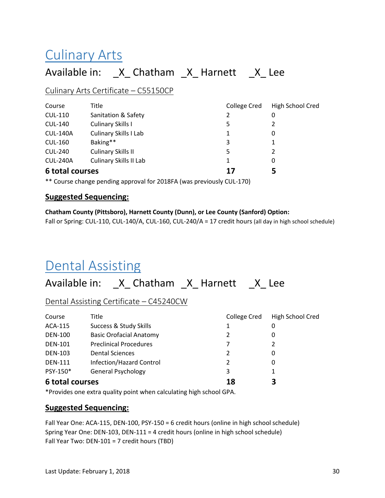## <span id="page-30-0"></span>Culinary Arts

### Available in: \_X\_ Chatham \_X\_ Harnett \_X\_ Lee

#### Culinary Arts Certificate – C55150CP

| Course          | Title                         | College Cred | High School Cred |
|-----------------|-------------------------------|--------------|------------------|
| <b>CUL-110</b>  | Sanitation & Safety           | 2            | 0                |
| <b>CUL-140</b>  | Culinary Skills I             | 5            |                  |
| <b>CUL-140A</b> | <b>Culinary Skills I Lab</b>  | 1            | 0                |
| <b>CUL-160</b>  | Baking**                      | 3            |                  |
| <b>CUL-240</b>  | Culinary Skills II            | 5            | 2                |
| <b>CUL-240A</b> | <b>Culinary Skills II Lab</b> | 1            | 0                |
| 6 total courses |                               | 17           | 5                |

\*\* Course change pending approval for 2018FA (was previously CUL-170)

#### **Suggested Sequencing:**

#### **Chatham County (Pittsboro), Harnett County (Dunn), or Lee County (Sanford) Option:**

Fall or Spring: CUL-110, CUL-140/A, CUL-160, CUL-240/A = 17 credit hours (all day in high school schedule)

## <span id="page-30-1"></span>Dental Assisting

### Available in: \_X\_ Chatham \_X\_ Harnett \_X\_ Lee

Dental Assisting Certificate – C45240CW

| Course          | Title                          | <b>College Cred</b> | High School Cred |
|-----------------|--------------------------------|---------------------|------------------|
| ACA-115         | Success & Study Skills         |                     | 0                |
| <b>DEN-100</b>  | <b>Basic Orofacial Anatomy</b> | 2                   | 0                |
| <b>DEN-101</b>  | <b>Preclinical Procedures</b>  |                     |                  |
| <b>DEN-103</b>  | <b>Dental Sciences</b>         | 2                   | 0                |
| <b>DEN-111</b>  | Infection/Hazard Control       | 2                   | 0                |
| PSY-150*        | <b>General Psychology</b>      | 3                   |                  |
| 6 total courses |                                | 18                  | 3                |

\*Provides one extra quality point when calculating high school GPA.

#### **Suggested Sequencing:**

Fall Year One: ACA-115, DEN-100, PSY-150 = 6 credit hours (online in high school schedule) Spring Year One: DEN-103, DEN-111 = 4 credit hours (online in high school schedule) Fall Year Two: DEN-101 = 7 credit hours (TBD)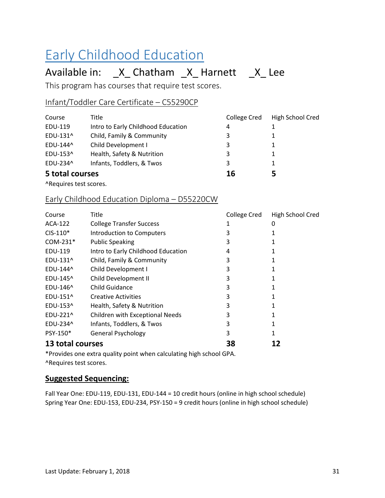# <span id="page-31-0"></span>Early Childhood Education

## Available in: \_X\_ Chatham \_X\_ Harnett \_X\_ Lee

This program has courses that require test scores.

#### Infant/Toddler Care Certificate – C55290CP

| Course          | Title                              | College Cred | High School Cred |
|-----------------|------------------------------------|--------------|------------------|
| EDU-119         | Intro to Early Childhood Education | 4            |                  |
| EDU-131^        | Child, Family & Community          | 3            |                  |
| EDU-144^        | Child Development I                | 3            | 1                |
| EDU-153^        | Health, Safety & Nutrition         | 3            | 1                |
| EDU-234^        | Infants, Toddlers, & Twos          | 3            |                  |
| 5 total courses |                                    | 16           | 5                |

^Requires test scores.

#### Early Childhood Education Diploma – D55220CW

| Course           | Title                              | College Cred | High School Cred |
|------------------|------------------------------------|--------------|------------------|
| ACA-122          | <b>College Transfer Success</b>    | 1            | 0                |
| $CIS-110*$       | Introduction to Computers          | 3            |                  |
| $COM-231*$       | <b>Public Speaking</b>             | 3            |                  |
| EDU-119          | Intro to Early Childhood Education | 4            |                  |
| EDU-131^         | Child, Family & Community          | 3            |                  |
| EDU-144^         | Child Development I                | 3            |                  |
| EDU-145^         | Child Development II               | 3            |                  |
| EDU-146^         | Child Guidance                     | 3            |                  |
| EDU-151^         | <b>Creative Activities</b>         | 3            |                  |
| EDU-153^         | Health, Safety & Nutrition         | 3            |                  |
| EDU-221^         | Children with Exceptional Needs    | 3            |                  |
| EDU-234^         | Infants, Toddlers, & Twos          | 3            |                  |
| PSY-150*         | <b>General Psychology</b>          | 3            |                  |
| 13 total courses |                                    | 38           |                  |

\*Provides one extra quality point when calculating high school GPA. ^Requires test scores.

#### **Suggested Sequencing:**

Fall Year One: EDU-119, EDU-131, EDU-144 = 10 credit hours (online in high school schedule) Spring Year One: EDU-153, EDU-234, PSY-150 = 9 credit hours (online in high school schedule)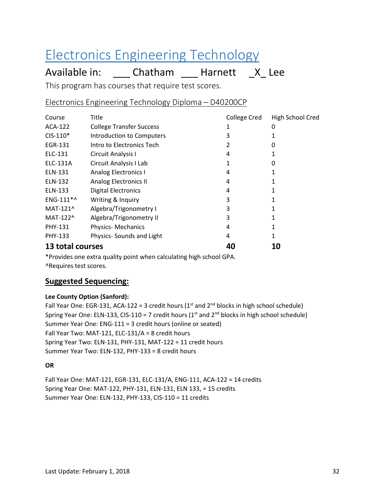## <span id="page-32-0"></span>Electronics Engineering Technology

Available in: \_\_\_\_ Chatham \_\_\_ Harnett \_\_ X\_ Lee

This program has courses that require test scores.

Electronics Engineering Technology Diploma – D40200CP

| Course           | Title                           | College Cred | High School Cred |
|------------------|---------------------------------|--------------|------------------|
| ACA-122          | <b>College Transfer Success</b> | 1            | 0                |
| $CIS-110*$       | Introduction to Computers       | 3            |                  |
| EGR-131          | Intro to Electronics Tech       |              | 0                |
| ELC-131          | Circuit Analysis I              | 4            |                  |
| ELC-131A         | Circuit Analysis I Lab          |              | 0                |
| ELN-131          | <b>Analog Electronics I</b>     | 4            |                  |
| ELN-132          | <b>Analog Electronics II</b>    | 4            |                  |
| ELN-133          | <b>Digital Electronics</b>      | 4            |                  |
| ENG-111*^        | Writing & Inquiry               | 3            |                  |
| MAT-121^         | Algebra/Trigonometry I          | 3            |                  |
| MAT-122^         | Algebra/Trigonometry II         | 3            |                  |
| <b>PHY-131</b>   | <b>Physics-Mechanics</b>        | 4            |                  |
| PHY-133          | Physics-Sounds and Light        | 4            |                  |
| 13 total courses |                                 | 40           | 10               |

\*Provides one extra quality point when calculating high school GPA. ^Requires test scores.

#### **Suggested Sequencing:**

#### **Lee County Option (Sanford):**

Fall Year One: EGR-131, ACA-122 = 3 credit hours ( $1<sup>st</sup>$  and  $2<sup>nd</sup>$  blocks in high school schedule) Spring Year One: ELN-133, CIS-110 = 7 credit hours ( $1<sup>st</sup>$  and  $2<sup>nd</sup>$  blocks in high school schedule) Summer Year One: ENG-111 = 3 credit hours (online or seated) Fall Year Two: MAT-121, ELC-131/A = 8 credit hours Spring Year Two: ELN-131, PHY-131, MAT-122 = 11 credit hours Summer Year Two: ELN-132, PHY-133 = 8 credit hours

#### **OR**

Fall Year One: MAT-121, EGR-131, ELC-131/A, ENG-111, ACA-122 = 14 credits Spring Year One: MAT-122, PHY-131, ELN-131, ELN 133, = 15 credits Summer Year One: ELN-132, PHY-133, CIS-110 = 11 credits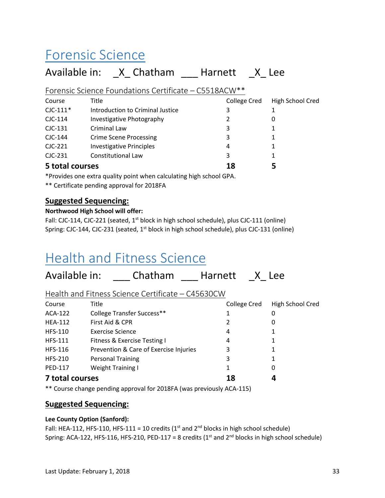## <span id="page-33-0"></span>Forensic Science

## Available in: X Chatham Harnett X Lee

Forensic Science Foundations Certificate – C5518ACW\*\*

| Course          | Title                            | College Cred | High School Cred |
|-----------------|----------------------------------|--------------|------------------|
| $C$ JC-111 $*$  | Introduction to Criminal Justice | 3            |                  |
| $CIC-114$       | Investigative Photography        | 2            | 0                |
| $CIC-131$       | Criminal Law                     | 3            |                  |
| CJC-144         | <b>Crime Scene Processing</b>    | 3            |                  |
| $CIC-221$       | <b>Investigative Principles</b>  | 4            |                  |
| $CIC-231$       | <b>Constitutional Law</b>        | 3            |                  |
| 5 total courses |                                  | 18           |                  |

\*Provides one extra quality point when calculating high school GPA.

\*\* Certificate pending approval for 2018FA

#### **Suggested Sequencing:**

#### **Northwood High School will offer:**

Fall: CJC-114, CJC-221 (seated, 1<sup>st</sup> block in high school schedule), plus CJC-111 (online) Spring: CJC-144, CJC-231 (seated, 1<sup>st</sup> block in high school schedule), plus CJC-131 (online)

## <span id="page-33-1"></span>Health and Fitness Science

| Available in:   | Chatham                                           | Harnett      | X Lee            |
|-----------------|---------------------------------------------------|--------------|------------------|
|                 | Health and Fitness Science Certificate – C45630CW |              |                  |
| Course          | Title                                             | College Cred | High School Cred |
| ACA-122         | College Transfer Success**                        |              | 0                |
| <b>HEA-112</b>  | First Aid & CPR                                   | 2            | 0                |
| <b>HFS-110</b>  | Exercise Science                                  | 4            |                  |
| <b>HFS-111</b>  | Fitness & Exercise Testing I                      | 4            |                  |
| <b>HFS-116</b>  | Prevention & Care of Exercise Injuries            | 3            |                  |
| <b>HFS-210</b>  | <b>Personal Training</b>                          | 3            |                  |
| <b>PED-117</b>  | <b>Weight Training I</b>                          | 1            | 0                |
| 7 total courses |                                                   | 18           |                  |

\*\* Course change pending approval for 2018FA (was previously ACA-115)

#### **Suggested Sequencing:**

#### **Lee County Option (Sanford):**

Fall: HEA-112, HFS-110, HFS-111 = 10 credits (1<sup>st</sup> and 2<sup>nd</sup> blocks in high school schedule) Spring: ACA-122, HFS-116, HFS-210, PED-117 = 8 credits ( $1<sup>st</sup>$  and  $2<sup>nd</sup>$  blocks in high school schedule)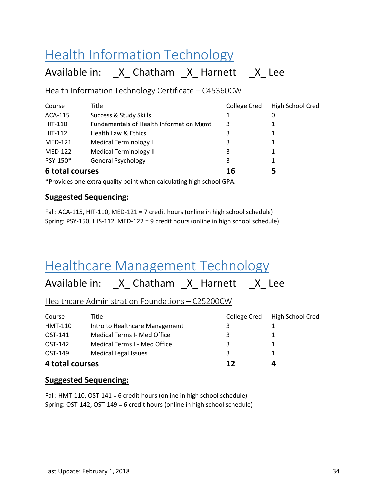## <span id="page-34-0"></span>**Health Information Technology**

### Available in: X Chatham X Harnett X Lee

Health Information Technology Certificate – C45360CW

| Course          | Title                                   | College Cred | High School Cred |
|-----------------|-----------------------------------------|--------------|------------------|
| <b>ACA-115</b>  | Success & Study Skills                  | 1            | 0                |
| HIT-110         | Fundamentals of Health Information Mgmt | 3            |                  |
| <b>HIT-112</b>  | Health Law & Ethics                     | 3            |                  |
| <b>MED-121</b>  | <b>Medical Terminology I</b>            | 3            |                  |
| <b>MED-122</b>  | <b>Medical Terminology II</b>           | 3            |                  |
| PSY-150*        | <b>General Psychology</b>               | 3            |                  |
| 6 total courses |                                         | 16           |                  |

\*Provides one extra quality point when calculating high school GPA.

#### **Suggested Sequencing:**

Fall: ACA-115, HIT-110, MED-121 = 7 credit hours (online in high school schedule) Spring: PSY-150, HIS-112, MED-122 = 9 credit hours (online in high school schedule)

## <span id="page-34-1"></span>Healthcare Management Technology

Available in: \_X\_ Chatham \_X\_ Harnett \_X\_ Lee

Healthcare Administration Foundations – C25200CW

| 4 total courses |                                     | 17           | Д                |
|-----------------|-------------------------------------|--------------|------------------|
| OST-149         | <b>Medical Legal Issues</b>         | 3            |                  |
| OST-142         | <b>Medical Terms II- Med Office</b> | 3            |                  |
| OST-141         | Medical Terms I- Med Office         | 3            |                  |
| HMT-110         | Intro to Healthcare Management      | 3            |                  |
| Course          | Title                               | College Cred | High School Cred |

#### **Suggested Sequencing:**

Fall: HMT-110, OST-141 = 6 credit hours (online in high school schedule) Spring: OST-142, OST-149 = 6 credit hours (online in high school schedule)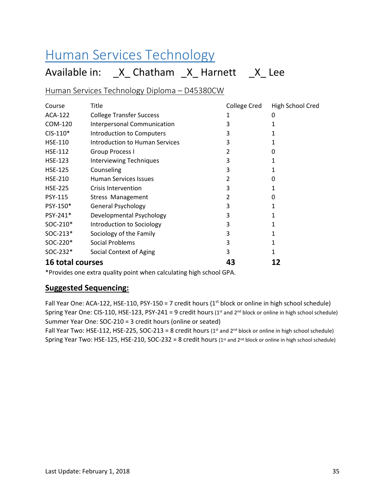## <span id="page-35-0"></span>Human Services Technology

## Available in: \_X\_ Chatham \_X\_ Harnett \_X\_ Lee

Human Services Technology Diploma – D45380CW

| Course                  | Title                              | <b>College Cred</b> | High School Cred |
|-------------------------|------------------------------------|---------------------|------------------|
| ACA-122                 | <b>College Transfer Success</b>    | 1                   | 0                |
| COM-120                 | <b>Interpersonal Communication</b> | 3                   |                  |
| $CIS-110*$              | <b>Introduction to Computers</b>   | 3                   |                  |
| <b>HSE-110</b>          | Introduction to Human Services     | 3                   |                  |
| <b>HSE-112</b>          | <b>Group Process I</b>             |                     | O                |
| <b>HSE-123</b>          | <b>Interviewing Techniques</b>     | 3                   |                  |
| <b>HSE-125</b>          | Counseling                         | 3                   |                  |
| <b>HSE-210</b>          | <b>Human Services Issues</b>       | 2                   | 0                |
| <b>HSE-225</b>          | Crisis Intervention                | 3                   |                  |
| <b>PSY-115</b>          | Stress Management                  | 2                   | O                |
| PSY-150*                | <b>General Psychology</b>          | 3                   | 1                |
| PSY-241*                | Developmental Psychology           | 3                   |                  |
| SOC-210*                | Introduction to Sociology          | 3                   |                  |
| SOC-213*                | Sociology of the Family            | 3                   |                  |
| SOC-220*                | Social Problems                    | 3                   |                  |
| SOC-232*                | Social Context of Aging            | 3                   |                  |
| <b>16 total courses</b> |                                    | 43                  |                  |

\*Provides one extra quality point when calculating high school GPA.

#### **Suggested Sequencing:**

Fall Year One: ACA-122, HSE-110, PSY-150 = 7 credit hours ( $1<sup>st</sup>$  block or online in high school schedule) Spring Year One: CIS-110, HSE-123, PSY-241 = 9 credit hours ( $1<sup>st</sup>$  and  $2<sup>nd</sup>$  block or online in high school schedule) Summer Year One: SOC-210 = 3 credit hours (online or seated)

Fall Year Two: HSE-112, HSE-225, SOC-213 = 8 credit hours ( $1<sup>st</sup>$  and  $2<sup>nd</sup>$  block or online in high school schedule) Spring Year Two: HSE-125, HSE-210, SOC-232 = 8 credit hours (1st and 2<sup>nd</sup> block or online in high school schedule)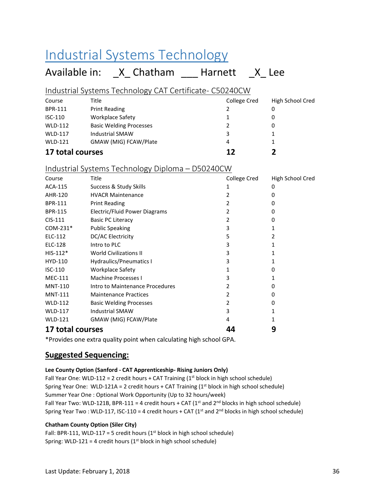# Industrial Systems Technology

## Available in: X Chatham Harnett X Lee

#### Industrial Systems Technology CAT Certificate- C50240CW

| Course           | Title                          | College Cred | High School Cred |
|------------------|--------------------------------|--------------|------------------|
| <b>BPR-111</b>   | <b>Print Reading</b>           |              | 0                |
| $ISC-110$        | Workplace Safety               |              | 0                |
| <b>WLD-112</b>   | <b>Basic Welding Processes</b> |              | 0                |
| <b>WLD-117</b>   | <b>Industrial SMAW</b>         | 3            |                  |
| <b>WLD-121</b>   | GMAW (MIG) FCAW/Plate          | 4            |                  |
| 17 total courses |                                | 17           |                  |

#### Industrial Systems Technology Diploma – D50240CW

| Course           | Title                           | College Cred | High School Cred |
|------------------|---------------------------------|--------------|------------------|
| ACA-115          | Success & Study Skills          | 1            | 0                |
| AHR-120          | <b>HVACR Maintenance</b>        | 2            | 0                |
| <b>BPR-111</b>   | <b>Print Reading</b>            | 2            | 0                |
| <b>BPR-115</b>   | Electric/Fluid Power Diagrams   | 2            | 0                |
| CIS-111          | <b>Basic PC Literacy</b>        | 2            | 0                |
| COM-231*         | <b>Public Speaking</b>          | 3            | 1                |
| ELC-112          | DC/AC Electricity               | 5            | $\mathcal{P}$    |
| ELC-128          | Intro to PLC                    | 3            |                  |
| $HIS-112*$       | <b>World Civilizations II</b>   | 3            |                  |
| HYD-110          | <b>Hydraulics/Pneumatics I</b>  | 3            |                  |
| $ISC-110$        | <b>Workplace Safety</b>         |              | 0                |
| <b>MEC-111</b>   | Machine Processes I             | 3            | 1                |
| <b>MNT-110</b>   | Intro to Maintenance Procedures | 2            | 0                |
| <b>MNT-111</b>   | <b>Maintenance Practices</b>    | 2            | 0                |
| <b>WLD-112</b>   | <b>Basic Welding Processes</b>  | 2            | 0                |
| <b>WLD-117</b>   | <b>Industrial SMAW</b>          | 3            | 1                |
| <b>WLD-121</b>   | GMAW (MIG) FCAW/Plate           | 4            |                  |
| 17 total courses |                                 | 44           | 9                |

\*Provides one extra quality point when calculating high school GPA.

### **Suggested Sequencing:**

#### **Lee County Option (Sanford - CAT Apprenticeship- Rising Juniors Only)**

Fall Year One: WLD-112 = 2 credit hours + CAT Training  $(1<sup>st</sup>$  block in high school schedule) Spring Year One: WLD-121A = 2 credit hours + CAT Training  $(1<sup>st</sup>$  block in high school schedule) Summer Year One : Optional Work Opportunity (Up to 32 hours/week) Fall Year Two: WLD-121B, BPR-111 = 4 credit hours + CAT ( $1<sup>st</sup>$  and  $2<sup>nd</sup>$  blocks in high school schedule) Spring Year Two : WLD-117, ISC-110 = 4 credit hours + CAT ( $1<sup>st</sup>$  and  $2<sup>nd</sup>$  blocks in high school schedule)

#### **Chatham County Option (Siler City)**

Fall: BPR-111, WLD-117 = 5 credit hours ( $1<sup>st</sup>$  block in high school schedule) Spring: WLD-121 = 4 credit hours ( $1<sup>st</sup>$  block in high school schedule)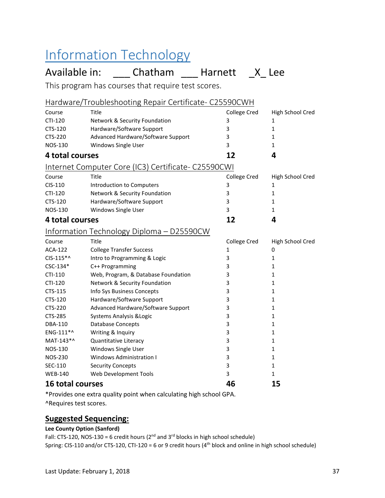# Information Technology

## Available in: \_\_\_\_ Chatham \_\_\_\_ Harnett \_X\_ Lee

This program has courses that require test scores.

| Hardware/Troubleshooting Repair Certificate- C25590CWH |                                                     |                     |                  |
|--------------------------------------------------------|-----------------------------------------------------|---------------------|------------------|
| Course                                                 | Title                                               | <b>College Cred</b> | High School Cred |
| CTI-120                                                | Network & Security Foundation                       | 3                   | 1                |
| CTS-120                                                | Hardware/Software Support                           | 3                   | $\mathbf{1}$     |
| <b>CTS-220</b>                                         | Advanced Hardware/Software Support                  | 3                   | 1                |
| <b>NOS-130</b>                                         | Windows Single User                                 | 3                   | 1                |
| 4 total courses                                        |                                                     | 12                  | 4                |
|                                                        | Internet Computer Core (IC3) Certificate- C25590CWI |                     |                  |
| Course                                                 | Title                                               | College Cred        | High School Cred |
| CIS-110                                                | Introduction to Computers                           | 3                   | 1                |
| CTI-120                                                | Network & Security Foundation                       | 3                   | $\mathbf{1}$     |
| CTS-120                                                | Hardware/Software Support                           | 3                   | 1                |
| <b>NOS-130</b>                                         | Windows Single User                                 | 3                   | $\mathbf{1}$     |
| 4 total courses                                        |                                                     | 12                  | 4                |
|                                                        | Information Technology Diploma - D25590CW           |                     |                  |
| Course                                                 | Title                                               | <b>College Cred</b> | High School Cred |
| <b>ACA-122</b>                                         | <b>College Transfer Success</b>                     | $\mathbf{1}$        | 0                |
| CIS-115*^                                              | Intro to Programming & Logic                        | 3                   | $\mathbf{1}$     |
| CSC-134*                                               | C++ Programming                                     | 3                   | 1                |
| CTI-110                                                | Web, Program, & Database Foundation                 | 3                   | 1                |
| CTI-120                                                | Network & Security Foundation                       | 3                   | 1                |
| CTS-115                                                | Info Sys Business Concepts                          | 3                   | 1                |
| CTS-120                                                | Hardware/Software Support                           | 3                   | 1                |
| <b>CTS-220</b>                                         | Advanced Hardware/Software Support                  | 3                   | 1                |
| CTS-285                                                | Systems Analysis & Logic                            | 3                   | 1                |
| DBA-110                                                | <b>Database Concepts</b>                            | 3                   | $\mathbf{1}$     |
| ENG-111*^                                              | Writing & Inquiry                                   | 3                   | 1                |
| MAT-143*^                                              | Quantitative Literacy                               | 3                   | 1                |
| <b>NOS-130</b>                                         | Windows Single User                                 | 3                   | 1                |
| <b>NOS-230</b>                                         | <b>Windows Administration I</b>                     | 3                   | 1                |
| SEC-110                                                | <b>Security Concepts</b>                            | 3                   | 1                |
| <b>WEB-140</b>                                         | Web Development Tools                               | 3                   | 1                |
| <b>16 total courses</b>                                |                                                     | 46                  | 15               |

\*Provides one extra quality point when calculating high school GPA.

^Requires test scores.

#### **Suggested Sequencing:**

#### **Lee County Option (Sanford)**

Fall: CTS-120, NOS-130 = 6 credit hours ( $2^{nd}$  and  $3^{rd}$  blocks in high school schedule) Spring: CIS-110 and/or CTS-120, CTI-120 = 6 or 9 credit hours (4th block and online in high school schedule)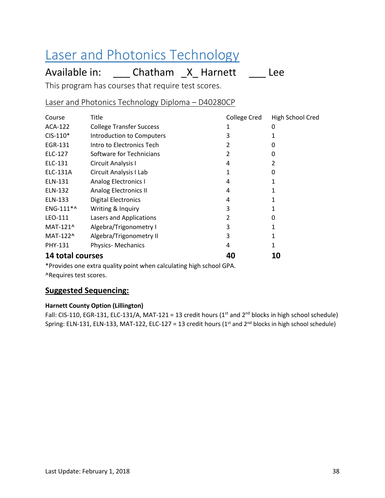# Laser and Photonics Technology

Available in: \_\_\_\_ Chatham \_X\_ Harnett \_\_\_\_ Lee

This program has courses that require test scores.

Laser and Photonics Technology Diploma – D40280CP

| Course           | Title                            | College Cred | High School Cred |
|------------------|----------------------------------|--------------|------------------|
| ACA-122          | <b>College Transfer Success</b>  |              | 0                |
| $CIS-110*$       | <b>Introduction to Computers</b> | 3            |                  |
| EGR-131          | Intro to Electronics Tech        |              | O                |
| ELC-127          | Software for Technicians         |              | O                |
| ELC-131          | Circuit Analysis I               | 4            |                  |
| ELC-131A         | Circuit Analysis I Lab           |              | O                |
| ELN-131          | <b>Analog Electronics I</b>      | 4            |                  |
| ELN-132          | <b>Analog Electronics II</b>     | 4            |                  |
| ELN-133          | <b>Digital Electronics</b>       | 4            |                  |
| ENG-111*^        | Writing & Inquiry                | 3            |                  |
| LEO-111          | Lasers and Applications          | 2            | O                |
| MAT-121^         | Algebra/Trigonometry I           | 3            |                  |
| MAT-122^         | Algebra/Trigonometry II          | 3            |                  |
| <b>PHY-131</b>   | <b>Physics-Mechanics</b>         | 4            |                  |
| 14 total courses |                                  | 40           | 10               |

\*Provides one extra quality point when calculating high school GPA. ^Requires test scores.

### **Suggested Sequencing:**

#### **Harnett County Option (Lillington)**

Fall: CIS-110, EGR-131, ELC-131/A, MAT-121 = 13 credit hours (1<sup>st</sup> and 2<sup>nd</sup> blocks in high school schedule) Spring: ELN-131, ELN-133, MAT-122, ELC-127 = 13 credit hours ( $1<sup>st</sup>$  and  $2<sup>nd</sup>$  blocks in high school schedule)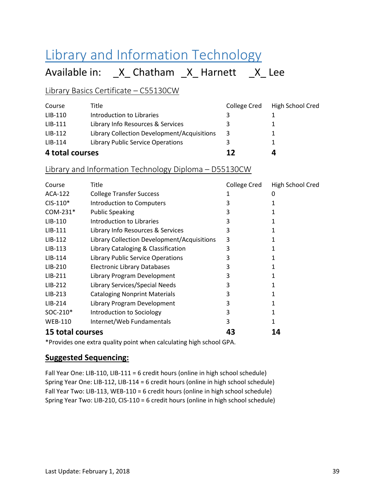# Library and Information Technology

Available in: \_X\_ Chatham \_X\_ Harnett \_X\_ Lee

### Library Basics Certificate – C55130CW

| Course          | Title                                       | College Cred | High School Cred |
|-----------------|---------------------------------------------|--------------|------------------|
| LIB-110         | Introduction to Libraries                   |              |                  |
| LIB-111         | Library Info Resources & Services           |              | 1                |
| $LIB-112$       | Library Collection Development/Acquisitions | 3            | 1                |
| $LIB-114$       | Library Public Service Operations           | 3            | 1                |
| 4 total courses |                                             | 12           | 4                |

#### Library and Information Technology Diploma – D55130CW

| Course               | Title                                       | College Cred | High School Cred |
|----------------------|---------------------------------------------|--------------|------------------|
| ACA-122              | <b>College Transfer Success</b>             |              | 0                |
| $CIS-110*$           | Introduction to Computers                   | 3            |                  |
| $COM-231*$           | <b>Public Speaking</b>                      | 3            |                  |
| $LIB-110$            | Introduction to Libraries                   | 3            |                  |
| $LIB-111$            | Library Info Resources & Services           | 3            |                  |
| $LIB-112$            | Library Collection Development/Acquisitions | 3            |                  |
| $LIB-113$            | Library Cataloging & Classification         | 3            |                  |
| $LIB-114$            | <b>Library Public Service Operations</b>    | 3            |                  |
| $LIB-210$            | <b>Electronic Library Databases</b>         | 3            |                  |
| $LIB-211$            | Library Program Development                 | 3            |                  |
| $LIB-212$            | Library Services/Special Needs              | 3            |                  |
| $LIB-213$            | <b>Cataloging Nonprint Materials</b>        | 3            |                  |
| $LIB-214$            | Library Program Development                 | 3            |                  |
| SOC-210 <sup>*</sup> | Introduction to Sociology                   | 3            |                  |
| <b>WEB-110</b>       | Internet/Web Fundamentals                   | 3            |                  |
| 15 total courses     |                                             | 43           | 14               |

\*Provides one extra quality point when calculating high school GPA.

### **Suggested Sequencing:**

Fall Year One: LIB-110, LIB-111 = 6 credit hours (online in high school schedule) Spring Year One: LIB-112, LIB-114 = 6 credit hours (online in high school schedule) Fall Year Two: LIB-113, WEB-110 = 6 credit hours (online in high school schedule) Spring Year Two: LIB-210, CIS-110 = 6 credit hours (online in high school schedule)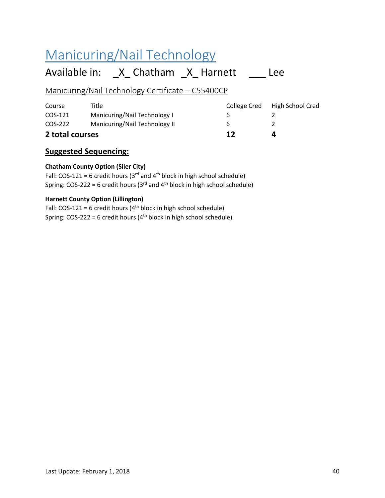# Manicuring/Nail Technology

## Available in: \_X\_ Chatham \_X\_ Harnett \_\_\_ Lee

### Manicuring/Nail Technology Certificate – C55400CP

| 2 total courses |                               | 12           | Д                |
|-----------------|-------------------------------|--------------|------------------|
| COS-222         | Manicuring/Nail Technology II | h            |                  |
| COS-121         | Manicuring/Nail Technology I  | h            |                  |
| Course          | Title                         | College Cred | High School Cred |
|                 |                               |              |                  |

### **Suggested Sequencing:**

#### **Chatham County Option (Siler City)**

Fall: COS-121 = 6 credit hours ( $3<sup>rd</sup>$  and  $4<sup>th</sup>$  block in high school schedule) Spring: COS-222 = 6 credit hours (3 $rd$  and 4 $th$  block in high school schedule)

#### **Harnett County Option (Lillington)**

Fall: COS-121 = 6 credit hours ( $4<sup>th</sup>$  block in high school schedule) Spring:  $COS-222 = 6$  credit hours ( $4<sup>th</sup>$  block in high school schedule)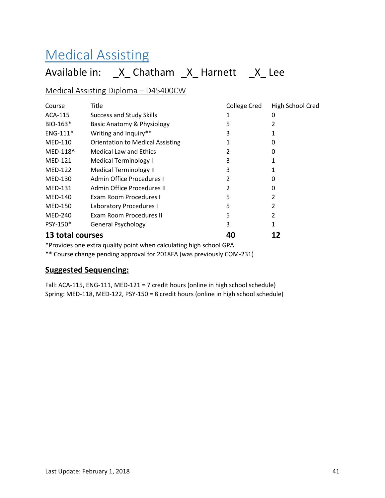# Medical Assisting

## Available in: \_X\_ Chatham \_X\_ Harnett \_X\_ Lee

#### Medical Assisting Diploma – D45400CW

| Course           | <b>Title</b>                            | College Cred | High School Cred |
|------------------|-----------------------------------------|--------------|------------------|
| ACA-115          | <b>Success and Study Skills</b>         |              | 0                |
| $BIO-163*$       | Basic Anatomy & Physiology              | 5            |                  |
| $ENG-111*$       | Writing and Inquiry**                   | 3            |                  |
| <b>MED-110</b>   | <b>Orientation to Medical Assisting</b> |              | O                |
| MED-118^         | <b>Medical Law and Ethics</b>           |              | 0                |
| <b>MED-121</b>   | <b>Medical Terminology I</b>            | 3            |                  |
| <b>MED-122</b>   | Medical Terminology II                  | 3            |                  |
| MED-130          | Admin Office Procedures I               | 2            | 0                |
| <b>MED-131</b>   | Admin Office Procedures II              |              | 0                |
| MED-140          | Exam Room Procedures I                  | 5            |                  |
| <b>MED-150</b>   | Laboratory Procedures I                 | 5            |                  |
| <b>MED-240</b>   | Exam Room Procedures II                 | 5            |                  |
| PSY-150*         | <b>General Psychology</b>               | 3            |                  |
| 13 total courses |                                         | 40           |                  |

\*Provides one extra quality point when calculating high school GPA.

\*\* Course change pending approval for 2018FA (was previously COM-231)

#### **Suggested Sequencing:**

Fall: ACA-115, ENG-111, MED-121 = 7 credit hours (online in high school schedule) Spring: MED-118, MED-122, PSY-150 = 8 credit hours (online in high school schedule)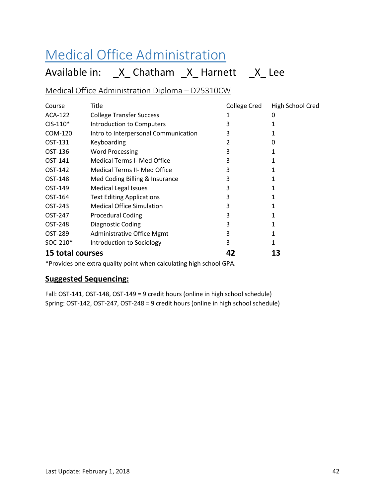# Medical Office Administration

## Available in: \_X\_ Chatham \_X\_ Harnett \_X\_ Lee

Medical Office Administration Diploma – D25310CW

| Course           | Title                                | College Cred | High School Cred |
|------------------|--------------------------------------|--------------|------------------|
| ACA-122          | <b>College Transfer Success</b>      |              | 0                |
| $CIS-110*$       | Introduction to Computers            | 3            | 1                |
| COM-120          | Intro to Interpersonal Communication | 3            |                  |
| OST-131          | Keyboarding                          | 2            | 0                |
| OST-136          | <b>Word Processing</b>               | 3            |                  |
| OST-141          | <b>Medical Terms I- Med Office</b>   | 3            |                  |
| OST-142          | <b>Medical Terms II- Med Office</b>  | 3            |                  |
| OST-148          | Med Coding Billing & Insurance       | 3            | 1                |
| OST-149          | <b>Medical Legal Issues</b>          | 3            | 1                |
| OST-164          | <b>Text Editing Applications</b>     | 3            |                  |
| OST-243          | <b>Medical Office Simulation</b>     | 3            |                  |
| OST-247          | <b>Procedural Coding</b>             | 3            |                  |
| OST-248          | Diagnostic Coding                    | 3            |                  |
| OST-289          | Administrative Office Mgmt           | 3            | 1                |
| SOC-210*         | Introduction to Sociology            | 3            | 1                |
| 15 total courses |                                      | 42           | 13               |

\*Provides one extra quality point when calculating high school GPA.

### **Suggested Sequencing:**

Fall: OST-141, OST-148, OST-149 = 9 credit hours (online in high school schedule) Spring: OST-142, OST-247, OST-248 = 9 credit hours (online in high school schedule)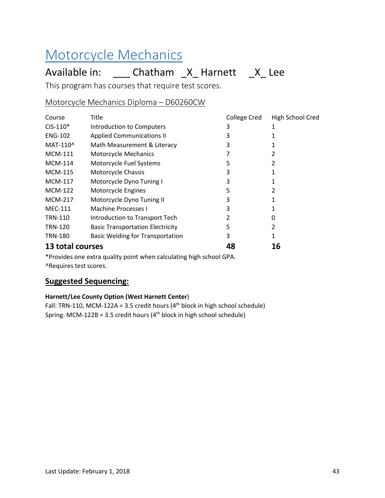# Motorcycle Mechanics

## Available in: \_\_\_\_ Chatham \_X\_ Harnett \_X\_ Lee

This program has courses that require test scores.

### Motorcycle Mechanics Diploma – D60260CW

| Course           | Title                                   | <b>College Cred</b> | High School Cred |
|------------------|-----------------------------------------|---------------------|------------------|
| $CIS-110*$       | Introduction to Computers               | 3                   |                  |
| <b>ENG-102</b>   | <b>Applied Communications II</b>        | 3                   |                  |
| MAT-110^         | Math Measurement & Literacy             | 3                   |                  |
| <b>MCM-111</b>   | Motorcycle Mechanics                    |                     |                  |
| <b>MCM-114</b>   | Motorcycle Fuel Systems                 | 5                   |                  |
| <b>MCM-115</b>   | Motorcycle Chassis                      | 3                   |                  |
| <b>MCM-117</b>   | Motorcycle Dyno Tuning I                | 3                   |                  |
| <b>MCM-122</b>   | Motorcycle Engines                      | 5                   |                  |
| <b>MCM-217</b>   | Motorcycle Dyno Tuning II               | 3                   |                  |
| <b>MEC-111</b>   | Machine Processes I                     | 3                   |                  |
| TRN-110          | Introduction to Transport Tech          |                     | 0                |
| <b>TRN-120</b>   | <b>Basic Transportation Electricity</b> | 5                   | 2                |
| <b>TRN-180</b>   | <b>Basic Welding for Transportation</b> | 3                   |                  |
| 13 total courses |                                         | 48                  | 16               |

\*Provides one extra quality point when calculating high school GPA. ^Requires test scores.

### **Suggested Sequencing:**

#### **Harnett/Lee County Option (West Harnett Center**)

Fall: TRN-110, MCM-122A = 3.5 credit hours ( $4<sup>th</sup>$  block in high school schedule) Spring: MCM-122B = 3.5 credit hours ( $4<sup>th</sup>$  block in high school schedule)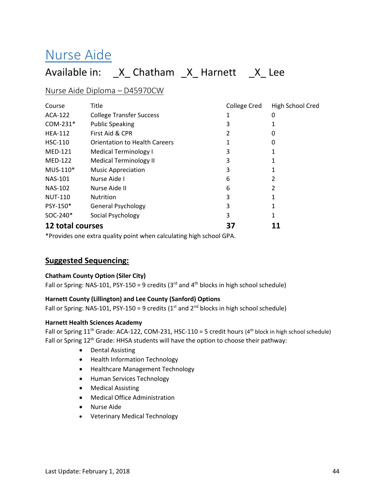# Nurse Aide

## Available in: \_X\_ Chatham \_X\_ Harnett \_X\_ Lee

#### Nurse Aide Diploma – D45970CW

| Course               | Title                                | College Cred | High School Cred |
|----------------------|--------------------------------------|--------------|------------------|
| ACA-122              | <b>College Transfer Success</b>      |              | 0                |
| $COM-231*$           | <b>Public Speaking</b>               | 3            |                  |
| <b>HEA-112</b>       | First Aid & CPR                      |              |                  |
| <b>HSC-110</b>       | <b>Orientation to Health Careers</b> |              | 0                |
| <b>MED-121</b>       | <b>Medical Terminology I</b>         | 3            |                  |
| <b>MED-122</b>       | <b>Medical Terminology II</b>        | 3            |                  |
| MUS-110*             | <b>Music Appreciation</b>            | 3            |                  |
| <b>NAS-101</b>       | Nurse Aide I                         | 6            |                  |
| <b>NAS-102</b>       | Nurse Aide II                        | 6            | 2                |
| <b>NUT-110</b>       | <b>Nutrition</b>                     | 3            |                  |
| PSY-150*             | <b>General Psychology</b>            | 3            |                  |
| SOC-240 <sup>*</sup> | Social Psychology                    | 3            |                  |
| 12 total courses     |                                      | 37           |                  |

\*Provides one extra quality point when calculating high school GPA.

#### **Suggested Sequencing:**

#### **Chatham County Option (Siler City)**

Fall or Spring: NAS-101, PSY-150 = 9 credits ( $3<sup>rd</sup>$  and  $4<sup>th</sup>$  blocks in high school schedule)

#### **Harnett County (Lillington) and Lee County (Sanford) Options**

Fall or Spring: NAS-101, PSY-150 = 9 credits ( $1<sup>st</sup>$  and  $2<sup>nd</sup>$  blocks in high school schedule)

#### **Harnett Health Sciences Academy**

Fall or Spring  $11<sup>th</sup>$  Grade: ACA-122, COM-231, HSC-110 = 5 credit hours (4<sup>th</sup> block in high school schedule) Fall or Spring 12<sup>th</sup> Grade: HHSA students will have the option to choose their pathway:

- Dental Assisting
- Health Information Technology
- Healthcare Management Technology
- Human Services Technology
- Medical Assisting
- Medical Office Administration
- Nurse Aide
- Veterinary Medical Technology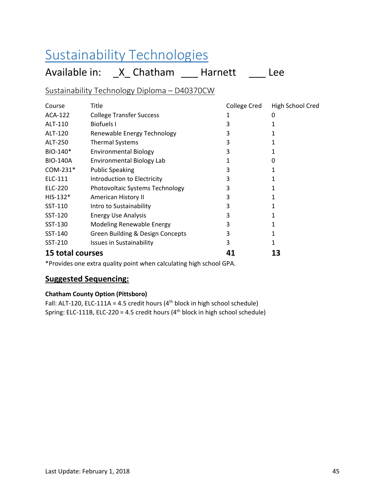# Sustainability Technologies

Available in: \_X\_ Chatham \_\_\_ Harnett \_\_\_ Lee

### Sustainability Technology Diploma – D40370CW

| Course                  | Title                            | College Cred | High School Cred |
|-------------------------|----------------------------------|--------------|------------------|
| ACA-122                 | <b>College Transfer Success</b>  |              | 0                |
| ALT-110                 | Biofuels I                       | 3            |                  |
| ALT-120                 | Renewable Energy Technology      | 3            |                  |
| ALT-250                 | <b>Thermal Systems</b>           | 3            |                  |
| BIO-140*                | <b>Environmental Biology</b>     | 3            |                  |
| <b>BIO-140A</b>         | <b>Environmental Biology Lab</b> |              | 0                |
| $COM-231*$              | <b>Public Speaking</b>           | 3            |                  |
| ELC-111                 | Introduction to Electricity      | 3            |                  |
| ELC-220                 | Photovoltaic Systems Technology  | 3            |                  |
| $HIS-132*$              | American History II              | 3            |                  |
| SST-110                 | Intro to Sustainability          | 3            |                  |
| SST-120                 | <b>Energy Use Analysis</b>       | 3            |                  |
| SST-130                 | Modeling Renewable Energy        | 3            |                  |
| SST-140                 | Green Building & Design Concepts | 3            |                  |
| SST-210                 | <b>Issues in Sustainability</b>  | 3            | 1                |
| <b>15 total courses</b> |                                  | 41           | 13               |

\*Provides one extra quality point when calculating high school GPA.

### **Suggested Sequencing:**

#### **Chatham County Option (Pittsboro)**

Fall: ALT-120, ELC-111A = 4.5 credit hours ( $4<sup>th</sup>$  block in high school schedule) Spring: ELC-111B, ELC-220 = 4.5 credit hours ( $4<sup>th</sup>$  block in high school schedule)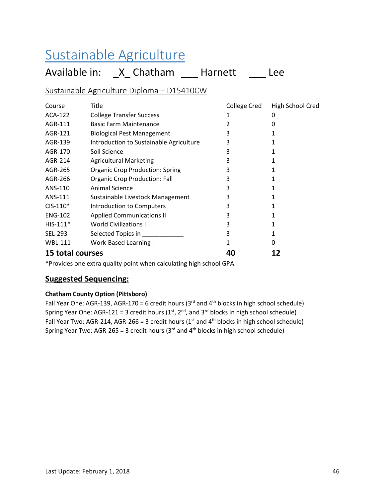# Sustainable Agriculture

Available in: \_X\_ Chatham \_\_\_ Harnett \_\_\_ Lee

### Sustainable Agriculture Diploma – D15410CW

| Course                  | Title                                   | <b>College Cred</b> | <b>High School Cred</b> |
|-------------------------|-----------------------------------------|---------------------|-------------------------|
| ACA-122                 | <b>College Transfer Success</b>         |                     | 0                       |
| AGR-111                 | <b>Basic Farm Maintenance</b>           | 2                   | 0                       |
| AGR-121                 | <b>Biological Pest Management</b>       | 3                   |                         |
| AGR-139                 | Introduction to Sustainable Agriculture | 3                   |                         |
| AGR-170                 | Soil Science                            | 3                   |                         |
| AGR-214                 | <b>Agricultural Marketing</b>           | 3                   |                         |
| AGR-265                 | <b>Organic Crop Production: Spring</b>  | 3                   |                         |
| AGR-266                 | <b>Organic Crop Production: Fall</b>    | 3                   | 1                       |
| ANS-110                 | <b>Animal Science</b>                   | 3                   |                         |
| ANS-111                 | Sustainable Livestock Management        | 3                   |                         |
| $CIS-110*$              | Introduction to Computers               | 3                   |                         |
| <b>ENG-102</b>          | <b>Applied Communications II</b>        | 3                   |                         |
| $HIS-111*$              | <b>World Civilizations I</b>            | 3                   |                         |
| <b>SEL-293</b>          | Selected Topics in                      | 3                   | 1                       |
| <b>WBL-111</b>          | <b>Work-Based Learning I</b>            |                     | 0                       |
| <b>15 total courses</b> |                                         | 40                  |                         |

\*Provides one extra quality point when calculating high school GPA.

### **Suggested Sequencing:**

#### **Chatham County Option (Pittsboro)**

Fall Year One: AGR-139, AGR-170 = 6 credit hours ( $3<sup>rd</sup>$  and  $4<sup>th</sup>$  blocks in high school schedule) Spring Year One: AGR-121 = 3 credit hours ( $1<sup>st</sup>$ , 2<sup>nd</sup>, and 3<sup>rd</sup> blocks in high school schedule) Fall Year Two: AGR-214, AGR-266 = 3 credit hours ( $1<sup>st</sup>$  and  $4<sup>th</sup>$  blocks in high school schedule) Spring Year Two: AGR-265 = 3 credit hours ( $3<sup>rd</sup>$  and  $4<sup>th</sup>$  blocks in high school schedule)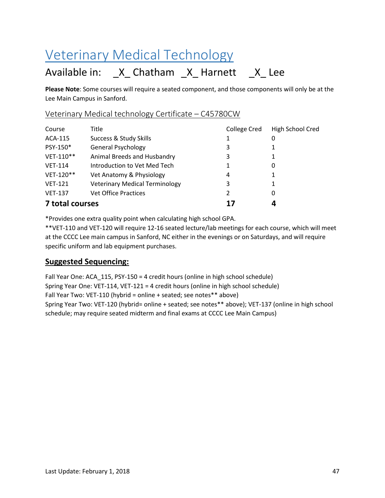# Veterinary Medical Technology

## Available in: X Chatham X Harnett X Lee

**Please Note**: Some courses will require a seated component, and those components will only be at the Lee Main Campus in Sanford.

#### Veterinary Medical technology Certificate – C45780CW

| Course          | Title                                 | College Cred | <b>High School Cred</b> |
|-----------------|---------------------------------------|--------------|-------------------------|
| ACA-115         | Success & Study Skills                | 1            | 0                       |
| PSY-150*        | <b>General Psychology</b>             | 3            |                         |
| VET-110**       | Animal Breeds and Husbandry           | 3            | 1                       |
| <b>VET-114</b>  | Introduction to Vet Med Tech          | 1            | 0                       |
| VET-120**       | Vet Anatomy & Physiology              | 4            | 1                       |
| <b>VET-121</b>  | <b>Veterinary Medical Terminology</b> | 3            | 1                       |
| <b>VET-137</b>  | <b>Vet Office Practices</b>           | 2            | 0                       |
| 7 total courses |                                       | 17           |                         |

\*Provides one extra quality point when calculating high school GPA.

\*\*VET-110 and VET-120 will require 12-16 seated lecture/lab meetings for each course, which will meet at the CCCC Lee main campus in Sanford, NC either in the evenings or on Saturdays, and will require specific uniform and lab equipment purchases.

### **Suggested Sequencing:**

Fall Year One: ACA\_115, PSY-150 = 4 credit hours (online in high school schedule) Spring Year One: VET-114, VET-121 = 4 credit hours (online in high school schedule) Fall Year Two: VET-110 (hybrid = online + seated; see notes\*\* above) Spring Year Two: VET-120 (hybrid= online + seated; see notes\*\* above); VET-137 (online in high school schedule; may require seated midterm and final exams at CCCC Lee Main Campus)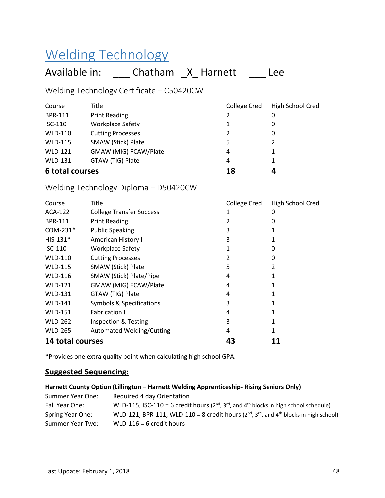# Welding Technology

## Available in: \_\_\_\_ Chatham \_X\_ Harnett \_\_\_\_ Lee

### Welding Technology Certificate – C50420CW

| Course          | Title                    | <b>College Cred</b> | High School Cred |
|-----------------|--------------------------|---------------------|------------------|
| <b>BPR-111</b>  | <b>Print Reading</b>     | 2                   | 0                |
| ISC-110         | <b>Workplace Safety</b>  | 1                   | 0                |
| <b>WLD-110</b>  | <b>Cutting Processes</b> | 2                   | 0                |
| <b>WLD-115</b>  | SMAW (Stick) Plate       | 5                   | 2                |
| <b>WLD-121</b>  | GMAW (MIG) FCAW/Plate    | 4                   |                  |
| <b>WLD-131</b>  | GTAW (TIG) Plate         | 4                   | 1                |
| 6 total courses |                          | 18                  | 4                |

### Welding Technology Diploma – D50420CW

| Course           | Title                            | <b>College Cred</b> | High School Cred |
|------------------|----------------------------------|---------------------|------------------|
| ACA-122          | <b>College Transfer Success</b>  |                     |                  |
| <b>BPR-111</b>   | <b>Print Reading</b>             |                     |                  |
| COM-231*         | <b>Public Speaking</b>           | 3                   |                  |
| $HIS-131*$       | American History I               |                     |                  |
| $ISC-110$        | <b>Workplace Safety</b>          |                     |                  |
| <b>WLD-110</b>   | <b>Cutting Processes</b>         |                     |                  |
| <b>WLD-115</b>   | SMAW (Stick) Plate               | 5                   | 2                |
| <b>WLD-116</b>   | SMAW (Stick) Plate/Pipe          | 4                   |                  |
| <b>WLD-121</b>   | GMAW (MIG) FCAW/Plate            | 4                   |                  |
| <b>WLD-131</b>   | GTAW (TIG) Plate                 | 4                   |                  |
| <b>WLD-141</b>   | Symbols & Specifications         | 3                   |                  |
| <b>WLD-151</b>   | <b>Fabrication I</b>             | 4                   |                  |
| <b>WLD-262</b>   | Inspection & Testing             | 3                   |                  |
| <b>WLD-265</b>   | <b>Automated Welding/Cutting</b> | 4                   |                  |
| 14 total courses |                                  | 43                  | 11               |

\*Provides one extra quality point when calculating high school GPA.

#### **Suggested Sequencing:**

#### **Harnett County Option (Lillington – Harnett Welding Apprenticeship- Rising Seniors Only)**

| Summer Year One: | Required 4 day Orientation                                                                             |
|------------------|--------------------------------------------------------------------------------------------------------|
| Fall Year One:   | WLD-115, ISC-110 = 6 credit hours ( $2^{nd}$ , $3^{rd}$ , and $4^{th}$ blocks in high school schedule) |
| Spring Year One: | WLD-121, BPR-111, WLD-110 = 8 credit hours ( $2^{nd}$ , $3^{rd}$ , and $4^{th}$ blocks in high school) |
| Summer Year Two: | WLD-116 = 6 credit hours                                                                               |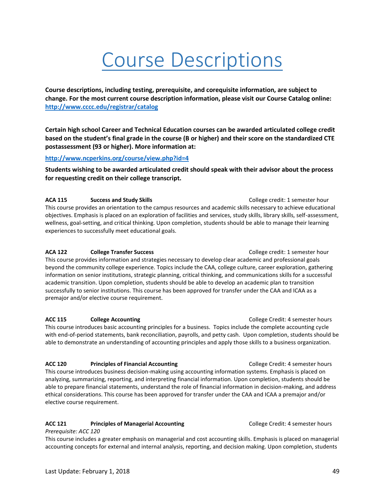# Course Descriptions

**Course descriptions, including testing, prerequisite, and corequisite information, are subject to change. For the most current course description information, please visit our Course Catalog online: <http://www.cccc.edu/registrar/catalog>**

**Certain high school Career and Technical Education courses can be awarded articulated college credit based on the student's final grade in the course (B or higher) and their score on the standardized CTE postassessment (93 or higher). More information at:**

**<http://www.ncperkins.org/course/view.php?id=4>**

**Students wishing to be awarded articulated credit should speak with their advisor about the process for requesting credit on their college transcript.**

**ACA 115 Success and Study Skills** College credit: 1 semester hour This course provides an orientation to the campus resources and academic skills necessary to achieve educational objectives. Emphasis is placed on an exploration of facilities and services, study skills, library skills, self-assessment, wellness, goal-setting, and critical thinking. Upon completion, students should be able to manage their learning experiences to successfully meet educational goals.

#### **ACA 122 College Transfer Success** College credit: 1 semester hour

This course provides information and strategies necessary to develop clear academic and professional goals beyond the community college experience. Topics include the CAA, college culture, career exploration, gathering information on senior institutions, strategic planning, critical thinking, and communications skills for a successful academic transition. Upon completion, students should be able to develop an academic plan to transition successfully to senior institutions. This course has been approved for transfer under the CAA and ICAA as a premajor and/or elective course requirement.

#### **ACC 115** College Accounting **COLLEGE COLLEGE COLLEGE COLLEGE COLLEGE COLLEGE COLLEGE COLLEGE COLLEGE COLLEGE COLLEGE COLLEGE COLLEGE COLLEGE COLLEGE COLLEGE COLLEGE COLLEGE COLLEGE COLLEGE COLLEGE COLLEGE COLLEGE COLLEGE**

This course introduces basic accounting principles for a business. Topics include the complete accounting cycle with end-of-period statements, bank reconciliation, payrolls, and petty cash. Upon completion, students should be able to demonstrate an understanding of accounting principles and apply those skills to a business organization.

#### **ACC 120** Principles of Financial Accounting **College Credit: 4 semester hours**

This course introduces business decision-making using accounting information systems. Emphasis is placed on analyzing, summarizing, reporting, and interpreting financial information. Upon completion, students should be able to prepare financial statements, understand the role of financial information in decision-making, and address ethical considerations. This course has been approved for transfer under the CAA and ICAA a premajor and/or elective course requirement.

#### ACC 121 **Principles of Managerial Accounting <b>ACC** 121 **Principles of Managerial Accounting** College Credit: 4 semester hours

#### *Prerequisite: ACC 120*

This course includes a greater emphasis on managerial and cost accounting skills. Emphasis is placed on managerial accounting concepts for external and internal analysis, reporting, and decision making. Upon completion, students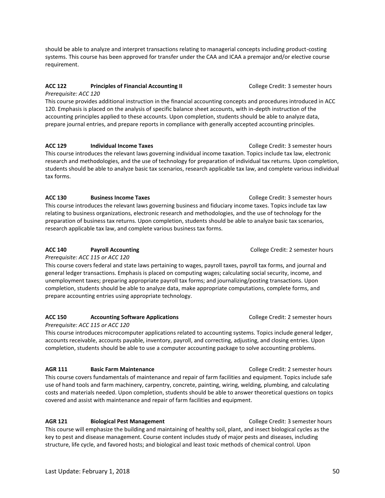should be able to analyze and interpret transactions relating to managerial concepts including product-costing systems. This course has been approved for transfer under the CAA and ICAA a premajor and/or elective course requirement.

#### **ACC 122** Principles of Financial Accounting II **College Credit: 3 semester hours**

*Prerequisite: ACC 120* 

This course provides additional instruction in the financial accounting concepts and procedures introduced in ACC 120. Emphasis is placed on the analysis of specific balance sheet accounts, with in-depth instruction of the accounting principles applied to these accounts. Upon completion, students should be able to analyze data, prepare journal entries, and prepare reports in compliance with generally accepted accounting principles.

#### ACC 129 **Individual Income Taxes College Credit: 3 semester hours ACC 129**

This course introduces the relevant laws governing individual income taxation. Topics include tax law, electronic research and methodologies, and the use of technology for preparation of individual tax returns. Upon completion, students should be able to analyze basic tax scenarios, research applicable tax law, and complete various individual tax forms.

#### **ACC 130** Business Income Taxes **College Credit: 3 semester hours College Credit: 3 semester hours**

This course introduces the relevant laws governing business and fiduciary income taxes. Topics include tax law relating to business organizations, electronic research and methodologies, and the use of technology for the preparation of business tax returns. Upon completion, students should be able to analyze basic tax scenarios, research applicable tax law, and complete various business tax forms.

#### **ACC 140** Payroll Accounting **Property College Credit: 2 semester hours ACC 140**

*Prerequisite: ACC 115 or ACC 120* 

This course covers federal and state laws pertaining to wages, payroll taxes, payroll tax forms, and journal and general ledger transactions. Emphasis is placed on computing wages; calculating social security, income, and unemployment taxes; preparing appropriate payroll tax forms; and journalizing/posting transactions. Upon completion, students should be able to analyze data, make appropriate computations, complete forms, and prepare accounting entries using appropriate technology.

#### **ACC 150 Accounting Software Applications College Credit: 2 semester hours**

#### *Prerequisite: ACC 115 or ACC 120*

This course introduces microcomputer applications related to accounting systems. Topics include general ledger, accounts receivable, accounts payable, inventory, payroll, and correcting, adjusting, and closing entries. Upon completion, students should be able to use a computer accounting package to solve accounting problems.

#### **AGR 111 Basic Farm Maintenance College Credit: 2 semester hours**

This course covers fundamentals of maintenance and repair of farm facilities and equipment. Topics include safe use of hand tools and farm machinery, carpentry, concrete, painting, wiring, welding, plumbing, and calculating costs and materials needed. Upon completion, students should be able to answer theoretical questions on topics covered and assist with maintenance and repair of farm facilities and equipment.

#### **AGR 121 Biological Pest Management College Credit: 3 semester hours**

This course will emphasize the building and maintaining of healthy soil, plant, and insect biological cycles as the key to pest and disease management. Course content includes study of major pests and diseases, including structure, life cycle, and favored hosts; and biological and least toxic methods of chemical control. Upon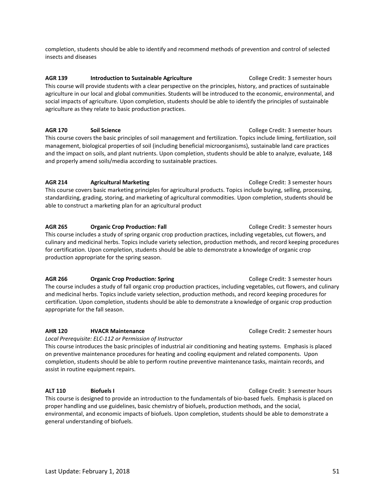completion, students should be able to identify and recommend methods of prevention and control of selected insects and diseases

AGR 139 **Introduction to Sustainable Agriculture College Credit: 3 semester hours** This course will provide students with a clear perspective on the principles, history, and practices of sustainable agriculture in our local and global communities. Students will be introduced to the economic, environmental, and social impacts of agriculture. Upon completion, students should be able to identify the principles of sustainable agriculture as they relate to basic production practices.

**AGR 170 Soil Science College Credit: 3 semester hours** This course covers the basic principles of soil management and fertilization. Topics include liming, fertilization, soil management, biological properties of soil (including beneficial microorganisms), sustainable land care practices and the impact on soils, and plant nutrients. Upon completion, students should be able to analyze, evaluate, 148 and properly amend soils/media according to sustainable practices.

#### **AGR 214 Agricultural Marketing** College Credit: 3 semester hours

This course covers basic marketing principles for agricultural products. Topics include buying, selling, processing, standardizing, grading, storing, and marketing of agricultural commodities. Upon completion, students should be able to construct a marketing plan for an agricultural product

**AGR 265 ••• Organic Crop Production: Fall** College Credit: 3 semester hours This course includes a study of spring organic crop production practices, including vegetables, cut flowers, and culinary and medicinal herbs. Topics include variety selection, production methods, and record keeping procedures for certification. Upon completion, students should be able to demonstrate a knowledge of organic crop production appropriate for the spring season.

**AGR 266 •• Organic Crop Production: Spring Contact College Credit: 3 semester hours** The course includes a study of fall organic crop production practices, including vegetables, cut flowers, and culinary and medicinal herbs. Topics include variety selection, production methods, and record keeping procedures for certification. Upon completion, students should be able to demonstrate a knowledge of organic crop production appropriate for the fall season.

#### **AHR 120 HVACR Maintenance College Credit: 2 semester hours College Credit: 2 semester hours**

*Local Prerequisite: ELC-112 or Permission of Instructor*

This course introduces the basic principles of industrial air conditioning and heating systems. Emphasis is placed on preventive maintenance procedures for heating and cooling equipment and related components. Upon completion, students should be able to perform routine preventive maintenance tasks, maintain records, and assist in routine equipment repairs.

#### **ALT 110 Biofuels I** College Credit: 3 semester hours

This course is designed to provide an introduction to the fundamentals of bio-based fuels. Emphasis is placed on proper handling and use guidelines, basic chemistry of biofuels, production methods, and the social, environmental, and economic impacts of biofuels. Upon completion, students should be able to demonstrate a general understanding of biofuels.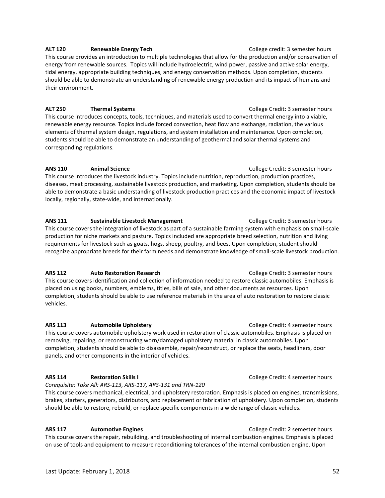#### **ALT 120 Renewable Energy Tech College credit: 3 semester hours**

This course provides an introduction to multiple technologies that allow for the production and/or conservation of energy from renewable sources. Topics will include hydroelectric, wind power, passive and active solar energy, tidal energy, appropriate building techniques, and energy conservation methods. Upon completion, students should be able to demonstrate an understanding of renewable energy production and its impact of humans and their environment.

#### **ALT 250 Thermal Systems** College Credit: 3 semester hours

This course introduces concepts, tools, techniques, and materials used to convert thermal energy into a viable, renewable energy resource. Topics include forced convection, heat flow and exchange, radiation, the various elements of thermal system design, regulations, and system installation and maintenance. Upon completion, students should be able to demonstrate an understanding of geothermal and solar thermal systems and corresponding regulations.

#### **ANS 110 Animal Science Animal Science College Credit: 3 semester hours**

This course introduces the livestock industry. Topics include nutrition, reproduction, production practices, diseases, meat processing, sustainable livestock production, and marketing. Upon completion, students should be able to demonstrate a basic understanding of livestock production practices and the economic impact of livestock locally, regionally, state-wide, and internationally.

ANS 111 **Sustainable Livestock Management** College Credit: 3 semester hours This course covers the integration of livestock as part of a sustainable farming system with emphasis on small-scale production for niche markets and pasture. Topics included are appropriate breed selection, nutrition and living requirements for livestock such as goats, hogs, sheep, poultry, and bees. Upon completion, student should recognize appropriate breeds for their farm needs and demonstrate knowledge of small-scale livestock production.

#### **ARS 112** Auto Restoration Research **College Credit: 3 semester hours** College Credit: 3 semester hours

This course covers identification and collection of information needed to restore classic automobiles. Emphasis is placed on using books, numbers, emblems, titles, bills of sale, and other documents as resources. Upon completion, students should be able to use reference materials in the area of auto restoration to restore classic vehicles.

#### **ARS 113** Automobile Upholstery **College Credit: 4 semester hours** College Credit: 4 semester hours

This course covers automobile upholstery work used in restoration of classic automobiles. Emphasis is placed on removing, repairing, or reconstructing worn/damaged upholstery material in classic automobiles. Upon completion, students should be able to disassemble, repair/reconstruct, or replace the seats, headliners, door panels, and other components in the interior of vehicles.

#### **ARS 114 Restoration Skills I** College Credit: 4 semester hours

*Corequisite: Take All: ARS-113, ARS-117, ARS-131 and TRN-120*

This course covers mechanical, electrical, and upholstery restoration. Emphasis is placed on engines, transmissions, brakes, starters, generators, distributors, and replacement or fabrication of upholstery. Upon completion, students should be able to restore, rebuild, or replace specific components in a wide range of classic vehicles.

#### **ARS 117** Automotive Engines **Automotive Engines College Credit: 2 semester hours**

This course covers the repair, rebuilding, and troubleshooting of internal combustion engines. Emphasis is placed on use of tools and equipment to measure reconditioning tolerances of the internal combustion engine. Upon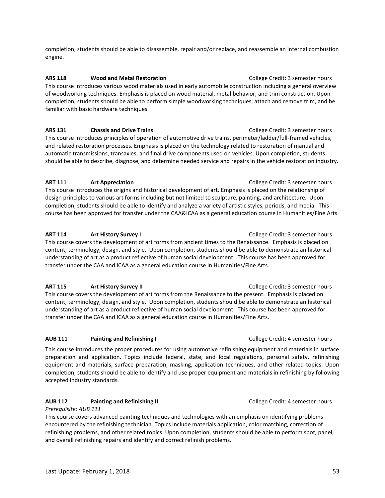completion, students should be able to disassemble, repair and/or replace, and reassemble an internal combustion engine.

#### **ARS 118** Wood and Metal Restoration **College Credit: 3 semester hours**

This course introduces various wood materials used in early automobile construction including a general overview of woodworking techniques. Emphasis is placed on wood material, metal behavior, and trim construction. Upon completion, students should be able to perform simple woodworking techniques, attach and remove trim, and be familiar with basic hardware techniques.

**ARS 131** Chassis and Drive Trains **College Credit: 3 semester hours** College Credit: 3 semester hours

This course introduces principles of operation of automotive drive trains, perimeter/ladder/full-framed vehicles, and related restoration processes. Emphasis is placed on the technology related to restoration of manual and automatic transmissions, transaxles, and final drive components used on vehicles. Upon completion, students should be able to describe, diagnose, and determine needed service and repairs in the vehicle restoration industry.

#### **ART 111** Art Appreciation **Article College Credit: 3 semester hours ART 111**

This course introduces the origins and historical development of art. Emphasis is placed on the relationship of design principles to various art forms including but not limited to sculpture, painting, and architecture. Upon completion, students should be able to identify and analyze a variety of artistic styles, periods, and media. This course has been approved for transfer under the CAA&ICAA as a general education course in Humanities/Fine Arts.

#### **ART 114** Art History Survey I **Art History Survey I** College Credit: 3 semester hours

This course covers the development of art forms from ancient times to the Renaissance. Emphasis is placed on content, terminology, design, and style. Upon completion, students should be able to demonstrate an historical understanding of art as a product reflective of human social development. This course has been approved for transfer under the CAA and ICAA as a general education course in Humanities/Fine Arts.

#### **ART 115** Art History Survey II **Article College Credit: 3 semester hours** College Credit: 3 semester hours

This course covers the development of art forms from the Renaissance to the present. Emphasis is placed on content, terminology, design, and style. Upon completion, students should be able to demonstrate an historical understanding of art as a product reflective of human social development. This course has been approved for transfer under the CAA and ICAA as a general education course in Humanities/Fine Arts.

#### **AUB 111 Painting and Refinishing I** College Credit: 4 semester hours

This course introduces the proper procedures for using automotive refinishing equipment and materials in surface preparation and application. Topics include federal, state, and local regulations, personal safety, refinishing equipment and materials, surface preparation, masking, application techniques, and other related topics. Upon completion, students should be able to identify and use proper equipment and materials in refinishing by following accepted industry standards.

#### **AUB 112 Painting and Refinishing II** College Credit: 4 semester hours

*Prerequisite: AUB 111* 

This course covers advanced painting techniques and technologies with an emphasis on identifying problems encountered by the refinishing technician. Topics include materials application, color matching, correction of refinishing problems, and other related topics. Upon completion, students should be able to perform spot, panel, and overall refinishing repairs and identify and correct refinish problems.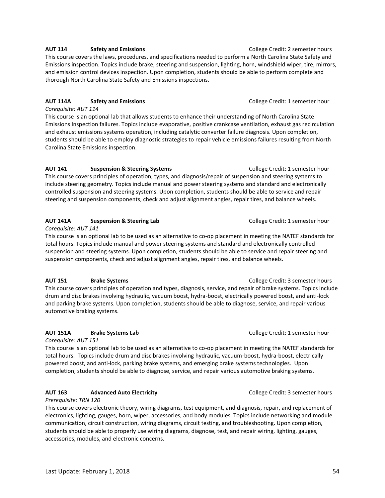#### AUT 114 **Safety and Emissions College Credit: 2 semester hours College Credit: 2 semester hours**

This course covers the laws, procedures, and specifications needed to perform a North Carolina State Safety and Emissions inspection. Topics include brake, steering and suspension, lighting, horn, windshield wiper, tire, mirrors, and emission control devices inspection. Upon completion, students should be able to perform complete and thorough North Carolina State Safety and Emissions inspections.

#### **AUT 114A Safety and Emissions** College Credit: 1 semester hour

*Corequisite: AUT 114*  This course is an optional lab that allows students to enhance their understanding of North Carolina State Emissions Inspection failures. Topics include evaporative, positive crankcase ventilation, exhaust gas recirculation and exhaust emissions systems operation, including catalytic converter failure diagnosis. Upon completion, students should be able to employ diagnostic strategies to repair vehicle emissions failures resulting from North Carolina State Emissions inspection.

#### **AUT 141 Suspension & Steering Systems** College Credit: 1 semester hour

This course covers principles of operation, types, and diagnosis/repair of suspension and steering systems to include steering geometry. Topics include manual and power steering systems and standard and electronically controlled suspension and steering systems. Upon completion, students should be able to service and repair steering and suspension components, check and adjust alignment angles, repair tires, and balance wheels.

#### **AUT 141A Suspension & Steering Lab** College Credit: 1 semester hour

*Corequisite: AUT 141*

This course is an optional lab to be used as an alternative to co-op placement in meeting the NATEF standards for total hours. Topics include manual and power steering systems and standard and electronically controlled suspension and steering systems. Upon completion, students should be able to service and repair steering and suspension components, check and adjust alignment angles, repair tires, and balance wheels.

**AUT 151** Brake Systems **Brake Systems College Credit: 3 semester hours** This course covers principles of operation and types, diagnosis, service, and repair of brake systems. Topics include drum and disc brakes involving hydraulic, vacuum boost, hydra-boost, electrically powered boost, and anti-lock and parking brake systems. Upon completion, students should be able to diagnose, service, and repair various automotive braking systems.

#### **AUT 151A Brake Systems Lab** College Credit: 1 semester hour

*Corequisite: AUT 151*

This course is an optional lab to be used as an alternative to co-op placement in meeting the NATEF standards for total hours. Topics include drum and disc brakes involving hydraulic, vacuum-boost, hydra-boost, electrically powered boost, and anti-lock, parking brake systems, and emerging brake systems technologies. Upon completion, students should be able to diagnose, service, and repair various automotive braking systems.

#### **AUT 163** Advanced Auto Electricity **Automobia Auto Electricity College Credit: 3 semester hours**

*Prerequisite: TRN 120* 

This course covers electronic theory, wiring diagrams, test equipment, and diagnosis, repair, and replacement of electronics, lighting, gauges, horn, wiper, accessories, and body modules. Topics include networking and module communication, circuit construction, wiring diagrams, circuit testing, and troubleshooting. Upon completion, students should be able to properly use wiring diagrams, diagnose, test, and repair wiring, lighting, gauges, accessories, modules, and electronic concerns.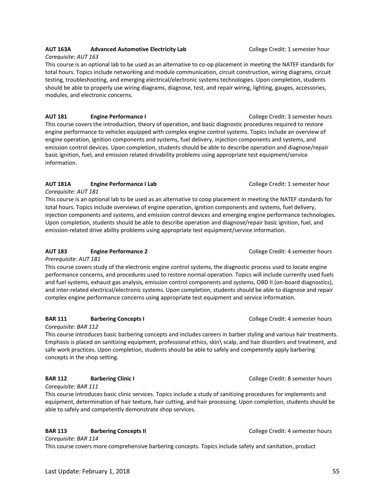#### **AUT 163A Advanced Automotive Electricity Lab** College Credit: 1 semester hour *Corequisite: AUT 163*

This course is an optional lab to be used as an alternative to co-op placement in meeting the NATEF standards for total hours. Topics include networking and module communication, circuit construction, wiring diagrams, circuit testing, troubleshooting, and emerging electrical/electronic systems technologies. Upon completion, students should be able to properly use wiring diagrams, diagnose, test, and repair wiring, lighting, gauges, accessories, modules, and electronic concerns.

**AUT 181 Engine Performance I Engine Performance I Example 2 College Credit: 3 semester hours** This course covers the introduction, theory of operation, and basic diagnostic procedures required to restore engine performance to vehicles equipped with complex engine control systems. Topics include an overview of engine operation, ignition components and systems, fuel delivery, injection components and systems, and emission control devices. Upon completion, students should be able to describe operation and diagnose/repair basic ignition, fuel, and emission related drivability problems using appropriate test equipment/service information.

#### **AUT 181A Engine Performance I Lab** College Credit: 1 semester hour

*Corequisite: AUT 181* 

This course is an optional lab to be used as an alternative to coop placement in meeting the NATEF standards for total hours. Topics include overviews of engine operation, ignition components and systems, fuel delivery, injection components and systems, and emission control devices and emerging engine performance technologies. Upon completion, students should be able to describe operation and diagnose/repair basic ignition, fuel, and emission-related drive ability problems using appropriate test equipment/service information.

#### **AUT 183 Engine Performance 2 Engine Performance 2 College Credit: 4 semester hours**

*Prerequisite: AUT 181*

This course covers study of the electronic engine control systems, the diagnostic process used to locate engine performance concerns, and procedures used to restore normal operation. Topics will include currently used fuels and fuel systems, exhaust gas analysis, emission control components and systems, OBD II (on-board diagnostics), and inter-related electrical/electronic systems. Upon completion, students should be able to diagnose and repair complex engine performance concerns using appropriate test equipment and service information.

#### **BAR 111 Barbering Concepts I BAR 111 BAR 111 BAR 111 BAR 111 BAR 111 BAR 111 BAR 111 BAR 111 BAR 111 BAR 111 BAR 111 BAR 111 BAR 111 BAR 111 BAR 111 BAR 111 BAR 111 BAR 111 BAR 111**

*Corequisite: BAR 112*

This course introduces basic barbering concepts and includes careers in barber styling and various hair treatments. Emphasis is placed on sanitizing equipment, professional ethics, skin\ scalp, and hair disorders and treatment, and safe work practices. Upon completion, students should be able to safely and competently apply barbering concepts in the shop setting.

#### **BAR 112 Barbering Clinic I BAR 112 BAR 112 BAR 112 BAR 112 BAR 112 B**

*Corequisite: BAR 111*

This course introduces basic clinic services. Topics include a study of sanitizing procedures for implements and equipment, determination of hair texture, hair cutting, and hair processing. Upon completion, students should be able to safely and competently demonstrate shop services.

#### **BAR 113 Barbering Concepts II BAR 113 BAR 113 BAR 113 BAR 113 BAR 113 B**

*Corequisite: BAR 114*

This course covers more comprehensive barbering concepts. Topics include safety and sanitation, product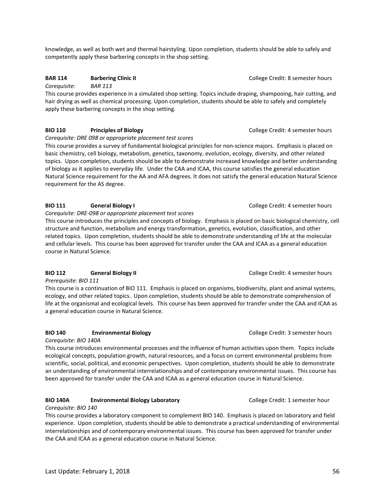knowledge, as well as both wet and thermal hairstyling. Upon completion, students should be able to safely and competently apply these barbering concepts in the shop setting.

#### **BAR 114 Barbering Clinic II BAR 114 BAR 114 BAR 114 BAR 114 BAR 114 B**

*Corequisite: BAR 113*

This course provides experience in a simulated shop setting. Topics include draping, shampooing, hair cutting, and hair drying as well as chemical processing. Upon completion, students should be able to safely and completely apply these barbering concepts in the shop setting.

#### **BIO 110** Principles of Biology **Principles of Biology Principles of Biology College Credit: 4 semester hours**

*Corequisite: DRE 098 or appropriate placement test scores*

This course provides a survey of fundamental biological principles for non-science majors. Emphasis is placed on basic chemistry, cell biology, metabolism, genetics, taxonomy, evolution, ecology, diversity, and other related topics. Upon completion, students should be able to demonstrate increased knowledge and better understanding of biology as it applies to everyday life. Under the CAA and ICAA, this course satisfies the general education Natural Science requirement for the AA and AFA degrees. It does not satisfy the general education Natural Science requirement for the AS degree.

#### **BIO 111 General Biology I College Credit: 4 semester hours**

#### *Corequisite: DRE-098 or appropriate placement test scores*

This course introduces the principles and concepts of biology. Emphasis is placed on basic biological chemistry, cell structure and function, metabolism and energy transformation, genetics, evolution, classification, and other related topics. Upon completion, students should be able to demonstrate understanding of life at the molecular and cellular levels. This course has been approved for transfer under the CAA and ICAA as a general education course in Natural Science.

#### **BIO 112 General Biology II College Credit: 4 semester hours College Credit: 4 semester hours**

*Prerequisite: BIO 111*

This course is a continuation of BIO 111. Emphasis is placed on organisms, biodiversity, plant and animal systems, ecology, and other related topics. Upon completion, students should be able to demonstrate comprehension of life at the organismal and ecological levels. This course has been approved for transfer under the CAA and ICAA as a general education course in Natural Science.

#### **BIO 140 Environmental Biology College Credit: 3 semester hours**

#### *Corequisite: BIO 140A*

This course introduces environmental processes and the influence of human activities upon them. Topics include ecological concepts, population growth, natural resources, and a focus on current environmental problems from scientific, social, political, and economic perspectives. Upon completion, students should be able to demonstrate an understanding of environmental interrelationships and of contemporary environmental issues. This course has been approved for transfer under the CAA and ICAA as a general education course in Natural Science.

#### **BIO 140A Environmental Biology Laboratory <b>Example 20 Set Laboratory** College Credit: 1 semester hour

#### *Corequisite: BIO 140*

This course provides a laboratory component to complement BIO 140. Emphasis is placed on laboratory and field experience. Upon completion, students should be able to demonstrate a practical understanding of environmental interrelationships and of contemporary environmental issues. This course has been approved for transfer under the CAA and ICAA as a general education course in Natural Science.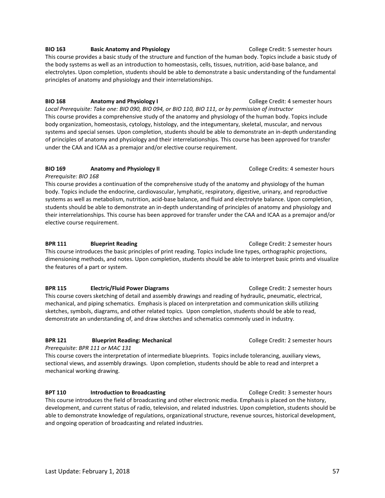**BIO 163 Basic Anatomy and Physiology College Credit: 5 semester hours** This course provides a basic study of the structure and function of the human body. Topics include a basic study of the body systems as well as an introduction to homeostasis, cells, tissues, nutrition, acid-base balance, and electrolytes. Upon completion, students should be able to demonstrate a basic understanding of the fundamental principles of anatomy and physiology and their interrelationships.

**BIO 168** Anatomy and Physiology I College Credit: 4 semester hours *Local Prerequisite: Take one: BIO 090, BIO 094, or BIO 110, BIO 111, or by permission of instructor*  This course provides a comprehensive study of the anatomy and physiology of the human body. Topics include body organization, homeostasis, cytology, histology, and the integumentary, skeletal, muscular, and nervous systems and special senses. Upon completion, students should be able to demonstrate an in-depth understanding of principles of anatomy and physiology and their interrelationships. This course has been approved for transfer under the CAA and ICAA as a premajor and/or elective course requirement.

#### **BIO 169 Anatomy and Physiology II COLLEGE CREDITS: 4 semester hours College Credits: 4 semester hours**

*Prerequisite: BIO 168* This course provides a continuation of the comprehensive study of the anatomy and physiology of the human body. Topics include the endocrine, cardiovascular, lymphatic, respiratory, digestive, urinary, and reproductive systems as well as metabolism, nutrition, acid-base balance, and fluid and electrolyte balance. Upon completion, students should be able to demonstrate an in-depth understanding of principles of anatomy and physiology and their interrelationships. This course has been approved for transfer under the CAA and ICAA as a premajor and/or elective course requirement.

#### **BPR 111 Blueprint Reading College Credit: 2 semester hours**

This course introduces the basic principles of print reading. Topics include line types, orthographic projections, dimensioning methods, and notes. Upon completion, students should be able to interpret basic prints and visualize the features of a part or system.

**BPR 115 Electric/Fluid Power Diagrams College Credit: 2 semester hours** 

This course covers sketching of detail and assembly drawings and reading of hydraulic, pneumatic, electrical, mechanical, and piping schematics. Emphasis is placed on interpretation and communication skills utilizing sketches, symbols, diagrams, and other related topics. Upon completion, students should be able to read, demonstrate an understanding of, and draw sketches and schematics commonly used in industry.

#### **BPR 121 Blueprint Reading: Mechanical** *College Credit: 2 semester hours*

*Prerequisite: BPR 111 or MAC 131*

This course covers the interpretation of intermediate blueprints. Topics include tolerancing, auxiliary views, sectional views, and assembly drawings. Upon completion, students should be able to read and interpret a mechanical working drawing.

**BPT 110** Introduction to Broadcasting **Interpretional College Credit: 3 semester hours** 

This course introduces the field of broadcasting and other electronic media. Emphasis is placed on the history, development, and current status of radio, television, and related industries. Upon completion, students should be able to demonstrate knowledge of regulations, organizational structure, revenue sources, historical development, and ongoing operation of broadcasting and related industries.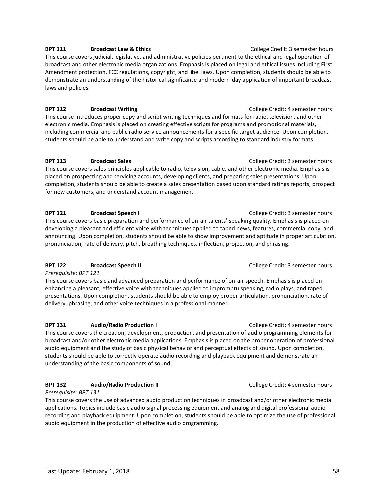#### **BPT 111** Broadcast Law & Ethics **Broadcast Law & Ethics BPT 111** College Credit: 3 semester hours

This course covers judicial, legislative, and administrative policies pertinent to the ethical and legal operation of broadcast and other electronic media organizations. Emphasis is placed on legal and ethical issues including First Amendment protection, FCC regulations, copyright, and libel laws. Upon completion, students should be able to demonstrate an understanding of the historical significance and modern-day application of important broadcast laws and policies.

#### **BPT 112** Broadcast Writing **Broadcast Writing College Credit: 4 semester hours**

This course introduces proper copy and script writing techniques and formats for radio, television, and other electronic media. Emphasis is placed on creating effective scripts for programs and promotional materials, including commercial and public radio service announcements for a specific target audience. Upon completion, students should be able to understand and write copy and scripts according to standard industry formats.

#### **BPT 113** Broadcast Sales **Broadcast Sales College Credit: 3 semester hours**

This course covers sales principles applicable to radio, television, cable, and other electronic media. Emphasis is placed on prospecting and servicing accounts, developing clients, and preparing sales presentations. Upon completion, students should be able to create a sales presentation based upon standard ratings reports, prospect for new customers, and understand account management.

#### **BPT 121** Broadcast Speech I **Broadcast Speech I BRACE I College Credit: 3 semester hours**

This course covers basic preparation and performance of on-air talents' speaking quality. Emphasis is placed on developing a pleasant and efficient voice with techniques applied to taped news, features, commercial copy, and announcing. Upon completion, students should be able to show improvement and aptitude in proper articulation, pronunciation, rate of delivery, pitch, breathing techniques, inflection, projection, and phrasing.

#### **BPT 122 Broadcast Speech II Broadcast Speech II Broadcast Speech II College Credit: 3 semester hours**

*Prerequisite: BPT 121* 

This course covers basic and advanced preparation and performance of on-air speech. Emphasis is placed on enhancing a pleasant, effective voice with techniques applied to impromptu speaking, radio plays, and taped presentations. Upon completion, students should be able to employ proper articulation, pronunciation, rate of delivery, phrasing, and other voice techniques in a professional manner.

#### **BPT 131** Audio/Radio Production I **Audio/Radio Production I College Credit: 4 semester hours**

This course covers the creation, development, production, and presentation of audio programming elements for broadcast and/or other electronic media applications. Emphasis is placed on the proper operation of professional audio equipment and the study of basic physical behavior and perceptual effects of sound. Upon completion, students should be able to correctly operate audio recording and playback equipment and demonstrate an understanding of the basic components of sound.

#### **BPT 132 Audio/Radio Production II College Credit: 4 semester hours**

*Prerequisite: BPT 131* 

This course covers the use of advanced audio production techniques in broadcast and/or other electronic media applications. Topics include basic audio signal processing equipment and analog and digital professional audio recording and playback equipment. Upon completion, students should be able to optimize the use of professional audio equipment in the production of effective audio programming.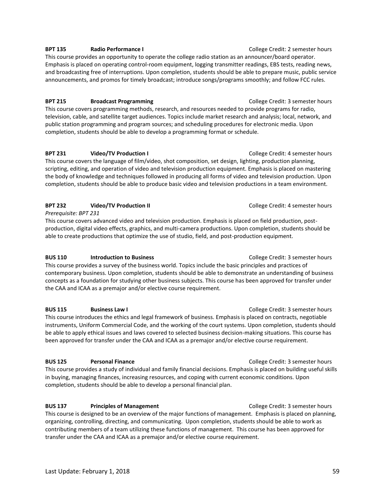#### **BPT 135 Radio Performance I College Credit: 2 semester hours**

This course provides an opportunity to operate the college radio station as an announcer/board operator. Emphasis is placed on operating control-room equipment, logging transmitter readings, EBS tests, reading news, and broadcasting free of interruptions. Upon completion, students should be able to prepare music, public service announcements, and promos for timely broadcast; introduce songs/programs smoothly; and follow FCC rules.

#### **BPT 215 Broadcast Programming College Credit: 3 semester hours**

This course covers programming methods, research, and resources needed to provide programs for radio, television, cable, and satellite target audiences. Topics include market research and analysis; local, network, and public station programming and program sources; and scheduling procedures for electronic media. Upon completion, students should be able to develop a programming format or schedule.

#### **BPT 231** Video/TV Production I **Department College Credit: 4 semester hours**

This course covers the language of film/video, shot composition, set design, lighting, production planning, scripting, editing, and operation of video and television production equipment. Emphasis is placed on mastering the body of knowledge and techniques followed in producing all forms of video and television production. Upon completion, students should be able to produce basic video and television productions in a team environment.

#### **BPT 232 Video/TV Production II College Credit: 4 semester hours**

*Prerequisite: BPT 231*

This course covers advanced video and television production. Emphasis is placed on field production, postproduction, digital video effects, graphics, and multi-camera productions. Upon completion, students should be able to create productions that optimize the use of studio, field, and post-production equipment.

#### **BUS 110 Introduction to Business College Credit: 3 semester hours College Credit: 3 semester hours**

This course provides a survey of the business world. Topics include the basic principles and practices of contemporary business. Upon completion, students should be able to demonstrate an understanding of business concepts as a foundation for studying other business subjects. This course has been approved for transfer under the CAA and ICAA as a premajor and/or elective course requirement.

#### **BUS 115** Business Law I **Business Law I College Credit: 3 semester hours**

This course introduces the ethics and legal framework of business. Emphasis is placed on contracts, negotiable instruments, Uniform Commercial Code, and the working of the court systems. Upon completion, students should be able to apply ethical issues and laws covered to selected business decision-making situations. This course has been approved for transfer under the CAA and ICAA as a premajor and/or elective course requirement.

#### **BUS 125** Personal Finance **Proposed College Credit: 3 semester hours**

This course provides a study of individual and family financial decisions. Emphasis is placed on building useful skills in buying, managing finances, increasing resources, and coping with current economic conditions. Upon completion, students should be able to develop a personal financial plan.

#### **BUS 137** Principles of Management **College Credit: 3 semester hours** college Credit: 3 semester hours

This course is designed to be an overview of the major functions of management. Emphasis is placed on planning, organizing, controlling, directing, and communicating. Upon completion, students should be able to work as contributing members of a team utilizing these functions of management. This course has been approved for transfer under the CAA and ICAA as a premajor and/or elective course requirement.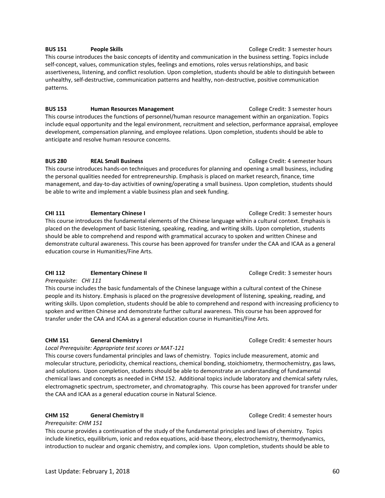#### **BUS 151 People Skills People Skills College Credit: 3 semester hours**

This course introduces the basic concepts of identity and communication in the business setting. Topics include self-concept, values, communication styles, feelings and emotions, roles versus relationships, and basic assertiveness, listening, and conflict resolution. Upon completion, students should be able to distinguish between unhealthy, self-destructive, communication patterns and healthy, non-destructive, positive communication patterns.

#### **BUS 153 Human Resources Management College Credit: 3 semester hours**

This course introduces the functions of personnel/human resource management within an organization. Topics include equal opportunity and the legal environment, recruitment and selection, performance appraisal, employee development, compensation planning, and employee relations. Upon completion, students should be able to anticipate and resolve human resource concerns.

#### **BUS 280 REAL Small Business College Credit: 4 semester hours College Credit: 4 semester hours**

This course introduces hands-on techniques and procedures for planning and opening a small business, including the personal qualities needed for entrepreneurship. Emphasis is placed on market research, finance, time management, and day-to-day activities of owning/operating a small business. Upon completion, students should be able to write and implement a viable business plan and seek funding.

#### **CHI 111 Elementary Chinese I College Credit: 3 semester hours**

This course introduces the fundamental elements of the Chinese language within a cultural context. Emphasis is placed on the development of basic listening, speaking, reading, and writing skills. Upon completion, students should be able to comprehend and respond with grammatical accuracy to spoken and written Chinese and demonstrate cultural awareness. This course has been approved for transfer under the CAA and ICAA as a general education course in Humanities/Fine Arts.

#### **CHI 112 Elementary Chinese II College Credit: 3 semester hours**

*Prerequisite: CHI 111*

This course includes the basic fundamentals of the Chinese language within a cultural context of the Chinese people and its history. Emphasis is placed on the progressive development of listening, speaking, reading, and writing skills. Upon completion, students should be able to comprehend and respond with increasing proficiency to spoken and written Chinese and demonstrate further cultural awareness. This course has been approved for transfer under the CAA and ICAA as a general education course in Humanities/Fine Arts.

#### **CHM 151 General Chemistry I** College Credit: 4 semester hours

*Local Prerequisite: Appropriate test scores or MAT-121*

This course covers fundamental principles and laws of chemistry. Topics include measurement, atomic and molecular structure, periodicity, chemical reactions, chemical bonding, stoichiometry, thermochemistry, gas laws, and solutions. Upon completion, students should be able to demonstrate an understanding of fundamental chemical laws and concepts as needed in CHM 152. Additional topics include laboratory and chemical safety rules, electromagnetic spectrum, spectrometer, and chromatography. This course has been approved for transfer under the CAA and ICAA as a general education course in Natural Science.

#### **CHM 152 General Chemistry II College Credit: 4 semester hours College Credit: 4 semester hours**

#### *Prerequisite: CHM 151*

This course provides a continuation of the study of the fundamental principles and laws of chemistry. Topics include kinetics, equilibrium, ionic and redox equations, acid-base theory, electrochemistry, thermodynamics, introduction to nuclear and organic chemistry, and complex ions. Upon completion, students should be able to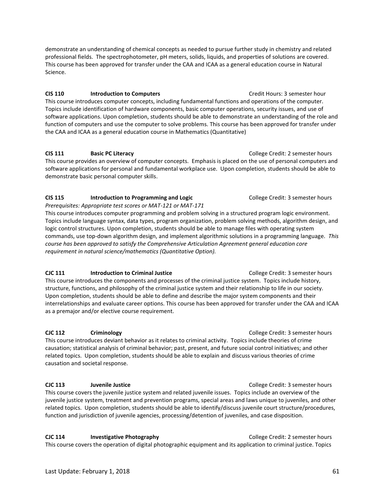demonstrate an understanding of chemical concepts as needed to pursue further study in chemistry and related professional fields. The spectrophotometer, pH meters, solids, liquids, and properties of solutions are covered. This course has been approved for transfer under the CAA and ICAA as a general education course in Natural Science.

#### **CIS 110 Introduction to Computers CIS 110 Credit Hours: 3 semester hour**

This course introduces computer concepts, including fundamental functions and operations of the computer. Topics include identification of hardware components, basic computer operations, security issues, and use of software applications. Upon completion, students should be able to demonstrate an understanding of the role and function of computers and use the computer to solve problems. This course has been approved for transfer under the CAA and ICAA as a general education course in Mathematics (Quantitative)

**CIS 111** Basic PC Literacy **COLLEGE COLLEGE CREDIT:** College Credit: 2 semester hours This course provides an overview of computer concepts. Emphasis is placed on the use of personal computers and software applications for personal and fundamental workplace use. Upon completion, students should be able to demonstrate basic personal computer skills.

#### **CIS 115** Introduction to Programming and Logic **College Credit: 3 semester hours**

*Prerequisites: Appropriate test scores or MAT-121 or MAT-171* This course introduces computer programming and problem solving in a structured program logic environment. Topics include language syntax, data types, program organization, problem solving methods, algorithm design, and logic control structures. Upon completion, students should be able to manage files with operating system commands, use top-down algorithm design, and implement algorithmic solutions in a programming language. *This course has been approved to satisfy the Comprehensive Articulation Agreement general education core requirement in natural science/mathematics (Quantitative Option).* 

#### **CJC 111** Introduction to Criminal Justice **College Credit: 3 semester hours**

This course introduces the components and processes of the criminal justice system. Topics include history, structure, functions, and philosophy of the criminal justice system and their relationship to life in our society. Upon completion, students should be able to define and describe the major system components and their interrelationships and evaluate career options. This course has been approved for transfer under the CAA and ICAA as a premajor and/or elective course requirement.

**CJC 112** Criminology **College Credit: 3 semester hours** This course introduces deviant behavior as it relates to criminal activity. Topics include theories of crime causation; statistical analysis of criminal behavior; past, present, and future social control initiatives; and other related topics. Upon completion, students should be able to explain and discuss various theories of crime causation and societal response.

#### **CJC 113 Juvenile Justice** College Credit: 3 semester hours

This course covers the juvenile justice system and related juvenile issues. Topics include an overview of the juvenile justice system, treatment and prevention programs, special areas and laws unique to juveniles, and other related topics. Upon completion, students should be able to identify/discuss juvenile court structure/procedures, function and jurisdiction of juvenile agencies, processing/detention of juveniles, and case disposition.

**CJC 114** Investigative Photography **College Credit: 2 semester hours** This course covers the operation of digital photographic equipment and its application to criminal justice. Topics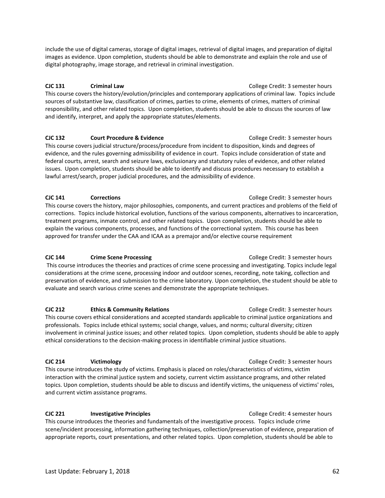include the use of digital cameras, storage of digital images, retrieval of digital images, and preparation of digital images as evidence. Upon completion, students should be able to demonstrate and explain the role and use of digital photography, image storage, and retrieval in criminal investigation.

### **CJC 131 Criminal Law** College Credit: 3 semester hours

This course covers the history/evolution/principles and contemporary applications of criminal law. Topics include sources of substantive law, classification of crimes, parties to crime, elements of crimes, matters of criminal responsibility, and other related topics. Upon completion, students should be able to discuss the sources of law and identify, interpret, and apply the appropriate statutes/elements.

**CJC 132** Court Procedure & Evidence College Credit: 3 semester hours This course covers judicial structure/process/procedure from incident to disposition, kinds and degrees of evidence, and the rules governing admissibility of evidence in court. Topics include consideration of state and federal courts, arrest, search and seizure laws, exclusionary and statutory rules of evidence, and other related issues. Upon completion, students should be able to identify and discuss procedures necessary to establish a lawful arrest/search, proper judicial procedures, and the admissibility of evidence.

**CJC 141 Corrections College Credit: 3 semester hours** This course covers the history, major philosophies, components, and current practices and problems of the field of corrections. Topics include historical evolution, functions of the various components, alternatives to incarceration, treatment programs, inmate control, and other related topics. Upon completion, students should be able to explain the various components, processes, and functions of the correctional system. This course has been approved for transfer under the CAA and ICAA as a premajor and/or elective course requirement

#### **CJC 144** Crime Scene Processing College Credit: 3 semester hours

This course introduces the theories and practices of crime scene processing and investigating. Topics include legal considerations at the crime scene, processing indoor and outdoor scenes, recording, note taking, collection and preservation of evidence, and submission to the crime laboratory. Upon completion, the student should be able to evaluate and search various crime scenes and demonstrate the appropriate techniques.

#### **CJC 212 Ethics & Community Relations College Credit: 3 semester hours College Credit: 3 semester hours**

This course covers ethical considerations and accepted standards applicable to criminal justice organizations and professionals. Topics include ethical systems; social change, values, and norms; cultural diversity; citizen involvement in criminal justice issues; and other related topics. Upon completion, students should be able to apply ethical considerations to the decision-making process in identifiable criminal justice situations.

#### **CJC 214 Victimology** College Credit: 3 semester hours

This course introduces the study of victims. Emphasis is placed on roles/characteristics of victims, victim interaction with the criminal justice system and society, current victim assistance programs, and other related topics. Upon completion, students should be able to discuss and identify victims, the uniqueness of victims' roles, and current victim assistance programs.

**CJC 221** Investigative Principles **College Credit: 4 semester hours College Credit: 4 semester hours** This course introduces the theories and fundamentals of the investigative process. Topics include crime scene/incident processing, information gathering techniques, collection/preservation of evidence, preparation of appropriate reports, court presentations, and other related topics. Upon completion, students should be able to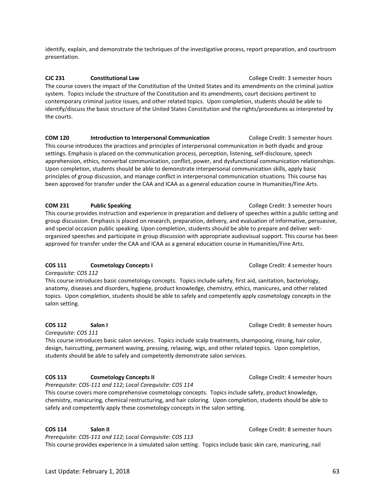identify, explain, and demonstrate the techniques of the investigative process, report preparation, and courtroom presentation.

**CJC 231 Constitutional Law College Credit: 3 semester hours** The course covers the impact of the Constitution of the United States and its amendments on the criminal justice system. Topics include the structure of the Constitution and its amendments, court decisions pertinent to contemporary criminal justice issues, and other related topics. Upon completion, students should be able to identify/discuss the basic structure of the United States Constitution and the rights/procedures as interpreted by the courts.

**COM 120 Introduction to Interpersonal Communication** College Credit: 3 semester hours This course introduces the practices and principles of interpersonal communication in both dyadic and group settings. Emphasis is placed on the communication process, perception, listening, self-disclosure, speech apprehension, ethics, nonverbal communication, conflict, power, and dysfunctional communication relationships. Upon completion, students should be able to demonstrate interpersonal communication skills, apply basic principles of group discussion, and manage conflict in interpersonal communication situations. This course has been approved for transfer under the CAA and ICAA as a general education course in Humanities/Fine Arts.

#### **COM 231 Public Speaking Public Speaking COM 231 Public Speaking College Credit: 3 semester hours**

This course provides instruction and experience in preparation and delivery of speeches within a public setting and group discussion. Emphasis is placed on research, preparation, delivery, and evaluation of informative, persuasive, and special occasion public speaking. Upon completion, students should be able to prepare and deliver wellorganized speeches and participate in group discussion with appropriate audiovisual support. This course has been approved for transfer under the CAA and ICAA as a general education course in Humanities/Fine Arts.

#### **COS 111 Cosmetology Concepts I College Credit: 4 semester hours**

*Corequisite: COS 112*

This course introduces basic cosmetology concepts. Topics include safety, first aid, sanitation, bacteriology, anatomy, diseases and disorders, hygiene, product knowledge, chemistry, ethics, manicures, and other related topics. Upon completion, students should be able to safely and competently apply cosmetology concepts in the salon setting.

*Corequisite: COS 111*

This course introduces basic salon services. Topics include scalp treatments, shampooing, rinsing, hair color, design, haircutting, permanent waving, pressing, relaxing, wigs, and other related topics. Upon completion, students should be able to safely and competently demonstrate salon services.

#### **COS 113** Cosmetology Concepts II College Credit: 4 semester hours

*Prerequisite: COS-111 and 112; Local Corequisite: COS 114*

This course covers more comprehensive cosmetology concepts. Topics include safety, product knowledge, chemistry, manicuring, chemical restructuring, and hair coloring. Upon completion, students should be able to safely and competently apply these cosmetology concepts in the salon setting.

#### **COS 114** Salon II **Salon II** Salon II **College Credit: 8 semester hours**

*Prerequisite: COS-111 and 112; Local Corequisite: COS 113*

This course provides experience in a simulated salon setting. Topics include basic skin care, manicuring, nail

**COS 112** Salon I **Salon I <b>Salon** I **College Credit: 8 semester hours**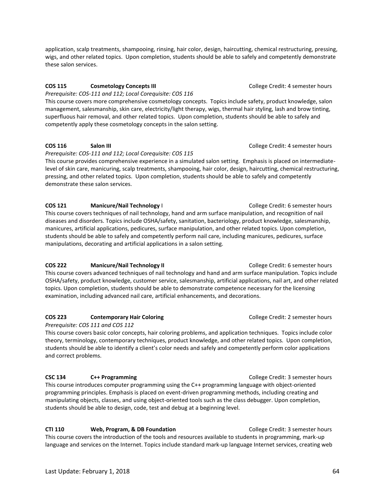application, scalp treatments, shampooing, rinsing, hair color, design, haircutting, chemical restructuring, pressing, wigs, and other related topics. Upon completion, students should be able to safely and competently demonstrate these salon services.

#### **COS 115** Cosmetology Concepts III College Credit: 4 semester hours

*Prerequisite: COS-111 and 112; Local Corequisite: COS 116* This course covers more comprehensive cosmetology concepts. Topics include safety, product knowledge, salon management, salesmanship, skin care, electricity/light therapy, wigs, thermal hair styling, lash and brow tinting, superfluous hair removal, and other related topics. Upon completion, students should be able to safely and competently apply these cosmetology concepts in the salon setting.

*Prerequisite: COS-111 and 112; Local Corequisite: COS 115*

This course provides comprehensive experience in a simulated salon setting. Emphasis is placed on intermediatelevel of skin care, manicuring, scalp treatments, shampooing, hair color, design, haircutting, chemical restructuring, pressing, and other related topics. Upon completion, students should be able to safely and competently demonstrate these salon services.

#### **COS 121 Manicure/Nail Technology** I College Credit: 6 semester hours

This course covers techniques of nail technology, hand and arm surface manipulation, and recognition of nail diseases and disorders. Topics include OSHA/safety, sanitation, bacteriology, product knowledge, salesmanship, manicures, artificial applications, pedicures, surface manipulation, and other related topics. Upon completion, students should be able to safely and competently perform nail care, including manicures, pedicures, surface manipulations, decorating and artificial applications in a salon setting.

#### **COS 222 Manicure/Nail Technology II College Credit: 6 semester hours**

This course covers advanced techniques of nail technology and hand and arm surface manipulation. Topics include OSHA/safety, product knowledge, customer service, salesmanship, artificial applications, nail art, and other related topics. Upon completion, students should be able to demonstrate competence necessary for the licensing examination, including advanced nail care, artificial enhancements, and decorations.

#### **COS 223** Contemporary Hair Coloring College Credit: 2 semester hours

#### *Prerequisite: COS 111 and COS 112*

This course covers basic color concepts, hair coloring problems, and application techniques. Topics include color theory, terminology, contemporary techniques, product knowledge, and other related topics. Upon completion, students should be able to identify a client's color needs and safely and competently perform color applications and correct problems.

#### **CSC 134** C++ Programming College Credit: 3 semester hours

This course introduces computer programming using the C++ programming language with object-oriented programming principles. Emphasis is placed on event-driven programming methods, including creating and manipulating objects, classes, and using object-oriented tools such as the class debugger. Upon completion, students should be able to design, code, test and debug at a beginning level.

**CTI 110** Web, Program, & DB Foundation **College Credit: 3 semester hours** This course covers the introduction of the tools and resources available to students in programming, mark-up language and services on the Internet. Topics include standard mark-up language Internet services, creating web

#### **COS 116** Salon III **Salon III Salon III College Credit: 4 semester hours**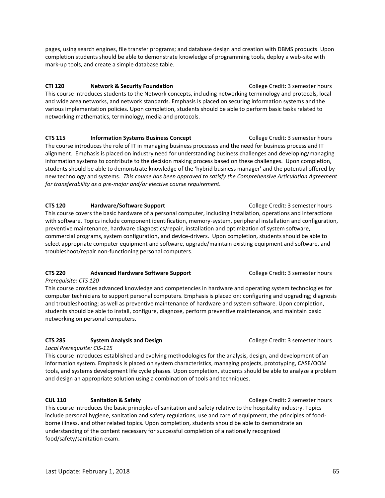pages, using search engines, file transfer programs; and database design and creation with DBMS products. Upon completion students should be able to demonstrate knowledge of programming tools, deploy a web-site with mark-up tools, and create a simple database table.

**CTI 120 Network & Security Foundation** College Credit: 3 semester hours This course introduces students to the Network concepts, including networking terminology and protocols, local and wide area networks, and network standards. Emphasis is placed on securing information systems and the various implementation policies. Upon completion, students should be able to perform basic tasks related to networking mathematics, terminology, media and protocols.

**CTS 115** Information Systems Business Concept **College Credit: 3 semester hours** The course introduces the role of IT in managing business processes and the need for business process and IT alignment. Emphasis is placed on industry need for understanding business challenges and developing/managing information systems to contribute to the decision making process based on these challenges. Upon completion, students should be able to demonstrate knowledge of the 'hybrid business manager' and the potential offered by new technology and systems. *This course has been approved to satisfy the Comprehensive Articulation Agreement for transferability as a pre-major and/or elective course requirement.* 

**CTS 120 Hardware/Software Support COLLEGE COLLEGE COLLEGE CREDIT: 3** semester hours This course covers the basic hardware of a personal computer, including installation, operations and interactions with software. Topics include component identification, memory-system, peripheral installation and configuration, preventive maintenance, hardware diagnostics/repair, installation and optimization of system software, commercial programs, system configuration, and device-drivers. Upon completion, students should be able to select appropriate computer equipment and software, upgrade/maintain existing equipment and software, and troubleshoot/repair non-functioning personal computers.

#### **CTS 220 Advanced Hardware Software Support** College Credit: 3 semester hours

*Prerequisite: CTS 120*

This course provides advanced knowledge and competencies in hardware and operating system technologies for computer technicians to support personal computers. Emphasis is placed on: configuring and upgrading; diagnosis and troubleshooting; as well as preventive maintenance of hardware and system software. Upon completion, students should be able to install, configure, diagnose, perform preventive maintenance, and maintain basic networking on personal computers.

#### **CTS 285 System Analysis and Design**  College Credit: 3 semester hours

*Local Prerequisite: CIS-115*

This course introduces established and evolving methodologies for the analysis, design, and development of an information system. Emphasis is placed on system characteristics, managing projects, prototyping, CASE/OOM tools, and systems development life cycle phases. Upon completion, students should be able to analyze a problem and design an appropriate solution using a combination of tools and techniques.

#### **CUL 110** Sanitation & Safety **COLL 2 Semester hours** College Credit: 2 semester hours

This course introduces the basic principles of sanitation and safety relative to the hospitality industry. Topics include personal hygiene, sanitation and safety regulations, use and care of equipment, the principles of foodborne illness, and other related topics. Upon completion, students should be able to demonstrate an understanding of the content necessary for successful completion of a nationally recognized food/safety/sanitation exam.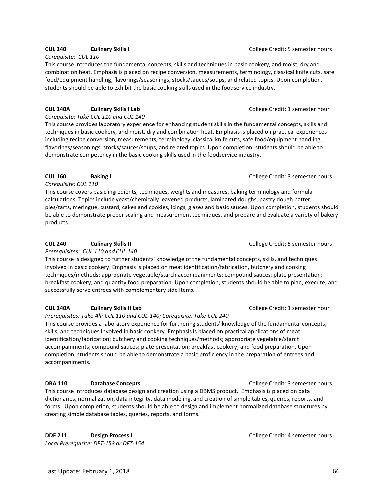#### **CUL 140 Culinary Skills I** College Credit: 5 semester hours

*Corequisite: CUL 110*

This course introduces the fundamental concepts, skills and techniques in basic cookery, and moist, dry and combination heat. Emphasis is placed on recipe conversion, measurements, terminology, classical knife cuts, safe food/equipment handling, flavorings/seasonings, stocks/sauces/soups, and related topics. Upon completion, students should be able to exhibit the basic cooking skills used in the foodservice industry.

#### **CUL 140A Culinary Skills I Lab** College Credit: 1 semester hour

*Corequisite: Take CUL 110 and CUL 140*

This course provides laboratory experience for enhancing student skills in the fundamental concepts, skills and techniques in basic cookery, and moist, dry and combination heat. Emphasis is placed on practical experiences including recipe conversion, measurements, terminology, classical knife cuts, safe food/equipment handling, flavorings/seasonings, stocks/sauces/soups, and related topics. Upon completion, students should be able to demonstrate competency in the basic cooking skills used in the foodservice industry.

#### **CUL 160 Baking I** College Credit: 3 semester hours

*Corequisite: CUL 110* 

This course covers basic ingredients, techniques, weights and measures, baking terminology and formula calculations. Topics include yeast/chemically leavened products, laminated doughs, pastry dough batter, pies/tarts, meringue, custard, cakes and cookies, icings, glazes and basic sauces. Upon completion, students should be able to demonstrate proper scaling and measurement techniques, and prepare and evaluate a variety of bakery products.

#### **CUL 240 Culinary Skills II** College Credit: 5 semester hours

*Prerequisites: CUL 110 and CUL 140*

This course is designed to further students' knowledge of the fundamental concepts, skills, and techniques involved in basic cookery. Emphasis is placed on meat identification/fabrication, butchery and cooking techniques/methods; appropriate vegetable/starch accompaniments; compound sauces; plate presentation; breakfast cookery; and quantity food preparation. Upon completion, students should be able to plan, execute, and successfully serve entrees with complementary side items.

#### **CUL 240A Culinary Skills II Lab** College Credit: 1 semester hour

*Prerequisites: Take All: CUL 110 and CUL-140; Corequisite: Take CUL 240*

This course provides a laboratory experience for furthering students' knowledge of the fundamental concepts, skills, and techniques involved in basic cookery. Emphasis is placed on practical applications of meat identification/fabrication; butchery and cooking techniques/methods; appropriate vegetable/starch accompaniments; compound sauces; plate presentation; breakfast cookery; and food preparation. Upon completion, students should be able to demonstrate a basic proficiency in the preparation of entrees and accompaniments.

#### **DBA 110** Database Concepts **College Credit: 3 semester hours** College Credit: 3 semester hours

This course introduces database design and creation using a DBMS product. Emphasis is placed on data dictionaries, normalization, data integrity, data modeling, and creation of simple tables, queries, reports, and forms. Upon completion, students should be able to design and implement normalized database structures by creating simple database tables, queries, reports, and forms.

**DDF 211 Design Process I Design Process I College Credit: 4 semester hours** *Local Prerequisite: DFT-153 or DFT-154*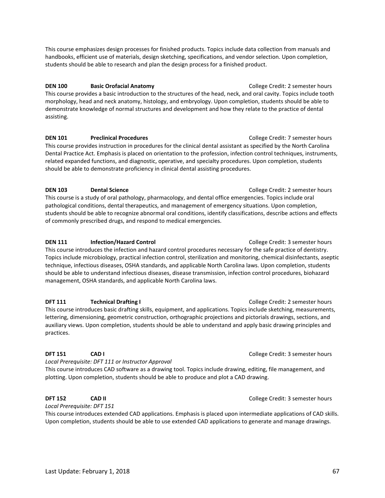This course emphasizes design processes for finished products. Topics include data collection from manuals and handbooks, efficient use of materials, design sketching, specifications, and vendor selection. Upon completion, students should be able to research and plan the design process for a finished product.

#### **DEN 100 Basic Orofacial Anatomy College Credit: 2 semester hours**

This course provides a basic introduction to the structures of the head, neck, and oral cavity. Topics include tooth morphology, head and neck anatomy, histology, and embryology. Upon completion, students should be able to demonstrate knowledge of normal structures and development and how they relate to the practice of dental assisting.

**DEN 101 Preclinical Procedures Procedures Procedures Procedures Procedures Procedures Procedures Procedures Procedures Procedures Procedures Procedures Procedures Procedures Procedures Proc** This course provides instruction in procedures for the clinical dental assistant as specified by the North Carolina Dental Practice Act. Emphasis is placed on orientation to the profession, infection control techniques, instruments, related expanded functions, and diagnostic, operative, and specialty procedures. Upon completion, students should be able to demonstrate proficiency in clinical dental assisting procedures.

#### **DEN 103 Dental Science Dental Science College Credit: 2 semester hours**

This course is a study of oral pathology, pharmacology, and dental office emergencies. Topics include oral pathological conditions, dental therapeutics, and management of emergency situations. Upon completion, students should be able to recognize abnormal oral conditions, identify classifications, describe actions and effects of commonly prescribed drugs, and respond to medical emergencies.

**DEN 111 Infection/Hazard Control College Credit: 3 semester hours** This course introduces the infection and hazard control procedures necessary for the safe practice of dentistry. Topics include microbiology, practical infection control, sterilization and monitoring, chemical disinfectants, aseptic technique, infectious diseases, OSHA standards, and applicable North Carolina laws. Upon completion, students should be able to understand infectious diseases, disease transmission, infection control procedures, biohazard management, OSHA standards, and applicable North Carolina laws.

#### **DFT 111 Technical Drafting I College Credit: 2 semester hours**

This course introduces basic drafting skills, equipment, and applications. Topics include sketching, measurements, lettering, dimensioning, geometric construction, orthographic projections and pictorials drawings, sections, and auxiliary views. Upon completion, students should be able to understand and apply basic drawing principles and practices.

*Local Prerequisite: DFT 111 or Instructor Approval*

This course introduces CAD software as a drawing tool. Topics include drawing, editing, file management, and plotting. Upon completion, students should be able to produce and plot a CAD drawing.

#### **DFT 152 CAD II CAD II COLLEGE CREDIT: 3** semester hours

*Local Prerequisite: DFT 151* 

This course introduces extended CAD applications. Emphasis is placed upon intermediate applications of CAD skills. Upon completion, students should be able to use extended CAD applications to generate and manage drawings.

**DFT 151 CAD I CAD I CALCULAR <b>COLLEGE CREDIT:** COLLEGE Credit: 3 semester hours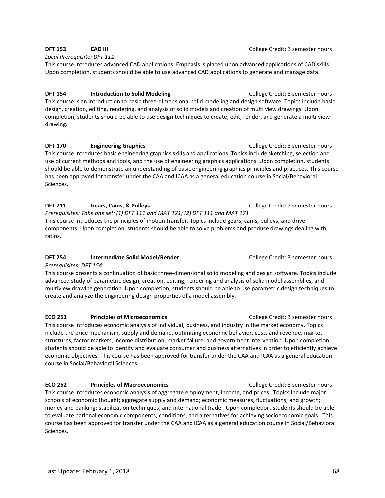#### *Local Prerequisite: DFT 111*

This course introduces advanced CAD applications. Emphasis is placed upon advanced applications of CAD skills. Upon completion, students should be able to use advanced CAD applications to generate and manage data.

#### **DFT 154 Introduction to Solid Modeling College Credit: 3 semester hours**

This course is an introduction to basic three-dimensional solid modeling and design software. Topics include basic design, creation, editing, rendering, and analysis of solid models and creation of multi view drawings. Upon completion, students should be able to use design techniques to create, edit, render, and generate a multi view drawing.

#### **DFT 170 Engineering Graphics Engineering Graphics College Credit: 3 semester hours**

This course introduces basic engineering graphics skills and applications. Topics include sketching, selection and use of current methods and tools, and the use of engineering graphics applications. Upon completion, students should be able to demonstrate an understanding of basic engineering graphics principles and practices. This course has been approved for transfer under the CAA and ICAA as a general education course in Social/Behavioral Sciences.

#### **DFT 211** Gears, Cams, & Pulleys **College Credit: 2 semester hours College Credit: 2 semester hours**

*Prerequisites: Take one set: (1) DFT 111 and MAT 121; (2) DFT 111 and MAT 171*  This course introduces the principles of motion transfer. Topics include gears, cams, pulleys, and drive components. Upon completion, students should be able to solve problems and produce drawings dealing with ratios.

#### **DFT 254** Intermediate Solid Model/Render College Credit: 3 semester hours

#### *Prerequisites: DFT 154*

This course presents a continuation of basic three-dimensional solid modeling and design software. Topics include advanced study of parametric design, creation, editing, rendering and analysis of solid model assemblies, and multiview drawing generation. Upon completion, students should be able to use parametric design techniques to create and analyze the engineering design properties of a model assembly.

#### **ECO 251** Principles of Microeconomics **College Credit: 3 semester hours**

This course introduces economic analysis of individual, business, and industry in the market economy. Topics include the price mechanism, supply and demand, optimizing economic behavior, costs and revenue, market structures, factor markets, income distribution, market failure, and government intervention. Upon completion, students should be able to identify and evaluate consumer and business alternatives in order to efficiently achieve economic objectives. This course has been approved for transfer under the CAA and ICAA as a general education course in Social/Behavioral Sciences.

#### **ECO 252 Principles of Macroeconomics** College Credit: 3 semester hours

This course introduces economic analysis of aggregate employment, income, and prices. Topics include major schools of economic thought; aggregate supply and demand; economic measures, fluctuations, and growth; money and banking; stabilization techniques; and international trade. Upon completion, students should be able to evaluate national economic components, conditions, and alternatives for achieving socioeconomic goals. This course has been approved for transfer under the CAA and ICAA as a general education course in Social/Behavioral Sciences.

**DFT 153** CAD III **COLLEGE CREDIT COLLEGE CREDIT:** College Credit: 3 semester hours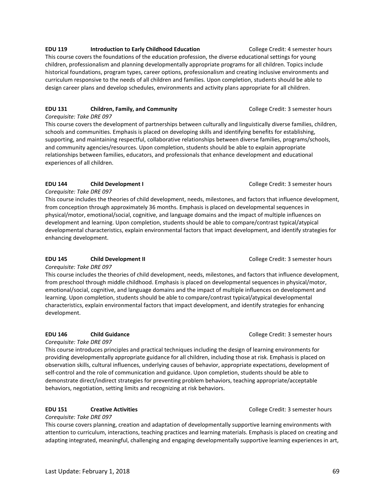#### **EDU 119** Introduction to Early Childhood Education **College Credit: 4 semester hours**

This course covers the foundations of the education profession, the diverse educational settings for young children, professionalism and planning developmentally appropriate programs for all children. Topics include historical foundations, program types, career options, professionalism and creating inclusive environments and curriculum responsive to the needs of all children and families. Upon completion, students should be able to design career plans and develop schedules, environments and activity plans appropriate for all children.

#### **EDU 131** Children, Family, and Community **College Credit: 3 semester hours**

*Corequisite: Take DRE 097*

This course covers the development of partnerships between culturally and linguistically diverse families, children, schools and communities. Emphasis is placed on developing skills and identifying benefits for establishing, supporting, and maintaining respectful, collaborative relationships between diverse families, programs/schools, and community agencies/resources. Upon completion, students should be able to explain appropriate relationships between families, educators, and professionals that enhance development and educational experiences of all children.

#### **EDU 144** Child Development I **College Credit: 3 semester hours**

*Corequisite: Take DRE 097*

This course includes the theories of child development, needs, milestones, and factors that influence development, from conception through approximately 36 months. Emphasis is placed on developmental sequences in physical/motor, emotional/social, cognitive, and language domains and the impact of multiple influences on development and learning. Upon completion, students should be able to compare/contrast typical/atypical developmental characteristics, explain environmental factors that impact development, and identify strategies for enhancing development.

#### **EDU 145** Child Development II **College Credit: 3 semester hours**

*Corequisite: Take DRE 097*

This course includes the theories of child development, needs, milestones, and factors that influence development, from preschool through middle childhood. Emphasis is placed on developmental sequences in physical/motor, emotional/social, cognitive, and language domains and the impact of multiple influences on development and learning. Upon completion, students should be able to compare/contrast typical/atypical developmental characteristics, explain environmental factors that impact development, and identify strategies for enhancing development.

*Corequisite: Take DRE 097*

This course introduces principles and practical techniques including the design of learning environments for providing developmentally appropriate guidance for all children, including those at risk. Emphasis is placed on observation skills, cultural influences, underlying causes of behavior, appropriate expectations, development of self-control and the role of communication and guidance. Upon completion, students should be able to demonstrate direct/indirect strategies for preventing problem behaviors, teaching appropriate/acceptable behaviors, negotiation, setting limits and recognizing at risk behaviors.

#### **EDU 151** Creative Activities **College Credit: 3 semester hours** College Credit: 3 semester hours

*Corequisite: Take DRE 097*

This course covers planning, creation and adaptation of developmentally supportive learning environments with attention to curriculum, interactions, teaching practices and learning materials. Emphasis is placed on creating and adapting integrated, meaningful, challenging and engaging developmentally supportive learning experiences in art,

**EDU 146** Child Guidance **Child Guidance College Credit: 3 semester hours**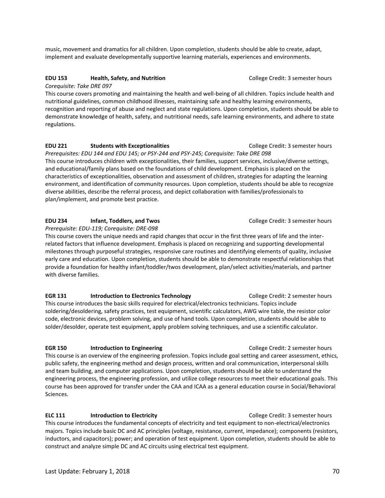music, movement and dramatics for all children. Upon completion, students should be able to create, adapt, implement and evaluate developmentally supportive learning materials, experiences and environments.

#### EDU 153 **Health, Safety, and Nutrition College Credit: 3 semester hours College Credit: 3 semester hours**

*Corequisite: Take DRE 097*

This course covers promoting and maintaining the health and well-being of all children. Topics include health and nutritional guidelines, common childhood illnesses, maintaining safe and healthy learning environments, recognition and reporting of abuse and neglect and state regulations. Upon completion, students should be able to demonstrate knowledge of health, safety, and nutritional needs, safe learning environments, and adhere to state regulations.

#### **EDU 221 Students with Exceptionalities College Credit: 3 semester hours College Credit: 3 semester hours**

*Prerequisites: EDU 144 and EDU 145; or PSY-244 and PSY-245; Corequisite: Take DRE 098* This course introduces children with exceptionalities, their families, support services, inclusive/diverse settings, and educational/family plans based on the foundations of child development. Emphasis is placed on the characteristics of exceptionalities, observation and assessment of children, strategies for adapting the learning environment, and identification of community resources. Upon completion, students should be able to recognize diverse abilities, describe the referral process, and depict collaboration with families/professionals to plan/implement, and promote best practice.

#### **EDU 234** Infant, Toddlers, and Twos **College Credit: 3 semester hours** College Credit: 3 semester hours

*Prerequisite: EDU-119; Corequisite: DRE-098*

This course covers the unique needs and rapid changes that occur in the first three years of life and the interrelated factors that influence development. Emphasis is placed on recognizing and supporting developmental milestones through purposeful strategies, responsive care routines and identifying elements of quality, inclusive early care and education. Upon completion, students should be able to demonstrate respectful relationships that provide a foundation for healthy infant/toddler/twos development, plan/select activities/materials, and partner with diverse families.

**EGR 131** Introduction to Electronics Technology **College Credit: 2 semester hours** This course introduces the basic skills required for electrical/electronics technicians. Topics include soldering/desoldering, safety practices, test equipment, scientific calculators, AWG wire table, the resistor color code, electronic devices, problem solving, and use of hand tools. Upon completion, students should be able to solder/desolder, operate test equipment, apply problem solving techniques, and use a scientific calculator.

#### **EGR 150 Introduction to Engineering College Credit: 2 semester hours**

This course is an overview of the engineering profession. Topics include goal setting and career assessment, ethics, public safety, the engineering method and design process, written and oral communication, interpersonal skills and team building, and computer applications. Upon completion, students should be able to understand the engineering process, the engineering profession, and utilize college resources to meet their educational goals. This course has been approved for transfer under the CAA and ICAA as a general education course in Social/Behavioral Sciences.

#### **ELC 111** Introduction to Electricity **College Credit: 3 semester hours**

This course introduces the fundamental concepts of electricity and test equipment to non-electrical/electronics majors. Topics include basic DC and AC principles (voltage, resistance, current, impedance); components (resistors, inductors, and capacitors); power; and operation of test equipment. Upon completion, students should be able to construct and analyze simple DC and AC circuits using electrical test equipment.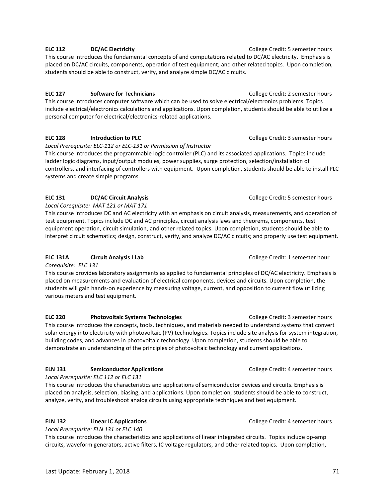#### This course introduces the fundamental concepts of and computations related to DC/AC electricity. Emphasis is placed on DC/AC circuits, components, operation of test equipment; and other related topics. Upon completion,

students should be able to construct, verify, and analyze simple DC/AC circuits.

ELC 127 Software for Technicians **ELC 127** Software for Technicians **College Credit: 2 semester hours** This course introduces computer software which can be used to solve electrical/electronics problems. Topics include electrical/electronics calculations and applications. Upon completion, students should be able to utilize a personal computer for electrical/electronics-related applications.

#### **ELC 128** Introduction to PLC **Intervention of PLC** College Credit: 3 semester hours

*Local Prerequisite: ELC-112 or ELC-131 or Permission of Instructor*

This course introduces the programmable logic controller (PLC) and its associated applications. Topics include ladder logic diagrams, input/output modules, power supplies, surge protection, selection/installation of controllers, and interfacing of controllers with equipment. Upon completion, students should be able to install PLC systems and create simple programs.

#### **ELC 131 DC/AC Circuit Analysis College Credit: 5 semester hours College Credit: 5 semester hours**

*Local Corequisite: MAT 121 or MAT 171*

This course introduces DC and AC electricity with an emphasis on circuit analysis, measurements, and operation of test equipment. Topics include DC and AC principles, circuit analysis laws and theorems, components, test equipment operation, circuit simulation, and other related topics. Upon completion, students should be able to interpret circuit schematics; design, construct, verify, and analyze DC/AC circuits; and properly use test equipment.

#### **ELC 131A Circuit Analysis I Lab COLLEGE COLLEGE CREDIT:** 1 semester hour

*Corequisite: ELC 131*

This course provides laboratory assignments as applied to fundamental principles of DC/AC electricity. Emphasis is placed on measurements and evaluation of electrical components, devices and circuits. Upon completion, the students will gain hands-on experience by measuring voltage, current, and opposition to current flow utilizing various meters and test equipment.

**ELC 220 Photovoltaic Systems Technologies** College Credit: 3 semester hours This course introduces the concepts, tools, techniques, and materials needed to understand systems that convert solar energy into electricity with photovoltaic (PV) technologies. Topics include site analysis for system integration, building codes, and advances in photovoltaic technology. Upon completion, students should be able to demonstrate an understanding of the principles of photovoltaic technology and current applications.

#### **ELN 131 <b>Semiconductor Applications College Credit: 4 semester hours College Credit: 4 semester hours**

*Local Prerequisite: ELC 112 or ELC 131* This course introduces the characteristics and applications of semiconductor devices and circuits. Emphasis is placed on analysis, selection, biasing, and applications. Upon completion, students should be able to construct, analyze, verify, and troubleshoot analog circuits using appropriate techniques and test equipment.

#### **ELN 132 Linear IC Applications College Credit: 4 semester hours**

*Local Prerequisite: ELN 131 or ELC 140* This course introduces the characteristics and applications of linear integrated circuits. Topics include op-amp circuits, waveform generators, active filters, IC voltage regulators, and other related topics. Upon completion,

**ELC 112 DC/AC Electricity College Credit: 5 semester hours**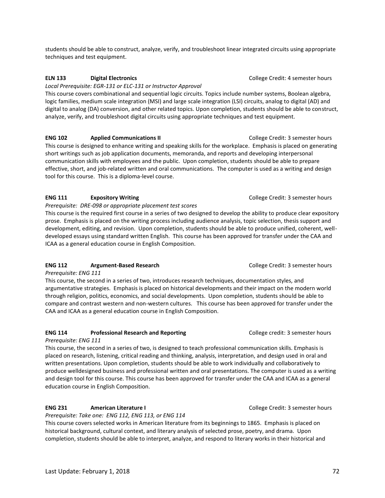students should be able to construct, analyze, verify, and troubleshoot linear integrated circuits using appropriate techniques and test equipment.

### **ELN 133 Digital Electronics** College Credit: 4 semester hours

#### *Local Prerequisite: EGR-131 or ELC-131 or Instructor Approval*

This course covers combinational and sequential logic circuits. Topics include number systems, Boolean algebra, logic families, medium scale integration (MSI) and large scale integration (LSI) circuits, analog to digital (AD) and digital to analog (DA) conversion, and other related topics. Upon completion, students should be able to construct, analyze, verify, and troubleshoot digital circuits using appropriate techniques and test equipment.

### **ENG 102 Applied Communications II College Credit: 3 semester hours**

This course is designed to enhance writing and speaking skills for the workplace. Emphasis is placed on generating short writings such as job application documents, memoranda, and reports and developing interpersonal communication skills with employees and the public. Upon completion, students should be able to prepare effective, short, and job-related written and oral communications. The computer is used as a writing and design tool for this course. This is a diploma-level course.

### **ENG 111** Expository Writing **EXAMPLE 2008** College Credit: 3 semester hours

*Prerequisite: DRE-098 or appropriate placement test scores*

This course is the required first course in a series of two designed to develop the ability to produce clear expository prose. Emphasis is placed on the writing process including audience analysis, topic selection, thesis support and development, editing, and revision. Upon completion, students should be able to produce unified, coherent, welldeveloped essays using standard written English. This course has been approved for transfer under the CAA and ICAA as a general education course in English Composition.

### **ENG 112 Argument-Based Research**  College Credit: 3 semester hours

*Prerequisite: ENG 111*

This course, the second in a series of two, introduces research techniques, documentation styles, and argumentative strategies. Emphasis is placed on historical developments and their impact on the modern world through religion, politics, economics, and social developments. Upon completion, students should be able to compare and contrast western and non-western cultures. This course has been approved for transfer under the CAA and ICAA as a general education course in English Composition.

### **ENG 114** Professional Research and Reporting **Professional Research and Reporting** College credit: 3 semester hours

### *Prerequisite: ENG 111*

This course, the second in a series of two, is designed to teach professional communication skills. Emphasis is placed on research, listening, critical reading and thinking, analysis, interpretation, and design used in oral and written presentations. Upon completion, students should be able to work individually and collaboratively to produce welldesigned business and professional written and oral presentations. The computer is used as a writing and design tool for this course. This course has been approved for transfer under the CAA and ICAA as a general education course in English Composition.

# **ENG 231 American Literature I** *American* Literature I **American Literature I College Credit: 3 semester hours**

*Prerequisite: Take one: ENG 112, ENG 113, or ENG 114*

This course covers selected works in American literature from its beginnings to 1865. Emphasis is placed on historical background, cultural context, and literary analysis of selected prose, poetry, and drama. Upon completion, students should be able to interpret, analyze, and respond to literary works in their historical and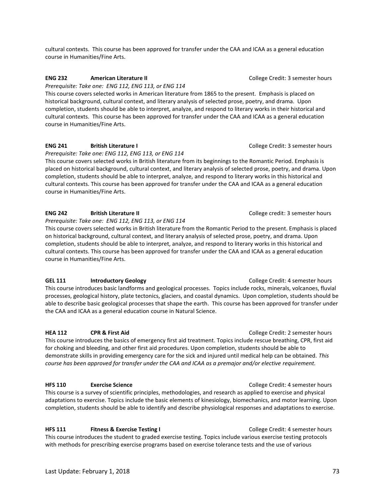cultural contexts. This course has been approved for transfer under the CAA and ICAA as a general education course in Humanities/Fine Arts.

### **ENG 232 American Literature II College Credit: 3 semester hours College Credit: 3 semester hours**

*Prerequisite: Take one: ENG 112, ENG 113, or ENG 114*

This course covers selected works in American literature from 1865 to the present. Emphasis is placed on historical background, cultural context, and literary analysis of selected prose, poetry, and drama. Upon completion, students should be able to interpret, analyze, and respond to literary works in their historical and cultural contexts. This course has been approved for transfer under the CAA and ICAA as a general education course in Humanities/Fine Arts.

# **ENG 241 British Literature I** College Credit: 3 semester hours

*Prerequisite: Take one: ENG 112, ENG 113, or ENG 114*

This course covers selected works in British literature from its beginnings to the Romantic Period. Emphasis is placed on historical background, cultural context, and literary analysis of selected prose, poetry, and drama. Upon completion, students should be able to interpret, analyze, and respond to literary works in this historical and cultural contexts. This course has been approved for transfer under the CAA and ICAA as a general education course in Humanities/Fine Arts.

### **ENG 242** British Literature II **British Literature II British College credit: 3 semester hours**

*Prerequisite: Take one: ENG 112, ENG 113, or ENG 114*

This course covers selected works in British literature from the Romantic Period to the present. Emphasis is placed on historical background, cultural context, and literary analysis of selected prose, poetry, and drama. Upon completion, students should be able to interpret, analyze, and respond to literary works in this historical and cultural contexts. This course has been approved for transfer under the CAA and ICAA as a general education course in Humanities/Fine Arts.

### **GEL 111** Introductory Geology **College Credit: 4 semester hours**

This course introduces basic landforms and geological processes. Topics include rocks, minerals, volcanoes, fluvial processes, geological history, plate tectonics, glaciers, and coastal dynamics. Upon completion, students should be able to describe basic geological processes that shape the earth. This course has been approved for transfer under the CAA and ICAA as a general education course in Natural Science.

# **HEA 112 CPR & First Aid COLLEGE COLLEGE COLLEGE COLLEGE COLLEGE COLLEGE COLLEGE COLLEGE COLLEGE COLLEGE COLLEGE COLLEGE COLLEGE COLLEGE COLLEGE COLLEGE COLLEGE COLLEGE COLLEGE COLLEGE COLLEGE COLLEGE COLLEGE COLLEGE C**

This course introduces the basics of emergency first aid treatment. Topics include rescue breathing, CPR, first aid for choking and bleeding, and other first aid procedures. Upon completion, students should be able to demonstrate skills in providing emergency care for the sick and injured until medical help can be obtained. *This course has been approved for transfer under the CAA and ICAA as a premajor and/or elective requirement.* 

### **HFS 110 Exercise Science College Credit: 4 semester hours College Credit: 4 semester hours**

This course is a survey of scientific principles, methodologies, and research as applied to exercise and physical adaptations to exercise. Topics include the basic elements of kinesiology, biomechanics, and motor learning. Upon completion, students should be able to identify and describe physiological responses and adaptations to exercise.

**HFS 111 Fitness & Exercise Testing I** College Credit: 4 semester hours This course introduces the student to graded exercise testing. Topics include various exercise testing protocols with methods for prescribing exercise programs based on exercise tolerance tests and the use of various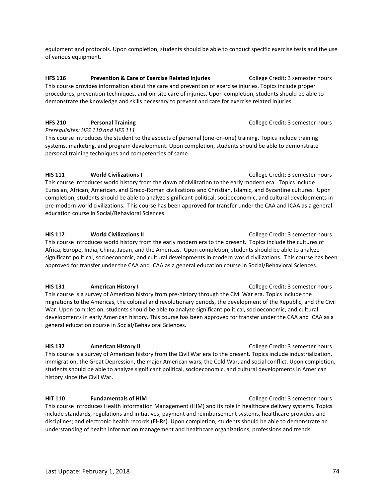equipment and protocols. Upon completion, students should be able to conduct specific exercise tests and the use of various equipment.

**HFS 116 Prevention & Care of Exercise Related Injuries** College Credit: 3 semester hours This course provides information about the care and prevention of exercise injuries. Topics include proper procedures, prevention techniques, and on-site care of injuries. Upon completion, students should be able to demonstrate the knowledge and skills necessary to prevent and care for exercise related injuries.

# **HFS 210 Personal Training Proposed College Credit: 3 semester hours Proposed College Credit: 3 semester hours**

*Prerequisites: HFS 110 and HFS 111*

This course introduces the student to the aspects of personal (one-on-one) training. Topics include training systems, marketing, and program development. Upon completion, students should be able to demonstrate personal training techniques and competencies of same.

### **HIS 111 World Civilizations I College Credit: 3 semester hours College Credit: 3 semester hours**

This course introduces world history from the dawn of civilization to the early modern era. Topics include Eurasian, African, American, and Greco-Roman civilizations and Christian, Islamic, and Byzantine cultures. Upon completion, students should be able to analyze significant political, socioeconomic, and cultural developments in pre-modern world civilizations. This course has been approved for transfer under the CAA and ICAA as a general education course in Social/Behavioral Sciences.

### **HIS 112** World Civilizations II **No. 2018** College Credit: 3 semester hours

This course introduces world history from the early modern era to the present. Topics include the cultures of Africa, Europe, India, China, Japan, and the Americas. Upon completion, students should be able to analyze significant political, socioeconomic, and cultural developments in modern world civilizations. This course has been approved for transfer under the CAA and ICAA as a general education course in Social/Behavioral Sciences.

### **HIS 131** American History I **American History I** College Credit: 3 semester hours

This course is a survey of American history from pre-history through the Civil War era. Topics include the migrations to the Americas, the colonial and revolutionary periods, the development of the Republic, and the Civil War. Upon completion, students should be able to analyze significant political, socioeconomic, and cultural developments in early American history. This course has been approved for transfer under the CAA and ICAA as a general education course in Social/Behavioral Sciences.

### **HIS 132 American History II College Credit: 3 semester hours**

This course is a survey of American history from the Civil War era to the present. Topics include industrialization, immigration, the Great Depression, the major American wars, the Cold War, and social conflict. Upon completion, students should be able to analyze significant political, socioeconomic, and cultural developments in American history since the Civil War**.**

### **HIT 110 Fundamentals of HIM College Credit: 3 semester hours**

This course introduces Health Information Management (HIM) and its role in healthcare delivery systems. Topics include standards, regulations and initiatives; payment and reimbursement systems, healthcare providers and disciplines; and electronic health records (EHRs). Upon completion, students should be able to demonstrate an understanding of health information management and healthcare organizations, professions and trends.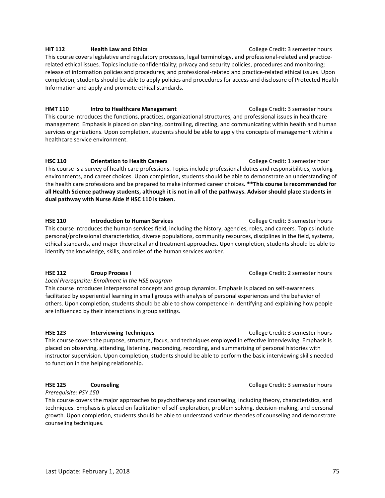**HIT 112 Health Law and Ethics Health Law and Ethics Health Law and Ethics College Credit: 3 semester hours** This course covers legislative and regulatory processes, legal terminology, and professional-related and practicerelated ethical issues. Topics include confidentiality; privacy and security policies, procedures and monitoring; release of information policies and procedures; and professional-related and practice-related ethical issues. Upon completion, students should be able to apply policies and procedures for access and disclosure of Protected Health Information and apply and promote ethical standards.

**HMT 110** Intro to Healthcare Management College Credit: 3 semester hours This course introduces the functions, practices, organizational structures, and professional issues in healthcare management. Emphasis is placed on planning, controlling, directing, and communicating within health and human services organizations. Upon completion, students should be able to apply the concepts of management within a healthcare service environment.

**HSC 110 Orientation to Health Careers COLLEGE COLLEGE CREDIT:** 1 semester hour This course is a survey of health care professions. Topics include professional duties and responsibilities, working environments, and career choices. Upon completion, students should be able to demonstrate an understanding of the health care professions and be prepared to make informed career choices. **\*\*This course is recommended for all Health Science pathway students, although it is not in all of the pathways. Advisor should place students in dual pathway with Nurse Aide if HSC 110 is taken.** 

**HSE 110 Introduction to Human Services College Credit: 3 semester hours** This course introduces the human services field, including the history, agencies, roles, and careers. Topics include personal/professional characteristics, diverse populations, community resources, disciplines in the field, systems, ethical standards, and major theoretical and treatment approaches. Upon completion, students should be able to identify the knowledge, skills, and roles of the human services worker.

### **HSE 112 Group Process I** College Credit: 2 semester hours

*Local Prerequisite: Enrollment in the HSE program*

This course introduces interpersonal concepts and group dynamics. Emphasis is placed on self-awareness facilitated by experiential learning in small groups with analysis of personal experiences and the behavior of others. Upon completion, students should be able to show competence in identifying and explaining how people are influenced by their interactions in group settings.

### **HSE 123 Interviewing Techniques Interviewing Techniques College Credit: 3 semester hours**

This course covers the purpose, structure, focus, and techniques employed in effective interviewing. Emphasis is placed on observing, attending, listening, responding, recording, and summarizing of personal histories with instructor supervision. Upon completion, students should be able to perform the basic interviewing skills needed to function in the helping relationship.

*Prerequisite: PSY 150*

This course covers the major approaches to psychotherapy and counseling, including theory, characteristics, and techniques. Emphasis is placed on facilitation of self-exploration, problem solving, decision-making, and personal growth. Upon completion, students should be able to understand various theories of counseling and demonstrate counseling techniques.

**HSE 125 Counseling COUNSER COUNSERVING COUNSERVING COULEGE CREDIT: 3 semester hours**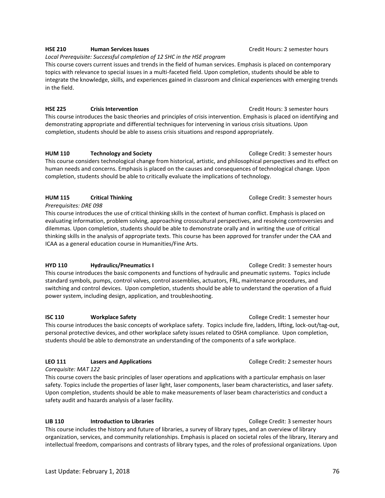#### **HSE 210 Human Services Issues Credit Hours: 2 semester hours Credit Hours: 2 semester hours**

*Local Prerequisite: Successful completion of 12 SHC in the HSE program* This course covers current issues and trends in the field of human services. Emphasis is placed on contemporary topics with relevance to special issues in a multi-faceted field. Upon completion, students should be able to integrate the knowledge, skills, and experiences gained in classroom and clinical experiences with emerging trends in the field.

#### **HSE 225 Crisis Intervention** Credit Hours: 3 semester hours

This course introduces the basic theories and principles of crisis intervention. Emphasis is placed on identifying and demonstrating appropriate and differential techniques for intervening in various crisis situations. Upon completion, students should be able to assess crisis situations and respond appropriately.

**HUM 110 Technology and Society College Credit: 3 semester hours** 

This course considers technological change from historical, artistic, and philosophical perspectives and its effect on human needs and concerns. Emphasis is placed on the causes and consequences of technological change. Upon completion, students should be able to critically evaluate the implications of technology.

### **HUM 115** Critical Thinking College Credit: 3 semester hours College Credit: 3 semester hours

*Prerequisites: DRE 098*

This course introduces the use of critical thinking skills in the context of human conflict. Emphasis is placed on evaluating information, problem solving, approaching crosscultural perspectives, and resolving controversies and dilemmas. Upon completion, students should be able to demonstrate orally and in writing the use of critical thinking skills in the analysis of appropriate texts. This course has been approved for transfer under the CAA and ICAA as a general education course in Humanities/Fine Arts.

### **HYD 110 Hydraulics/Pneumatics I College Credit: 3 semester hours**

This course introduces the basic components and functions of hydraulic and pneumatic systems. Topics include standard symbols, pumps, control valves, control assemblies, actuators, FRL, maintenance procedures, and switching and control devices. Upon completion, students should be able to understand the operation of a fluid power system, including design, application, and troubleshooting.

#### **ISC 110** Workplace Safety **College Credit: 1 semester hour**

This course introduces the basic concepts of workplace safety. Topics include fire, ladders, lifting, lock-out/tag-out, personal protective devices, and other workplace safety issues related to OSHA compliance. Upon completion, students should be able to demonstrate an understanding of the components of a safe workplace.

### **LEO 111 Lasers and Applications** College Credit: 2 semester hours

*Corequisite: MAT 122*

This course covers the basic principles of laser operations and applications with a particular emphasis on laser safety. Topics include the properties of laser light, laser components, laser beam characteristics, and laser safety. Upon completion, students should be able to make measurements of laser beam characteristics and conduct a safety audit and hazards analysis of a laser facility.

### **LIB 110** Introduction to Libraries **College Credit: 3 semester hours** College Credit: 3 semester hours

This course includes the history and future of libraries, a survey of library types, and an overview of library organization, services, and community relationships. Emphasis is placed on societal roles of the library, literary and intellectual freedom, comparisons and contrasts of library types, and the roles of professional organizations. Upon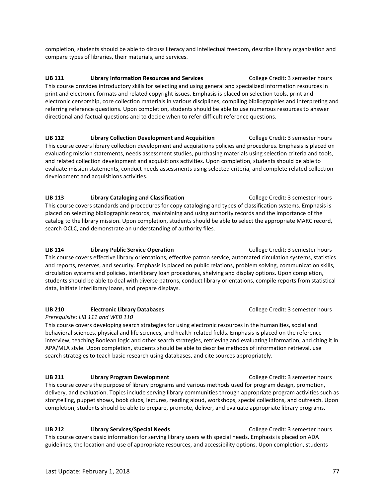completion, students should be able to discuss literacy and intellectual freedom, describe library organization and compare types of libraries, their materials, and services.

**LIB 111** Library Information Resources and Services College Credit: 3 semester hours This course provides introductory skills for selecting and using general and specialized information resources in print and electronic formats and related copyright issues. Emphasis is placed on selection tools, print and electronic censorship, core collection materials in various disciplines, compiling bibliographies and interpreting and referring reference questions. Upon completion, students should be able to use numerous resources to answer directional and factual questions and to decide when to refer difficult reference questions.

**LIB 112 Library Collection Development and Acquisition** College Credit: 3 semester hours This course covers library collection development and acquisitions policies and procedures. Emphasis is placed on evaluating mission statements, needs assessment studies, purchasing materials using selection criteria and tools, and related collection development and acquisitions activities. Upon completion, students should be able to evaluate mission statements, conduct needs assessments using selected criteria, and complete related collection development and acquisitions activities.

**LIB 113** Library Cataloging and Classification **College Credit: 3 semester hours** College Credit: 3 semester hours This course covers standards and procedures for copy cataloging and types of classification systems. Emphasis is placed on selecting bibliographic records, maintaining and using authority records and the importance of the catalog to the library mission. Upon completion, students should be able to select the appropriate MARC record, search OCLC, and demonstrate an understanding of authority files.

#### **LIB 114 Library Public Service Operation Library Public Service Operation College Credit: 3 semester hours**

This course covers effective library orientations, effective patron service, automated circulation systems, statistics and reports, reserves, and security. Emphasis is placed on public relations, problem solving, communication skills, circulation systems and policies, interlibrary loan procedures, shelving and display options. Upon completion, students should be able to deal with diverse patrons, conduct library orientations, compile reports from statistical data, initiate interlibrary loans, and prepare displays.

### **LIB 210 Electronic Library Databases College Credit: 3 semester hours College Credit: 3 semester hours**

*Prerequisite: LIB 111 and WEB 110*

This course covers developing search strategies for using electronic resources in the humanities, social and behavioral sciences, physical and life sciences, and health-related fields. Emphasis is placed on the reference interview, teaching Boolean logic and other search strategies, retrieving and evaluating information, and citing it in APA/MLA style. Upon completion, students should be able to describe methods of information retrieval, use search strategies to teach basic research using databases, and cite sources appropriately.

#### **LIB 211 Library Program Development Library Program Development** College Credit: 3 semester hours

This course covers the purpose of library programs and various methods used for program design, promotion, delivery, and evaluation. Topics include serving library communities through appropriate program activities such as storytelling, puppet shows, book clubs, lectures, reading aloud, workshops, special collections, and outreach. Upon completion, students should be able to prepare, promote, deliver, and evaluate appropriate library programs.

**LIB 212** Library Services/Special Needs **College Credit: 3 semester hours** College Credit: 3 semester hours This course covers basic information for serving library users with special needs. Emphasis is placed on ADA guidelines, the location and use of appropriate resources, and accessibility options. Upon completion, students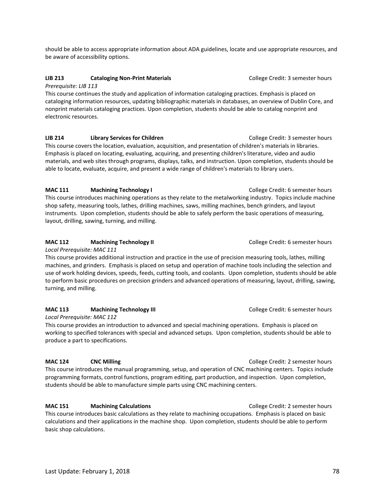should be able to access appropriate information about ADA guidelines, locate and use appropriate resources, and be aware of accessibility options.

### **LIB 213** Cataloging Non-Print Materials College Credit: 3 semester hours

*Prerequisite: LIB 113*

This course continues the study and application of information cataloging practices. Emphasis is placed on cataloging information resources, updating bibliographic materials in databases, an overview of Dublin Core, and nonprint materials cataloging practices. Upon completion, students should be able to catalog nonprint and electronic resources.

**LIB 214 Library Services for Children College Credit: 3 semester hours College Credit: 3 semester hours** This course covers the location, evaluation, acquisition, and presentation of children's materials in libraries. Emphasis is placed on locating, evaluating, acquiring, and presenting children's literature, video and audio materials, and web sites through programs, displays, talks, and instruction. Upon completion, students should be able to locate, evaluate, acquire, and present a wide range of children's materials to library users.

# **MAC 111 Machining Technology I College Credit: 6 semester hours**

This course introduces machining operations as they relate to the metalworking industry. Topics include machine shop safety, measuring tools, lathes, drilling machines, saws, milling machines, bench grinders, and layout instruments. Upon completion, students should be able to safely perform the basic operations of measuring, layout, drilling, sawing, turning, and milling.

# **MAC 112 Machining Technology II College Credit: 6 semester hours**

*Local Prerequisite: MAC 111*

This course provides additional instruction and practice in the use of precision measuring tools, lathes, milling machines, and grinders. Emphasis is placed on setup and operation of machine tools including the selection and use of work holding devices, speeds, feeds, cutting tools, and coolants. Upon completion, students should be able to perform basic procedures on precision grinders and advanced operations of measuring, layout, drilling, sawing, turning, and milling.

# **MAC 113 Machining Technology III College Credit: 6 semester hours MAC 113**

*Local Prerequisite: MAC 112*

This course provides an introduction to advanced and special machining operations. Emphasis is placed on working to specified tolerances with special and advanced setups. Upon completion, students should be able to produce a part to specifications.

### **MAC 124 CNC Milling**  COLLEGE CREATER **COLLEGE COLLEGE COLLEGE COLLEGE CREATER COLLEGE COLLEGE COLLEGE COLLEGE COLLEGE COLLEGE COLLEGE COLLEGE COLLEGE COLLEGE COLLEGE COLLEGE COLLEGE COLLEGE COLLEGE COLLEGE COLLEGE CO**

This course introduces the manual programming, setup, and operation of CNC machining centers. Topics include programming formats, control functions, program editing, part production, and inspection. Upon completion, students should be able to manufacture simple parts using CNC machining centers.

# **MAC 151 Machining Calculations College Credit: 2 semester hours MAC 151**

This course introduces basic calculations as they relate to machining occupations. Emphasis is placed on basic calculations and their applications in the machine shop. Upon completion, students should be able to perform basic shop calculations.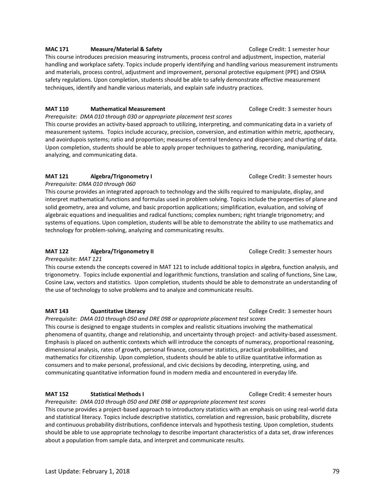# **MAC 171 Measure/Material & Safety College Credit: 1 semester hour**

This course introduces precision measuring instruments, process control and adjustment, inspection, material handling and workplace safety. Topics include properly identifying and handling various measurement instruments and materials, process control, adjustment and improvement, personal protective equipment (PPE) and OSHA safety regulations. Upon completion, students should be able to safely demonstrate effective measurement techniques, identify and handle various materials, and explain safe industry practices.

### **MAT 110** Mathematical Measurement **Mathematical Measurement** College Credit: 3 semester hours

*Prerequisite: DMA 010 through 030 or appropriate placement test scores*

This course provides an activity-based approach to utilizing, interpreting, and communicating data in a variety of measurement systems. Topics include accuracy, precision, conversion, and estimation within metric, apothecary, and avoirdupois systems; ratio and proportion; measures of central tendency and dispersion; and charting of data. Upon completion, students should be able to apply proper techniques to gathering, recording, manipulating, analyzing, and communicating data.

# **MAT 121** Algebra/Trigonometry I College Credit: 3 semester hours

*Prerequisite: DMA 010 through 060* 

This course provides an integrated approach to technology and the skills required to manipulate, display, and interpret mathematical functions and formulas used in problem solving. Topics include the properties of plane and solid geometry, area and volume, and basic proportion applications; simplification, evaluation, and solving of algebraic equations and inequalities and radical functions; complex numbers; right triangle trigonometry; and systems of equations. Upon completion, students will be able to demonstrate the ability to use mathematics and technology for problem-solving, analyzing and communicating results.

# **MAT 122 Algebra/Trigonometry II College Credit: 3 semester hours College Credit: 3 semester hours**

*Prerequisite: MAT 121*

This course extends the concepts covered in MAT 121 to include additional topics in algebra, function analysis, and trigonometry. Topics include exponential and logarithmic functions, translation and scaling of functions, Sine Law, Cosine Law, vectors and statistics. Upon completion, students should be able to demonstrate an understanding of the use of technology to solve problems and to analyze and communicate results.

# **MAT 143 Quantitative Literacy College Credit: 3 semester hours College Credit: 3 semester hours**

*Prerequisite: DMA 010 through 050 and DRE 098 or appropriate placement test scores* This course is designed to engage students in complex and realistic situations involving the mathematical phenomena of quantity, change and relationship, and uncertainty through project- and activity-based assessment. Emphasis is placed on authentic contexts which will introduce the concepts of numeracy, proportional reasoning, dimensional analysis, rates of growth, personal finance, consumer statistics, practical probabilities, and mathematics for citizenship. Upon completion, students should be able to utilize quantitative information as consumers and to make personal, professional, and civic decisions by decoding, interpreting, using, and communicating quantitative information found in modern media and encountered in everyday life.

# **MAT 152 Statistical Methods I** College Credit: 4 semester hours

*Prerequisite: DMA 010 through 050 and DRE 098 or appropriate placement test scores* This course provides a project-based approach to introductory statistics with an emphasis on using real-world data and statistical literacy. Topics include descriptive statistics, correlation and regression, basic probability, discrete and continuous probability distributions, confidence intervals and hypothesis testing. Upon completion, students should be able to use appropriate technology to describe important characteristics of a data set, draw inferences about a population from sample data, and interpret and communicate results.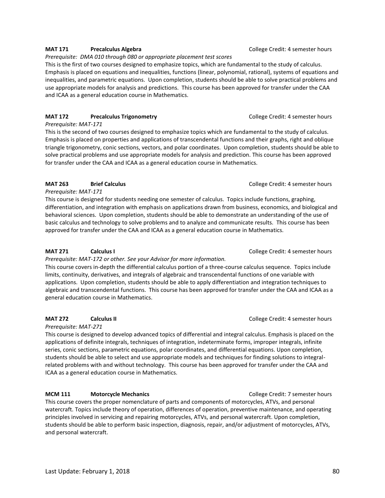### **MAT 171** Precalculus Algebra **Precalculus Algebra Property College Credit: 4 semester hours College Credit: 4 semester hours**

#### *Prerequisite: DMA 010 through 080 or appropriate placement test scores*

This is the first of two courses designed to emphasize topics, which are fundamental to the study of calculus. Emphasis is placed on equations and inequalities, functions (linear, polynomial, rational), systems of equations and inequalities, and parametric equations. Upon completion, students should be able to solve practical problems and use appropriate models for analysis and predictions. This course has been approved for transfer under the CAA and ICAA as a general education course in Mathematics.

# **MAT 172** Precalculus Trigonometry **Precalculus Trigonometry** College Credit: 4 semester hours

*Prerequisite: MAT-171*

This is the second of two courses designed to emphasize topics which are fundamental to the study of calculus. Emphasis is placed on properties and applications of transcendental functions and their graphs, right and oblique triangle trigonometry, conic sections, vectors, and polar coordinates. Upon completion, students should be able to solve practical problems and use appropriate models for analysis and prediction. This course has been approved for transfer under the CAA and ICAA as a general education course in Mathematics.

# **MAT 263** Brief Calculus **Brief Calculus College Credit: 4 semester hours**

*Prerequisite: MAT-171*

This course is designed for students needing one semester of calculus. Topics include functions, graphing, differentiation, and integration with emphasis on applications drawn from business, economics, and biological and behavioral sciences. Upon completion, students should be able to demonstrate an understanding of the use of basic calculus and technology to solve problems and to analyze and communicate results. This course has been approved for transfer under the CAA and ICAA as a general education course in Mathematics.

# **MAT 271 Calculus I CALCULUS <b>CALCULUS COLLEGE CREDIT:** College Credit: 4 semester hours

*Prerequisite: MAT-172 or other. See your Advisor for more information.*

This course covers in-depth the differential calculus portion of a three-course calculus sequence. Topics include limits, continuity, derivatives, and integrals of algebraic and transcendental functions of one variable with applications. Upon completion, students should be able to apply differentiation and integration techniques to algebraic and transcendental functions. This course has been approved for transfer under the CAA and ICAA as a general education course in Mathematics.

*Prerequisite: MAT-271*

This course is designed to develop advanced topics of differential and integral calculus. Emphasis is placed on the applications of definite integrals, techniques of integration, indeterminate forms, improper integrals, infinite series, conic sections, parametric equations, polar coordinates, and differential equations. Upon completion, students should be able to select and use appropriate models and techniques for finding solutions to integralrelated problems with and without technology. This course has been approved for transfer under the CAA and ICAA as a general education course in Mathematics.

# **MCM 111 Motorcycle Mechanics College Credit: 7 semester hours MCM 111** Motorcycle Mechanics

This course covers the proper nomenclature of parts and components of motorcycles, ATVs, and personal watercraft. Topics include theory of operation, differences of operation, preventive maintenance, and operating principles involved in servicing and repairing motorcycles, ATVs, and personal watercraft. Upon completion, students should be able to perform basic inspection, diagnosis, repair, and/or adjustment of motorcycles, ATVs, and personal watercraft.

**MAT 272 Calculus II CALCULUS II College Credit: 4 semester hours**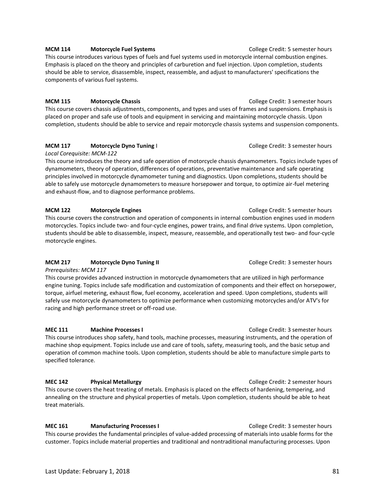#### **MCM 114** Motorcycle Fuel Systems **Mathematic Exercise College Credit: 5 semester hours MCM 114**

This course introduces various types of fuels and fuel systems used in motorcycle internal combustion engines. Emphasis is placed on the theory and principles of carburetion and fuel injection. Upon completion, students should be able to service, disassemble, inspect, reassemble, and adjust to manufacturers' specifications the components of various fuel systems.

#### **MCM 115** Motorcycle Chassis **Music College Credit: 3 semester hours** College Credit: 3 semester hours

This course covers chassis adjustments, components, and types and uses of frames and suspensions. Emphasis is placed on proper and safe use of tools and equipment in servicing and maintaining motorcycle chassis. Upon completion, students should be able to service and repair motorcycle chassis systems and suspension components.

# **MCM 117** Motorcycle Dyno Tuning I College Credit: 3 semester hours

*Local Corequisite: MCM-122*

This course introduces the theory and safe operation of motorcycle chassis dynamometers. Topics include types of dynamometers, theory of operation, differences of operations, preventative maintenance and safe operating principles involved in motorcycle dynamometer tuning and diagnostics. Upon completions, students should be able to safely use motorcycle dynamometers to measure horsepower and torque, to optimize air-fuel metering and exhaust-flow, and to diagnose performance problems.

#### **MCM 122 Motorcycle Engines** Motorcycle Engines **College Credit: 5 semester hours**

This course covers the construction and operation of components in internal combustion engines used in modern motorcycles. Topics include two- and four-cycle engines, power trains, and final drive systems. Upon completion, students should be able to disassemble, inspect, measure, reassemble, and operationally test two- and four-cycle motorcycle engines.

### **MCM 217** Motorcycle Dyno Tuning II **Metally State College Credit: 3 semester hours** College Credit: 3 semester hours

*Prerequisites: MCM 117*

This course provides advanced instruction in motorcycle dynamometers that are utilized in high performance engine tuning. Topics include safe modification and customization of components and their effect on horsepower, torque, airfuel metering, exhaust flow, fuel economy, acceleration and speed. Upon completions, students will safely use motorcycle dynamometers to optimize performance when customizing motorcycles and/or ATV's for racing and high performance street or off-road use.

**MEC 111** Machine Processes I **Machine Processes I College Credit: 3 semester hours** This course introduces shop safety, hand tools, machine processes, measuring instruments, and the operation of machine shop equipment. Topics include use and care of tools, safety, measuring tools, and the basic setup and operation of common machine tools. Upon completion, students should be able to manufacture simple parts to specified tolerance.

**MEC 142 Physical Metallurgy College Credit: 2 semester hours College Credit: 2 semester hours** This course covers the heat treating of metals. Emphasis is placed on the effects of hardening, tempering, and annealing on the structure and physical properties of metals. Upon completion, students should be able to heat treat materials.

**MEC 161 Manufacturing Processes I College Credit: 3 semester hours** This course provides the fundamental principles of value-added processing of materials into usable forms for the customer. Topics include material properties and traditional and nontraditional manufacturing processes. Upon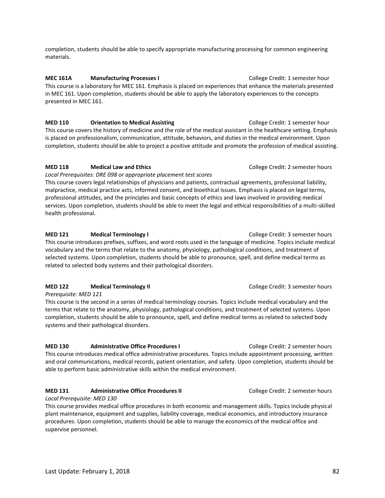completion, students should be able to specify appropriate manufacturing processing for common engineering materials.

**MEC 161A Manufacturing Processes I** College Credit: 1 semester hour This course is a laboratory for MEC 161. Emphasis is placed on experiences that enhance the materials presented in MEC 161. Upon completion, students should be able to apply the laboratory experiences to the concepts presented in MEC 161.

**MED 110 Orientation to Medical Assisting Server Account College Credit: 1 semester hour** This course covers the history of medicine and the role of the medical assistant in the healthcare setting. Emphasis is placed on professionalism, communication, attitude, behaviors, and duties in the medical environment. Upon completion, students should be able to project a positive attitude and promote the profession of medical assisting.

# **MED 118 Medical Law and Ethics College Credit: 2 semester hours MED 118 Medical Law and Ethics**

*Local Prerequisites: DRE 098 or appropriate placement test scores*

This course covers legal relationships of physicians and patients, contractual agreements, professional liability, malpractice, medical practice acts, informed consent, and bioethical issues. Emphasis is placed on legal terms, professional attitudes, and the principles and basic concepts of ethics and laws involved in providing medical services. Upon completion, students should be able to meet the legal and ethical responsibilities of a multi-skilled health professional.

### **MED 121 Medical Terminology I** College Credit: 3 semester hours

This course introduces prefixes, suffixes, and word roots used in the language of medicine. Topics include medical vocabulary and the terms that relate to the anatomy, physiology, pathological conditions, and treatment of selected systems. Upon completion, students should be able to pronounce, spell, and define medical terms as related to selected body systems and their pathological disorders.

### **MED 122 Medical Terminology II** College Credit: 3 semester hours

*Prerequisite: MED 121* 

This course is the second in a series of medical terminology courses. Topics include medical vocabulary and the terms that relate to the anatomy, physiology, pathological conditions, and treatment of selected systems. Upon completion, students should be able to pronounce, spell, and define medical terms as related to selected body systems and their pathological disorders.

**MED 130 Administrative Office Procedures I** College Credit: 2 semester hours This course introduces medical office administrative procedures. Topics include appointment processing, written and oral communications, medical records, patient orientation, and safety. Upon completion, students should be able to perform basic administrative skills within the medical environment.

# **MED 131 Administrative Office Procedures II College Credit: 2 semester hours**

#### *Local Prerequisite: MED 130*

This course provides medical office procedures in both economic and management skills. Topics include physical plant maintenance, equipment and supplies, liability coverage, medical economics, and introductory insurance procedures. Upon completion, students should be able to manage the economics of the medical office and supervise personnel.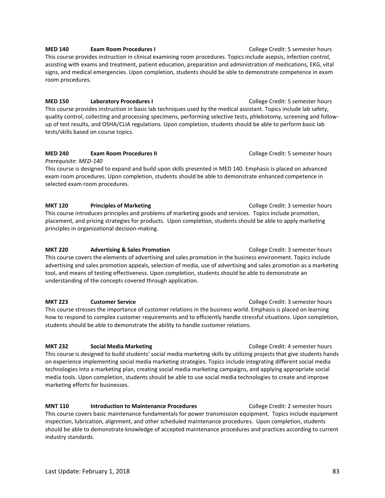### **MED 140 Exam Room Procedures I Exam Room Procedures I Exam Room Procedures I Exam Room Procedures I Exam Room Procedures I Exam Room Procedures I Exam Room Procedures I Exam Room Procedures I Exam Proced** This course provides instruction in clinical examining room procedures. Topics include asepsis, infection control, assisting with exams and treatment, patient education, preparation and administration of medications, EKG, vital signs, and medical emergencies. Upon completion, students should be able to demonstrate competence in exam room procedures.

**MED 150 Laboratory Procedures I Laboratory Procedures I Laboratory Procedures I College Credit: 5 semester hours** This course provides instruction in basic lab techniques used by the medical assistant. Topics include lab safety, quality control, collecting and processing specimens, performing selective tests, phlebotomy, screening and followup of test results, and OSHA/CLIA regulations. Upon completion, students should be able to perform basic lab tests/skills based on course topics.

# **MED 240 <b>Exam Room Procedures II Exam Room Procedures II Exam College Credit: 5 semester hours**

*Prerequisite: MED-140*

This course is designed to expand and build upon skills presented in MED 140. Emphasis is placed on advanced exam room procedures. Upon completion, students should be able to demonstrate enhanced competence in selected exam room procedures.

**MKT 120** Principles of Marketing **Principles of Marketing College Credit: 3 semester hours** This course introduces principles and problems of marketing goods and services. Topics include promotion, placement, and pricing strategies for products. Upon completion, students should be able to apply marketing principles in organizational decision-making.

# **MKT 220** Advertising & Sales Promotion **Advertising & Sales Promotion College Credit: 3 semester hours**

This course covers the elements of advertising and sales promotion in the business environment. Topics include advertising and sales promotion appeals, selection of media, use of advertising and sales promotion as a marketing tool, and means of testing effectiveness. Upon completion, students should be able to demonstrate an understanding of the concepts covered through application.

# **MKT 223 Customer Service** College Credit: 3 semester hours

This course stresses the importance of customer relations in the business world. Emphasis is placed on learning how to respond to complex customer requirements and to efficiently handle stressful situations. Upon completion, students should be able to demonstrate the ability to handle customer relations.

**MKT 232 Social Media Marketing College Credit: 4 semester hours College Credit: 4 semester hours** This course is designed to build students' social media marketing skills by utilizing projects that give students hands on experience implementing social media marketing strategies. Topics include integrating different social media technologies into a marketing plan, creating social media marketing campaigns, and applying appropriate social media tools. Upon completion, students should be able to use social media technologies to create and improve marketing efforts for businesses.

**MNT 110** Introduction to Maintenance Procedures **Interpreterate College Credit: 2 semester hours** This course covers basic maintenance fundamentals for power transmission equipment. Topics include equipment inspection, lubrication, alignment, and other scheduled maintenance procedures. Upon completion, students should be able to demonstrate knowledge of accepted maintenance procedures and practices according to current industry standards.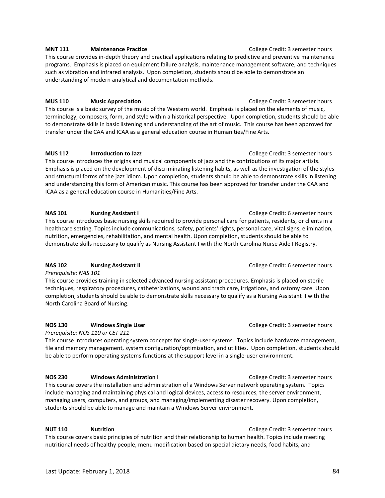#### **MNT 111 Maintenance Practice College Credit: 3 semester hours**

This course provides in-depth theory and practical applications relating to predictive and preventive maintenance programs. Emphasis is placed on equipment failure analysis, maintenance management software, and techniques such as vibration and infrared analysis. Upon completion, students should be able to demonstrate an understanding of modern analytical and documentation methods.

#### **MUS 110 Music Appreciation College Credit: 3 semester hours**

This course is a basic survey of the music of the Western world. Emphasis is placed on the elements of music, terminology, composers, form, and style within a historical perspective. Upon completion, students should be able to demonstrate skills in basic listening and understanding of the art of music. This course has been approved for transfer under the CAA and ICAA as a general education course in Humanities/Fine Arts.

### **MUS 112** Introduction to Jazz **Introduction to Jazz College Credit: 3 semester hours**

This course introduces the origins and musical components of jazz and the contributions of its major artists. Emphasis is placed on the development of discriminating listening habits, as well as the investigation of the styles and structural forms of the jazz idiom. Upon completion, students should be able to demonstrate skills in listening and understanding this form of American music. This course has been approved for transfer under the CAA and ICAA as a general education course in Humanities/Fine Arts.

### **NAS 101 Nursing Assistant I Nursing Assistant I Number 2 College Credit: 6 semester hours**

This course introduces basic nursing skills required to provide personal care for patients, residents, or clients in a healthcare setting. Topics include communications, safety, patients' rights, personal care, vital signs, elimination, nutrition, emergencies, rehabilitation, and mental health. Upon completion, students should be able to demonstrate skills necessary to qualify as Nursing Assistant I with the North Carolina Nurse Aide I Registry.

# **NAS 102 Nursing Assistant II NAS 102 Nursing Assistant II College Credit: 6 semester hours**

*Prerequisite: NAS 101*

This course provides training in selected advanced nursing assistant procedures. Emphasis is placed on sterile techniques, respiratory procedures, catheterizations, wound and trach care, irrigations, and ostomy care. Upon completion, students should be able to demonstrate skills necessary to qualify as a Nursing Assistant II with the North Carolina Board of Nursing.

### **NOS 130 Windows Single User College Credit: 3 semester hours** College Credit: 3 semester hours

*Prerequisite: NOS 110 or CET 211*

This course introduces operating system concepts for single-user systems. Topics include hardware management, file and memory management, system configuration/optimization, and utilities. Upon completion, students should be able to perform operating systems functions at the support level in a single-user environment.

### **NOS 230 Windows Administration I College Credit: 3 semester hours**

This course covers the installation and administration of a Windows Server network operating system. Topics include managing and maintaining physical and logical devices, access to resources, the server environment, managing users, computers, and groups, and managing/implementing disaster recovery. Upon completion, students should be able to manage and maintain a Windows Server environment.

**NUT 110 Nutrition Nutrition Nutrition Nutrition College Credit: 3 semester hours** This course covers basic principles of nutrition and their relationship to human health. Topics include meeting nutritional needs of healthy people, menu modification based on special dietary needs, food habits, and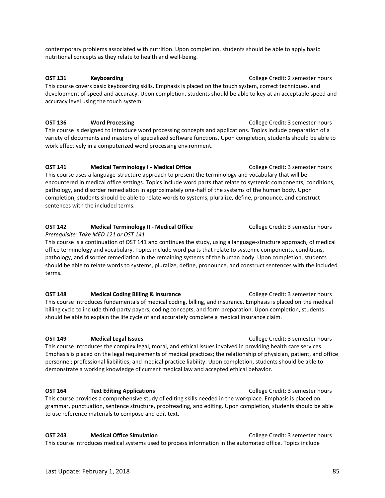contemporary problems associated with nutrition. Upon completion, students should be able to apply basic nutritional concepts as they relate to health and well-being.

**OST 131 Keyboarding College Credit: 2 semester hours** This course covers basic keyboarding skills. Emphasis is placed on the touch system, correct techniques, and development of speed and accuracy. Upon completion, students should be able to key at an acceptable speed and accuracy level using the touch system.

**OST 136 Word Processing College Credit: 3 semester hours** This course is designed to introduce word processing concepts and applications. Topics include preparation of a variety of documents and mastery of specialized software functions. Upon completion, students should be able to work effectively in a computerized word processing environment.

**OST 141 Medical Terminology I - Medical Office College Credit: 3 semester hours** This course uses a language-structure approach to present the terminology and vocabulary that will be encountered in medical office settings. Topics include word parts that relate to systemic components, conditions, pathology, and disorder remediation in approximately one-half of the systems of the human body. Upon completion, students should be able to relate words to systems, pluralize, define, pronounce, and construct sentences with the included terms.

# **OST 142 Medical Terminology II - Medical Office College Credit: 3 semester hours**

*Prerequisite: Take MED 121 or OST 141* 

This course is a continuation of OST 141 and continues the study, using a language-structure approach, of medical office terminology and vocabulary. Topics include word parts that relate to systemic components, conditions, pathology, and disorder remediation in the remaining systems of the human body. Upon completion, students should be able to relate words to systems, pluralize, define, pronounce, and construct sentences with the included terms.

**OST 148 Medical Coding Billing & Insurance College Credit: 3 semester hours** This course introduces fundamentals of medical coding, billing, and insurance. Emphasis is placed on the medical billing cycle to include third-party payers, coding concepts, and form preparation. Upon completion, students should be able to explain the life cycle of and accurately complete a medical insurance claim.

#### **OST 149 Medical Legal Issues College Credit: 3 semester hours College Credit: 3 semester hours**

This course introduces the complex legal, moral, and ethical issues involved in providing health care services. Emphasis is placed on the legal requirements of medical practices; the relationship of physician, patient, and office personnel; professional liabilities; and medical practice liability. Upon completion, students should be able to demonstrate a working knowledge of current medical law and accepted ethical behavior.

**OST 164 Text Editing Applications College Credit: 3 semester hours** 

This course provides a comprehensive study of editing skills needed in the workplace. Emphasis is placed on grammar, punctuation, sentence structure, proofreading, and editing. Upon completion, students should be able to use reference materials to compose and edit text.

**OST 243 Medical Office Simulation College Credit: 3 semester hours** 

This course introduces medical systems used to process information in the automated office. Topics include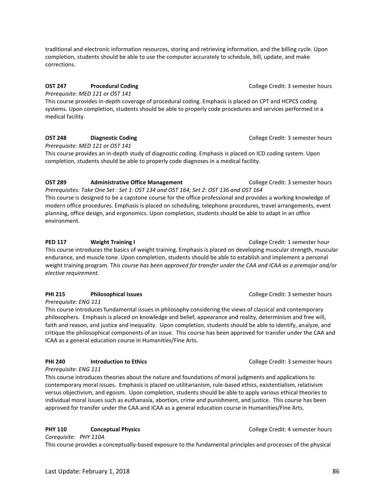traditional and electronic information resources, storing and retrieving information, and the billing cycle. Upon completion, students should be able to use the computer accurately to schedule, bill, update, and make corrections.

# **OST 247 Procedural Coding Procedural Coding Procedural Coding Procedural Coding Procedural Coding Procedural Coding Procedural Coding Procedural Coding Procedural Coding Procedural Coding Procedural**

*Prerequisite: MED 121 or OST 141* This course provides in-depth coverage of procedural coding. Emphasis is placed on CPT and HCPCS coding systems. Upon completion, students should be able to properly code procedures and services performed in a medical facility.

# **OST 248 Diagnostic Coding Diagnostic Coding College Credit: 3 semester hours**

*Prerequisite: MED 121 or OST 141* 

This course provides an in-depth study of diagnostic coding. Emphasis is placed on ICD coding system. Upon completion, students should be able to properly code diagnoses in a medical facility.

# **OST 289 Administrative Office Management** College Credit: 3 semester hours

*Prerequisites: Take One Set : Set 1: OST 134 and OST 164; Set 2: OST 136 and OST 164* This course is designed to be a capstone course for the office professional and provides a working knowledge of modern office procedures. Emphasis is placed on scheduling, telephone procedures, travel arrangements, event planning, office design, and ergonomics. Upon completion, students should be able to adapt in an office environment.

# **PED 117** Weight Training I **Weight Training I College Credit: 1 semester hour**

This course introduces the basics of weight training. Emphasis is placed on developing muscular strength, muscular endurance, and muscle tone. Upon completion, students should be able to establish and implement a personal weight training program. T*his course has been approved for transfer under the CAA and ICAA as a premajor and/or elective requirement.*

# **PHI 215** Philosophical Issues **Philosophical Issues** College Credit: 3 semester hours

*Prerequisite: ENG 111*

This course introduces fundamental issues in philosophy considering the views of classical and contemporary philosophers. Emphasis is placed on knowledge and belief, appearance and reality, determinism and free will, faith and reason, and justice and inequality. Upon completion, students should be able to identify, analyze, and critique the philosophical components of an issue. This course has been approved for transfer under the CAA and ICAA as a general education course in Humanities/Fine Arts.

# **PHI 240** Introduction to Ethics **College Credit: 3 semester hours** College Credit: 3 semester hours

*Prerequisite: ENG 111*

This course introduces theories about the nature and foundations of moral judgments and applications to contemporary moral issues. Emphasis is placed on utilitarianism, rule-based ethics, existentialism, relativism versus objectivism, and egoism. Upon completion, students should be able to apply various ethical theories to individual moral issues such as euthanasia, abortion, crime and punishment, and justice. This course has been approved for transfer under the CAA and ICAA as a general education course in Humanities/Fine Arts.

# **PHY 110** Conceptual Physics **Conceptual Physics College Credit: 4 semester hours**

*Corequisite: PHY 110A* This course provides a conceptually-based exposure to the fundamental principles and processes of the physical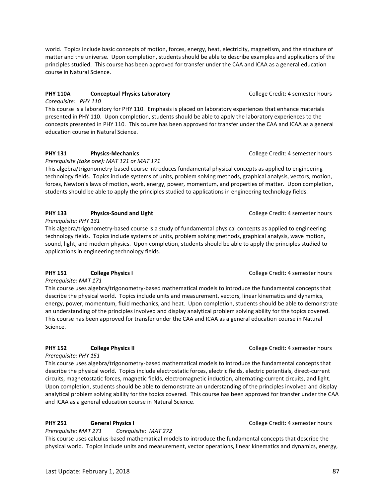world. Topics include basic concepts of motion, forces, energy, heat, electricity, magnetism, and the structure of matter and the universe. Upon completion, students should be able to describe examples and applications of the principles studied. This course has been approved for transfer under the CAA and ICAA as a general education course in Natural Science.

# **PHY 110A** Conceptual Physics Laboratory **College Credit: 4 semester hours** College Credit: 4 semester hours

*Corequisite: PHY 110*

This course is a laboratory for PHY 110. Emphasis is placed on laboratory experiences that enhance materials presented in PHY 110. Upon completion, students should be able to apply the laboratory experiences to the concepts presented in PHY 110. This course has been approved for transfer under the CAA and ICAA as a general education course in Natural Science.

# **PHY 131** Physics-Mechanics **Physics-Mechanics Physics-Mechanics Physics-Mechanics Physics-Mechanics Physics-Mechanics Physics-Mechanics Physics-Mechanics Physics-Mechanics Physics-Mechanics Physics-Mecha**

*Prerequisite (take one): MAT 121 or MAT 171*

This algebra/trigonometry-based course introduces fundamental physical concepts as applied to engineering technology fields. Topics include systems of units, problem solving methods, graphical analysis, vectors, motion, forces, Newton's laws of motion, work, energy, power, momentum, and properties of matter. Upon completion, students should be able to apply the principles studied to applications in engineering technology fields.

# **PHY 133** Physics-Sound and Light **PHY 133** Physics-Sound and Light **College Credit: 4 semester hours**

*Prerequisite: PHY 131*

This algebra/trigonometry-based course is a study of fundamental physical concepts as applied to engineering technology fields. Topics include systems of units, problem solving methods, graphical analysis, wave motion, sound, light, and modern physics. Upon completion, students should be able to apply the principles studied to applications in engineering technology fields.

# **PHY 151** College Physics I **Collegie College Credit: 4 semester hours** College Credit: 4 semester hours

*Prerequisite: MAT 171*

This course uses algebra/trigonometry-based mathematical models to introduce the fundamental concepts that describe the physical world. Topics include units and measurement, vectors, linear kinematics and dynamics, energy, power, momentum, fluid mechanics, and heat. Upon completion, students should be able to demonstrate an understanding of the principles involved and display analytical problem solving ability for the topics covered. This course has been approved for transfer under the CAA and ICAA as a general education course in Natural Science.

# **PHY 152 College Physics II COLLEGE COLLEGE COLLEGE COLLEGE COLLEGE COLLEGE COLLEGE COLLEGE COLLEGE COLLEGE COLLEGE COLLEGE COLLEGE COLLEGE COLLEGE COLLEGE COLLEGE COLLEGE COLLEGE COLLEGE COLLEGE COLLEGE COLLEGE COLLEG**

*Prerequisite: PHY 151*

This course uses algebra/trigonometry-based mathematical models to introduce the fundamental concepts that describe the physical world. Topics include electrostatic forces, electric fields, electric potentials, direct-current circuits, magnetostatic forces, magnetic fields, electromagnetic induction, alternating-current circuits, and light. Upon completion, students should be able to demonstrate an understanding of the principles involved and display analytical problem solving ability for the topics covered. This course has been approved for transfer under the CAA and ICAA as a general education course in Natural Science.

# **PHY 251 General Physics I College Credit: 4 semester hours**

*Prerequisite: MAT 271 Corequisite: MAT 272* This course uses calculus-based mathematical models to introduce the fundamental concepts that describe the physical world. Topics include units and measurement, vector operations, linear kinematics and dynamics, energy,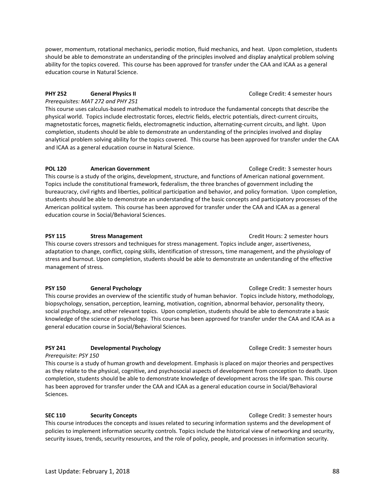power, momentum, rotational mechanics, periodic motion, fluid mechanics, and heat. Upon completion, students should be able to demonstrate an understanding of the principles involved and display analytical problem solving ability for the topics covered. This course has been approved for transfer under the CAA and ICAA as a general education course in Natural Science.

# **PHY 252 General Physics II College Credit: 4 semester hours**

*Prerequisites: MAT 272 and PHY 251* This course uses calculus-based mathematical models to introduce the fundamental concepts that describe the physical world. Topics include electrostatic forces, electric fields, electric potentials, direct-current circuits, magnetostatic forces, magnetic fields, electromagnetic induction, alternating-current circuits, and light. Upon completion, students should be able to demonstrate an understanding of the principles involved and display analytical problem solving ability for the topics covered. This course has been approved for transfer under the CAA and ICAA as a general education course in Natural Science.

### **POL 120** American Government **College Credit: 3 semester hours**

This course is a study of the origins, development, structure, and functions of American national government. Topics include the constitutional framework, federalism, the three branches of government including the bureaucracy, civil rights and liberties, political participation and behavior, and policy formation. Upon completion, students should be able to demonstrate an understanding of the basic concepts and participatory processes of the American political system. This course has been approved for transfer under the CAA and ICAA as a general education course in Social/Behavioral Sciences.

#### **PSY 115 Stress Management Stress Management Credit Hours: 2 semester hours**

This course covers stressors and techniques for stress management. Topics include anger, assertiveness, adaptation to change, conflict, coping skills, identification of stressors, time management, and the physiology of stress and burnout. Upon completion, students should be able to demonstrate an understanding of the effective management of stress.

#### **PSY 150 General Psychology College Credit: 3 semester hours**

This course provides an overview of the scientific study of human behavior. Topics include history, methodology, biopsychology, sensation, perception, learning, motivation, cognition, abnormal behavior, personality theory, social psychology, and other relevant topics. Upon completion, students should be able to demonstrate a basic knowledge of the science of psychology. This course has been approved for transfer under the CAA and ICAA as a general education course in Social/Behavioral Sciences.

### **PSY 241 Developmental Psychology College Credit: 3 semester hours**

*Prerequisite: PSY 150* 

This course is a study of human growth and development. Emphasis is placed on major theories and perspectives as they relate to the physical, cognitive, and psychosocial aspects of development from conception to death. Upon completion, students should be able to demonstrate knowledge of development across the life span. This course has been approved for transfer under the CAA and ICAA as a general education course in Social/Behavioral Sciences.

### **SEC 110 Security Concepts College Credit: 3 semester hours**

This course introduces the concepts and issues related to securing information systems and the development of policies to implement information security controls. Topics include the historical view of networking and security, security issues, trends, security resources, and the role of policy, people, and processes in information security.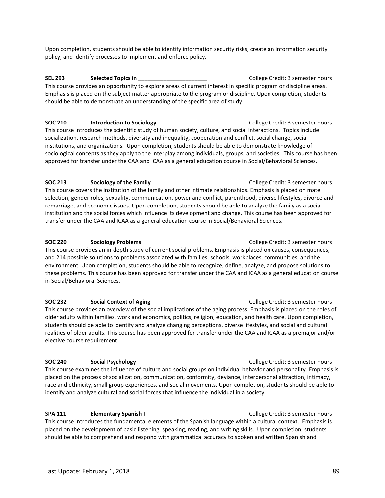should be able to comprehend and respond with grammatical accuracy to spoken and written Spanish and

**SOC 240 Social Psychology College Credit: 3 semester hours** This course examines the influence of culture and social groups on individual behavior and personality. Emphasis is placed on the process of socialization, communication, conformity, deviance, interpersonal attraction, intimacy, race and ethnicity, small group experiences, and social movements. Upon completion, students should be able to identify and analyze cultural and social forces that influence the individual in a society.

**SPA 111 Elementary Spanish I College Credit: 3 semester hours** This course introduces the fundamental elements of the Spanish language within a cultural context. Emphasis is placed on the development of basic listening, speaking, reading, and writing skills. Upon completion, students

students should be able to identify and analyze changing perceptions, diverse lifestyles, and social and cultural

**SOC 213 Sociology of the Family Sociology of the Family College Credit: 3 semester hours** 

This course covers the institution of the family and other intimate relationships. Emphasis is placed on mate selection, gender roles, sexuality, communication, power and conflict, parenthood, diverse lifestyles, divorce and remarriage, and economic issues. Upon completion, students should be able to analyze the family as a social institution and the social forces which influence its development and change. This course has been approved for transfer under the CAA and ICAA as a general education course in Social/Behavioral Sciences.

**SOC 220 Sociology Problems College Credit: 3 semester hours College Credit: 3 semester hours** This course provides an in-depth study of current social problems. Emphasis is placed on causes, consequences, and 214 possible solutions to problems associated with families, schools, workplaces, communities, and the environment. Upon completion, students should be able to recognize, define, analyze, and propose solutions to these problems. This course has been approved for transfer under the CAA and ICAA as a general education course

**SOC 232 Social Context of Aging Social Context of Aging College Credit: 3 semester hours** This course provides an overview of the social implications of the aging process. Emphasis is placed on the roles of older adults within families, work and economics, politics, religion, education, and health care. Upon completion,

This course introduces the scientific study of human society, culture, and social interactions. Topics include socialization, research methods, diversity and inequality, cooperation and conflict, social change, social institutions, and organizations. Upon completion, students should be able to demonstrate knowledge of sociological concepts as they apply to the interplay among individuals, groups, and societies. This course has been approved for transfer under the CAA and ICAA as a general education course in Social/Behavioral Sciences.

should be able to demonstrate an understanding of the specific area of study.

**SEL 293 Selected Topics in Selected Topics in Secure 2012 College Credit: 3 semester hours** 

# Upon completion, students should be able to identify information security risks, create an information security policy, and identify processes to implement and enforce policy.

This course provides an opportunity to explore areas of current interest in specific program or discipline areas. Emphasis is placed on the subject matter appropriate to the program or discipline. Upon completion, students

**SOC 210** Introduction to Sociology **College Credit: 3 semester hours** 

### realities of older adults. This course has been approved for transfer under the CAA and ICAA as a premajor and/or elective course requirement

in Social/Behavioral Sciences.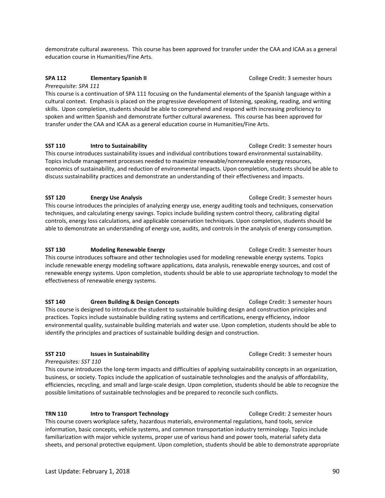demonstrate cultural awareness. This course has been approved for transfer under the CAA and ICAA as a general education course in Humanities/Fine Arts.

### **SPA 112 Elementary Spanish II College Credit: 3 semester hours College Credit: 3 semester hours**

*Prerequisite: SPA 111*

This course is a continuation of SPA 111 focusing on the fundamental elements of the Spanish language within a cultural context. Emphasis is placed on the progressive development of listening, speaking, reading, and writing skills. Upon completion, students should be able to comprehend and respond with increasing proficiency to spoken and written Spanish and demonstrate further cultural awareness. This course has been approved for transfer under the CAA and ICAA as a general education course in Humanities/Fine Arts.

# **SST 110** Intro to Sustainability **College Credit: 3 semester hours** College Credit: 3 semester hours

This course introduces sustainability issues and individual contributions toward environmental sustainability. Topics include management processes needed to maximize renewable/nonrenewable energy resources, economics of sustainability, and reduction of environmental impacts. Upon completion, students should be able to discuss sustainability practices and demonstrate an understanding of their effectiveness and impacts.

# **SST 120 Energy Use Analysis College Credit: 3 semester hours College Credit: 3 semester hours**

This course introduces the principles of analyzing energy use, energy auditing tools and techniques, conservation techniques, and calculating energy savings. Topics include building system control theory, calibrating digital controls, energy loss calculations, and applicable conservation techniques. Upon completion, students should be able to demonstrate an understanding of energy use, audits, and controls in the analysis of energy consumption.

### **SST 130** Modeling Renewable Energy **College Credit: 3 semester hours** College Credit: 3 semester hours

This course introduces software and other technologies used for modeling renewable energy systems. Topics include renewable energy modeling software applications, data analysis, renewable energy sources, and cost of renewable energy systems. Upon completion, students should be able to use appropriate technology to model the effectiveness of renewable energy systems.

### **SST 140** Green Building & Design Concepts **College Credit: 3 semester hours**

This course is designed to introduce the student to sustainable building design and construction principles and practices. Topics include sustainable building rating systems and certifications, energy efficiency, indoor environmental quality, sustainable building materials and water use. Upon completion, students should be able to identify the principles and practices of sustainable building design and construction.

### **SST 210** Issues in Sustainability **Internal 2018** College Credit: 3 semester hours

*Prerequisites: SST 110*

This course introduces the long-term impacts and difficulties of applying sustainability concepts in an organization, business, or society. Topics include the application of sustainable technologies and the analysis of affordability, efficiencies, recycling, and small and large-scale design. Upon completion, students should be able to recognize the possible limitations of sustainable technologies and be prepared to reconcile such conflicts.

### **TRN 110 Intro to Transport Technology College Credit: 2 semester hours**

This course covers workplace safety, hazardous materials, environmental regulations, hand tools, service information, basic concepts, vehicle systems, and common transportation industry terminology. Topics include familiarization with major vehicle systems, proper use of various hand and power tools, material safety data sheets, and personal protective equipment. Upon completion, students should be able to demonstrate appropriate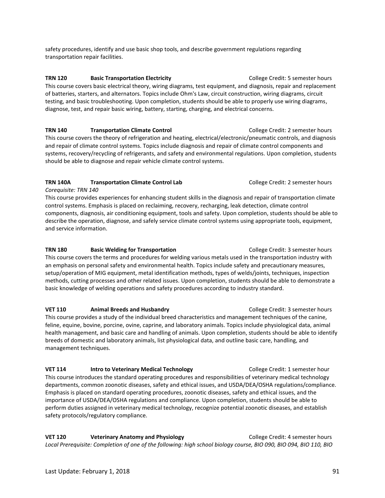safety procedures, identify and use basic shop tools, and describe government regulations regarding transportation repair facilities.

**TRN 120 Basic Transportation Electricity Access 20 Basic Semester hours College Credit: 5 semester hours** This course covers basic electrical theory, wiring diagrams, test equipment, and diagnosis, repair and replacement of batteries, starters, and alternators. Topics include Ohm's Law, circuit construction, wiring diagrams, circuit testing, and basic troubleshooting. Upon completion, students should be able to properly use wiring diagrams, diagnose, test, and repair basic wiring, battery, starting, charging, and electrical concerns.

**TRN 140 Transportation Climate Control Control College Credit: 2 semester hours** This course covers the theory of refrigeration and heating, electrical/electronic/pneumatic controls, and diagnosis and repair of climate control systems. Topics include diagnosis and repair of climate control components and systems, recovery/recycling of refrigerants, and safety and environmental regulations. Upon completion, students should be able to diagnose and repair vehicle climate control systems.

# **TRN 140A Transportation Climate Control Lab** College Credit: 2 semester hours

### *Corequisite: TRN 140*

This course provides experiences for enhancing student skills in the diagnosis and repair of transportation climate control systems. Emphasis is placed on reclaiming, recovery, recharging, leak detection, climate control components, diagnosis, air conditioning equipment, tools and safety. Upon completion, students should be able to describe the operation, diagnose, and safely service climate control systems using appropriate tools, equipment, and service information.

# **TRN 180 Basic Welding for Transportation** College Credit: 3 semester hours

This course covers the terms and procedures for welding various metals used in the transportation industry with an emphasis on personal safety and environmental health. Topics include safety and precautionary measures, setup/operation of MIG equipment, metal identification methods, types of welds/joints, techniques, inspection methods, cutting processes and other related issues. Upon completion, students should be able to demonstrate a basic knowledge of welding operations and safety procedures according to industry standard.

### **VET 110 Animal Breeds and Husbandry <b>College Credit: 3** semester hours

This course provides a study of the individual breed characteristics and management techniques of the canine, feline, equine, bovine, porcine, ovine, caprine, and laboratory animals. Topics include physiological data, animal health management, and basic care and handling of animals. Upon completion, students should be able to identify breeds of domestic and laboratory animals, list physiological data, and outline basic care, handling, and management techniques.

**VET 114 Intro to Veterinary Medical Technology College Credit: 1 semester hour** This course introduces the standard operating procedures and responsibilities of veterinary medical technology departments, common zoonotic diseases, safety and ethical issues, and USDA/DEA/OSHA regulations/compliance. Emphasis is placed on standard operating procedures, zoonotic diseases, safety and ethical issues, and the importance of USDA/DEA/OSHA regulations and compliance. Upon completion, students should be able to perform duties assigned in veterinary medical technology, recognize potential zoonotic diseases, and establish safety protocols/regulatory compliance.

**VET 120 Veterinary Anatomy and Physiology College Credit: 4 semester hours** *Local Prerequisite: Completion of one of the following: high school biology course, BIO 090, BIO 094, BIO 110, BIO*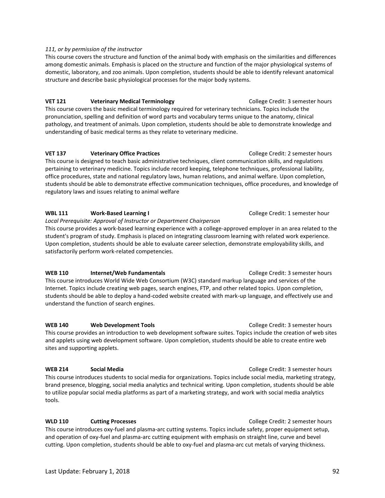Last Update: February 1, 2018 92

#### *111, or by permission of the instructor*

This course covers the structure and function of the animal body with emphasis on the similarities and differences among domestic animals. Emphasis is placed on the structure and function of the major physiological systems of domestic, laboratory, and zoo animals. Upon completion, students should be able to identify relevant anatomical structure and describe basic physiological processes for the major body systems.

**VET 121 Veterinary Medical Terminology College Credit: 3 semester hours** This course covers the basic medical terminology required for veterinary technicians. Topics include the pronunciation, spelling and definition of word parts and vocabulary terms unique to the anatomy, clinical pathology, and treatment of animals. Upon completion, students should be able to demonstrate knowledge and understanding of basic medical terms as they relate to veterinary medicine.

### **VET 137 Veterinary Office Practices College Credit: 2 semester hours VET 137**

This course is designed to teach basic administrative techniques, client communication skills, and regulations pertaining to veterinary medicine. Topics include record keeping, telephone techniques, professional liability, office procedures, state and national regulatory laws, human relations, and animal welfare. Upon completion, students should be able to demonstrate effective communication techniques, office procedures, and knowledge of regulatory laws and issues relating to animal welfare

### **WBL 111 Work-Based Learning I** College Credit: 1 semester hour

*Local Prerequisite: Approval of Instructor or Department Chairperson* 

This course provides a work-based learning experience with a college-approved employer in an area related to the student's program of study. Emphasis is placed on integrating classroom learning with related work experience. Upon completion, students should be able to evaluate career selection, demonstrate employability skills, and satisfactorily perform work-related competencies.

### **WEB 110** Internet/Web Fundamentals **Internet/Web Fundamentals** College Credit: 3 semester hours

This course introduces World Wide Web Consortium (W3C) standard markup language and services of the Internet. Topics include creating web pages, search engines, FTP, and other related topics. Upon completion, students should be able to deploy a hand-coded website created with mark-up language, and effectively use and understand the function of search engines.

**WEB 140 Web Development Tools College Credit: 3 semester hours** This course provides an introduction to web development software suites. Topics include the creation of web sites and applets using web development software. Upon completion, students should be able to create entire web sites and supporting applets.

**WEB 214** Social Media **Social Social Secure 2016** Social Semester hours **College Credit: 3 semester hours** College Credit: 3 semester hours This course introduces students to social media for organizations. Topics include social media, marketing strategy, brand presence, blogging, social media analytics and technical writing. Upon completion, students should be able to utilize popular social media platforms as part of a marketing strategy, and work with social media analytics tools.

**WLD 110 Cutting Processes** College Credit: 2 semester hours This course introduces oxy-fuel and plasma-arc cutting systems. Topics include safety, proper equipment setup, and operation of oxy-fuel and plasma-arc cutting equipment with emphasis on straight line, curve and bevel cutting. Upon completion, students should be able to oxy-fuel and plasma-arc cut metals of varying thickness.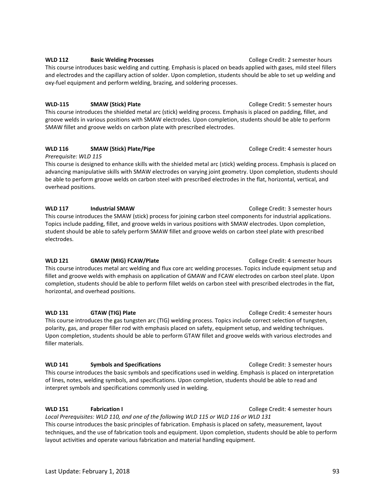### **WLD 112** Basic Welding Processes **College Credit: 2 semester hours** College Credit: 2 semester hours This course introduces basic welding and cutting. Emphasis is placed on beads applied with gases, mild steel fillers and electrodes and the capillary action of solder. Upon completion, students should be able to set up welding and oxy-fuel equipment and perform welding, brazing, and soldering processes.

# **WLD-115 SMAW (Stick) Plate** COLLEGE COLLEGE Credit: 5 semester hours

This course introduces the shielded metal arc (stick) welding process. Emphasis is placed on padding, fillet, and groove welds in various positions with SMAW electrodes. Upon completion, students should be able to perform SMAW fillet and groove welds on carbon plate with prescribed electrodes.

# **WLD 116 SMAW (Stick) Plate/Pipe** College Credit: 4 semester hours

*Prerequisite: WLD 115*  This course is designed to enhance skills with the shielded metal arc (stick) welding process. Emphasis is placed on advancing manipulative skills with SMAW electrodes on varying joint geometry. Upon completion, students should be able to perform groove welds on carbon steel with prescribed electrodes in the flat, horizontal, vertical, and overhead positions.

# **WLD 117** Industrial SMAW **Industrial SMAW College Credit: 3 semester hours**

This course introduces the SMAW (stick) process for joining carbon steel components for industrial applications. Topics include padding, fillet, and groove welds in various positions with SMAW electrodes. Upon completion, student should be able to safely perform SMAW fillet and groove welds on carbon steel plate with prescribed electrodes.

### **WLD 121 GMAW (MIG) FCAW/Plate** COLLEGE Credit: 4 semester hours

This course introduces metal arc welding and flux core arc welding processes. Topics include equipment setup and fillet and groove welds with emphasis on application of GMAW and FCAW electrodes on carbon steel plate. Upon completion, students should be able to perform fillet welds on carbon steel with prescribed electrodes in the flat, horizontal, and overhead positions.

### **WLD 131 GTAW (TIG) Plate** COLLEGE COLLEGE Credit: 4 semester hours

This course introduces the gas tungsten arc (TIG) welding process. Topics include correct selection of tungsten, polarity, gas, and proper filler rod with emphasis placed on safety, equipment setup, and welding techniques. Upon completion, students should be able to perform GTAW fillet and groove welds with various electrodes and filler materials.

### **WLD 141** Symbols and Specifications **College Credit: 3 semester hours** College Credit: 3 semester hours

This course introduces the basic symbols and specifications used in welding. Emphasis is placed on interpretation of lines, notes, welding symbols, and specifications. Upon completion, students should be able to read and interpret symbols and specifications commonly used in welding.

*Local Prerequisites: WLD 110, and one of the following WLD 115 or WLD 116 or WLD 131* This course introduces the basic principles of fabrication. Emphasis is placed on safety, measurement, layout techniques, and the use of fabrication tools and equipment. Upon completion, students should be able to perform layout activities and operate various fabrication and material handling equipment.

**WLD 151 Fabrication I Fabrication I College Credit: 4 semester hours**